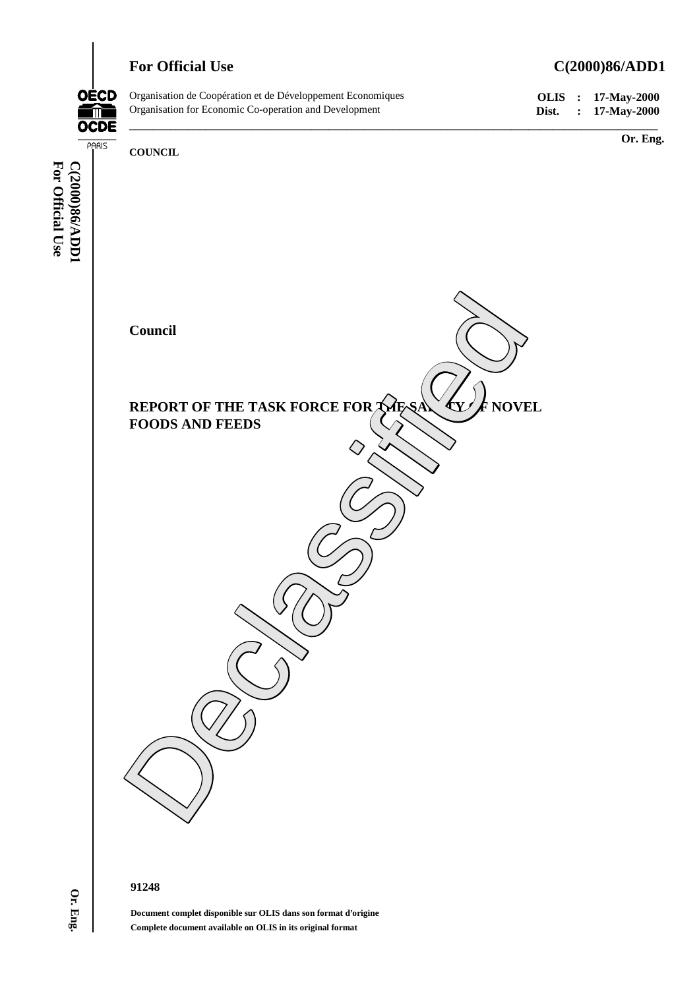

# **For Official Use C(2000)86/ADD1**



**For Official Use**

For Official Use

**Or. Eng.**

#### **91248**

**Document complet disponible sur OLIS dans son format d'origine Complete document available on OLIS in its original format**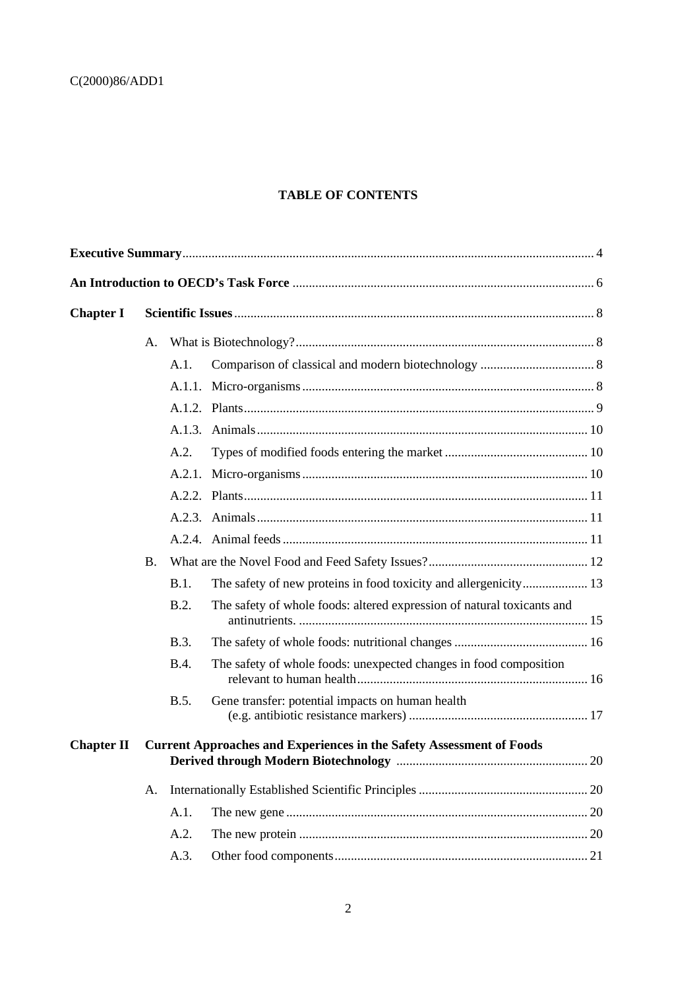# **TABLE OF CONTENTS**

| <b>Chapter I</b>  |                                                                             |             |                                                                        |  |  |  |  |
|-------------------|-----------------------------------------------------------------------------|-------------|------------------------------------------------------------------------|--|--|--|--|
|                   | Α.                                                                          |             |                                                                        |  |  |  |  |
|                   |                                                                             | A.1.        |                                                                        |  |  |  |  |
|                   |                                                                             | A.1.1.      |                                                                        |  |  |  |  |
|                   |                                                                             |             |                                                                        |  |  |  |  |
|                   |                                                                             | A.1.3.      |                                                                        |  |  |  |  |
|                   |                                                                             | A.2.        |                                                                        |  |  |  |  |
|                   |                                                                             | A.2.1.      |                                                                        |  |  |  |  |
|                   |                                                                             |             |                                                                        |  |  |  |  |
|                   |                                                                             |             |                                                                        |  |  |  |  |
|                   |                                                                             |             |                                                                        |  |  |  |  |
|                   | B.                                                                          |             |                                                                        |  |  |  |  |
|                   |                                                                             | B.1.        |                                                                        |  |  |  |  |
|                   |                                                                             | B.2.        | The safety of whole foods: altered expression of natural toxicants and |  |  |  |  |
|                   |                                                                             | <b>B.3.</b> |                                                                        |  |  |  |  |
|                   |                                                                             | <b>B.4.</b> | The safety of whole foods: unexpected changes in food composition      |  |  |  |  |
|                   |                                                                             | <b>B.5.</b> | Gene transfer: potential impacts on human health                       |  |  |  |  |
| <b>Chapter II</b> | <b>Current Approaches and Experiences in the Safety Assessment of Foods</b> |             |                                                                        |  |  |  |  |
|                   | А.                                                                          |             |                                                                        |  |  |  |  |
|                   |                                                                             | A.1.        |                                                                        |  |  |  |  |
|                   |                                                                             | A.2.        |                                                                        |  |  |  |  |
|                   |                                                                             | A.3.        |                                                                        |  |  |  |  |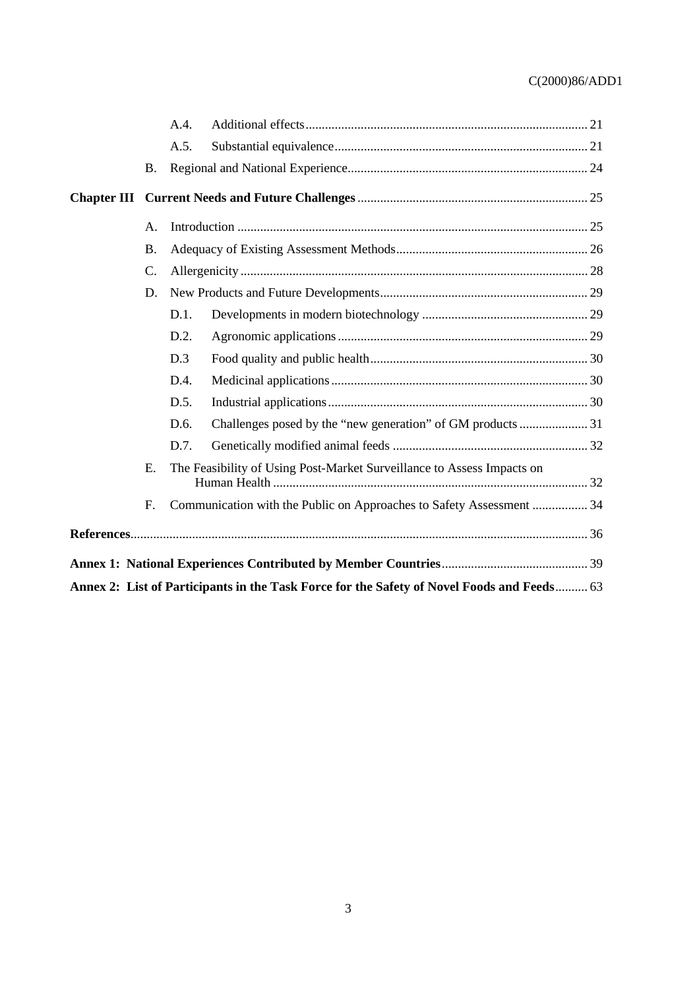|                                                                                            |                 | A.4.                                                                   |  |  |  |  |  |
|--------------------------------------------------------------------------------------------|-----------------|------------------------------------------------------------------------|--|--|--|--|--|
|                                                                                            |                 | A.5.                                                                   |  |  |  |  |  |
|                                                                                            | <b>B.</b>       |                                                                        |  |  |  |  |  |
|                                                                                            |                 |                                                                        |  |  |  |  |  |
|                                                                                            | A <sub>1</sub>  |                                                                        |  |  |  |  |  |
|                                                                                            | <b>B.</b>       |                                                                        |  |  |  |  |  |
|                                                                                            | $\mathcal{C}$ . |                                                                        |  |  |  |  |  |
|                                                                                            | D.              |                                                                        |  |  |  |  |  |
|                                                                                            |                 | D.1.                                                                   |  |  |  |  |  |
|                                                                                            |                 | D.2.                                                                   |  |  |  |  |  |
|                                                                                            |                 | D.3                                                                    |  |  |  |  |  |
|                                                                                            |                 | D.4.                                                                   |  |  |  |  |  |
|                                                                                            |                 | D.5.                                                                   |  |  |  |  |  |
|                                                                                            |                 | D.6.                                                                   |  |  |  |  |  |
|                                                                                            |                 | D.7.                                                                   |  |  |  |  |  |
|                                                                                            | E.              | The Feasibility of Using Post-Market Surveillance to Assess Impacts on |  |  |  |  |  |
|                                                                                            | F.              | Communication with the Public on Approaches to Safety Assessment  34   |  |  |  |  |  |
|                                                                                            |                 |                                                                        |  |  |  |  |  |
|                                                                                            |                 |                                                                        |  |  |  |  |  |
| Annex 2: List of Participants in the Task Force for the Safety of Novel Foods and Feeds 63 |                 |                                                                        |  |  |  |  |  |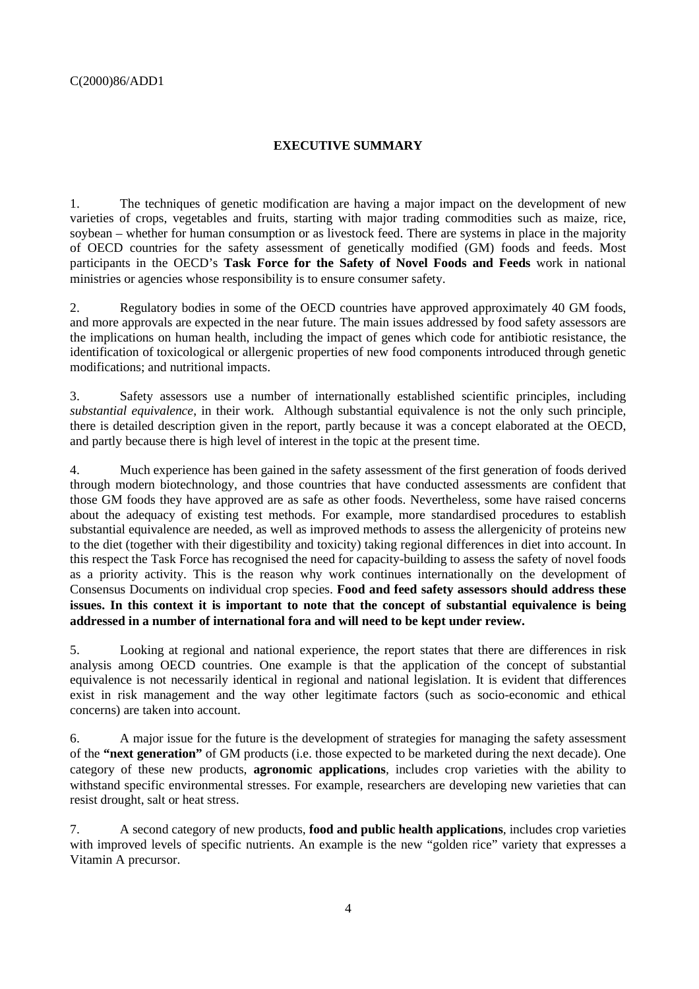# **EXECUTIVE SUMMARY**

1. The techniques of genetic modification are having a major impact on the development of new varieties of crops, vegetables and fruits, starting with major trading commodities such as maize, rice, soybean – whether for human consumption or as livestock feed. There are systems in place in the majority of OECD countries for the safety assessment of genetically modified (GM) foods and feeds. Most participants in the OECD's **Task Force for the Safety of Novel Foods and Feeds** work in national ministries or agencies whose responsibility is to ensure consumer safety.

2. Regulatory bodies in some of the OECD countries have approved approximately 40 GM foods, and more approvals are expected in the near future. The main issues addressed by food safety assessors are the implications on human health, including the impact of genes which code for antibiotic resistance, the identification of toxicological or allergenic properties of new food components introduced through genetic modifications; and nutritional impacts.

3. Safety assessors use a number of internationally established scientific principles, including *substantial equivalence*, in their work*.* Although substantial equivalence is not the only such principle, there is detailed description given in the report, partly because it was a concept elaborated at the OECD, and partly because there is high level of interest in the topic at the present time.

4. Much experience has been gained in the safety assessment of the first generation of foods derived through modern biotechnology, and those countries that have conducted assessments are confident that those GM foods they have approved are as safe as other foods. Nevertheless, some have raised concerns about the adequacy of existing test methods. For example, more standardised procedures to establish substantial equivalence are needed, as well as improved methods to assess the allergenicity of proteins new to the diet (together with their digestibility and toxicity) taking regional differences in diet into account. In this respect the Task Force has recognised the need for capacity-building to assess the safety of novel foods as a priority activity. This is the reason why work continues internationally on the development of Consensus Documents on individual crop species. **Food and feed safety assessors should address these issues. In this context it is important to note that the concept of substantial equivalence is being addressed in a number of international fora and will need to be kept under review.**

5. Looking at regional and national experience, the report states that there are differences in risk analysis among OECD countries. One example is that the application of the concept of substantial equivalence is not necessarily identical in regional and national legislation. It is evident that differences exist in risk management and the way other legitimate factors (such as socio-economic and ethical concerns) are taken into account.

6. A major issue for the future is the development of strategies for managing the safety assessment of the **"next generation"** of GM products (i.e. those expected to be marketed during the next decade). One category of these new products, **agronomic applications***,* includes crop varieties with the ability to withstand specific environmental stresses. For example, researchers are developing new varieties that can resist drought, salt or heat stress.

7. A second category of new products, **food and public health applications***,* includes crop varieties with improved levels of specific nutrients. An example is the new "golden rice" variety that expresses a Vitamin A precursor.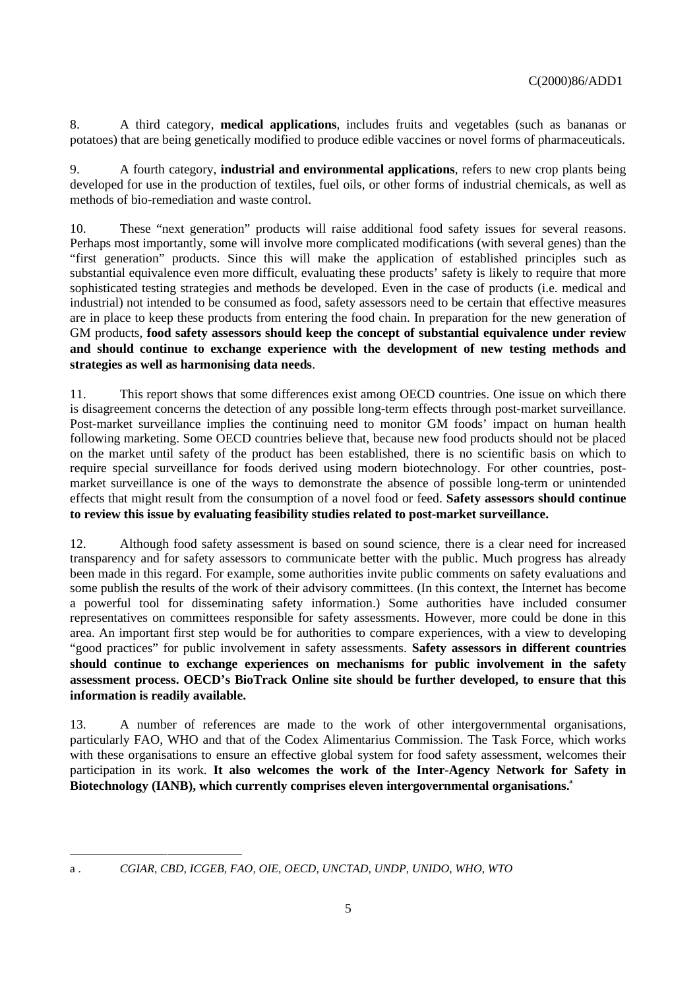8. A third category, **medical applications**, includes fruits and vegetables (such as bananas or potatoes) that are being genetically modified to produce edible vaccines or novel forms of pharmaceuticals.

9. A fourth category, **industrial and environmental applications**, refers to new crop plants being developed for use in the production of textiles, fuel oils, or other forms of industrial chemicals, as well as methods of bio-remediation and waste control.

10. These "next generation" products will raise additional food safety issues for several reasons. Perhaps most importantly, some will involve more complicated modifications (with several genes) than the "first generation" products. Since this will make the application of established principles such as substantial equivalence even more difficult, evaluating these products' safety is likely to require that more sophisticated testing strategies and methods be developed. Even in the case of products (i.e. medical and industrial) not intended to be consumed as food, safety assessors need to be certain that effective measures are in place to keep these products from entering the food chain. In preparation for the new generation of GM products, **food safety assessors should keep the concept of substantial equivalence under review and should continue to exchange experience with the development of new testing methods and strategies as well as harmonising data needs**.

11. This report shows that some differences exist among OECD countries. One issue on which there is disagreement concerns the detection of any possible long-term effects through post-market surveillance. Post-market surveillance implies the continuing need to monitor GM foods' impact on human health following marketing. Some OECD countries believe that, because new food products should not be placed on the market until safety of the product has been established, there is no scientific basis on which to require special surveillance for foods derived using modern biotechnology. For other countries, postmarket surveillance is one of the ways to demonstrate the absence of possible long-term or unintended effects that might result from the consumption of a novel food or feed. **Safety assessors should continue to review this issue by evaluating feasibility studies related to post-market surveillance.**

12. Although food safety assessment is based on sound science, there is a clear need for increased transparency and for safety assessors to communicate better with the public. Much progress has already been made in this regard. For example, some authorities invite public comments on safety evaluations and some publish the results of the work of their advisory committees. (In this context, the Internet has become a powerful tool for disseminating safety information.) Some authorities have included consumer representatives on committees responsible for safety assessments. However, more could be done in this area. An important first step would be for authorities to compare experiences, with a view to developing "good practices" for public involvement in safety assessments. **Safety assessors in different countries should continue to exchange experiences on mechanisms for public involvement in the safety assessment process. OECD's BioTrack Online site should be further developed, to ensure that this information is readily available.**

13. A number of references are made to the work of other intergovernmental organisations, particularly FAO, WHO and that of the Codex Alimentarius Commission. The Task Force, which works with these organisations to ensure an effective global system for food safety assessment, welcomes their participation in its work. **It also welcomes the work of the Inter-Agency Network for Safety in Biotechnology (IANB), which currently comprises eleven intergovernmental organisations.**<sup>4</sup>

1

a . *CGIAR, CBD, ICGEB, FAO, OIE, OECD, UNCTAD, UNDP, UNIDO, WHO, WTO*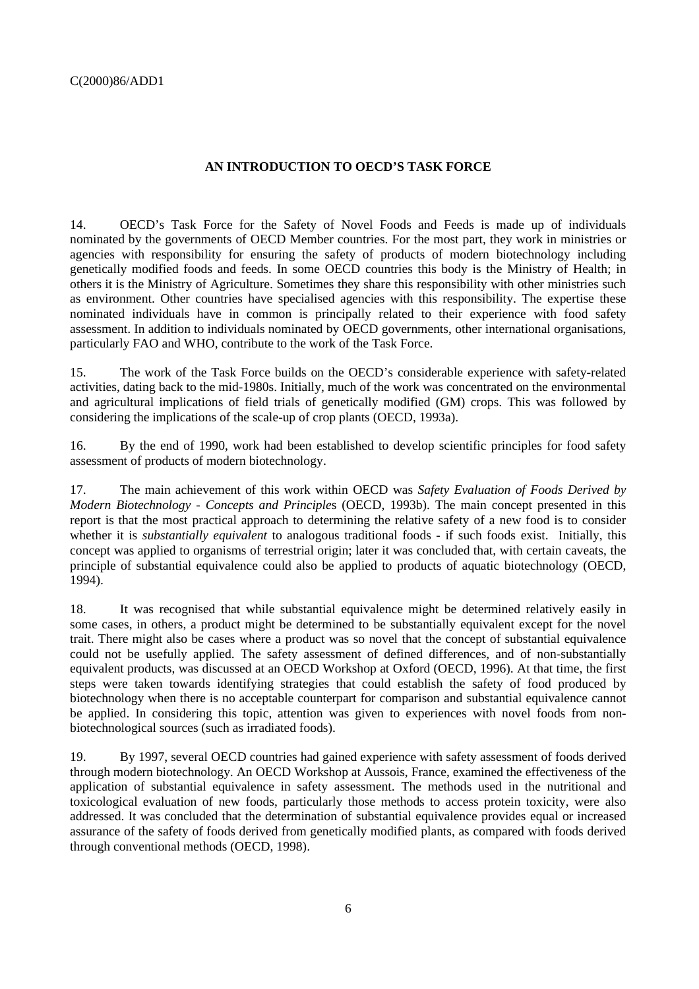# **AN INTRODUCTION TO OECD'S TASK FORCE**

14. OECD's Task Force for the Safety of Novel Foods and Feeds is made up of individuals nominated by the governments of OECD Member countries. For the most part, they work in ministries or agencies with responsibility for ensuring the safety of products of modern biotechnology including genetically modified foods and feeds. In some OECD countries this body is the Ministry of Health; in others it is the Ministry of Agriculture. Sometimes they share this responsibility with other ministries such as environment. Other countries have specialised agencies with this responsibility. The expertise these nominated individuals have in common is principally related to their experience with food safety assessment. In addition to individuals nominated by OECD governments, other international organisations, particularly FAO and WHO, contribute to the work of the Task Force.

15. The work of the Task Force builds on the OECD's considerable experience with safety-related activities, dating back to the mid-1980s. Initially, much of the work was concentrated on the environmental and agricultural implications of field trials of genetically modified (GM) crops. This was followed by considering the implications of the scale-up of crop plants (OECD, 1993a).

16. By the end of 1990, work had been established to develop scientific principles for food safety assessment of products of modern biotechnology.

17. The main achievement of this work within OECD was *Safety Evaluation of Foods Derived by Modern Biotechnology - Concepts and Principle*s (OECD, 1993b). The main concept presented in this report is that the most practical approach to determining the relative safety of a new food is to consider whether it is *substantially equivalent* to analogous traditional foods - if such foods exist. Initially, this concept was applied to organisms of terrestrial origin; later it was concluded that, with certain caveats, the principle of substantial equivalence could also be applied to products of aquatic biotechnology (OECD, 1994).

18. It was recognised that while substantial equivalence might be determined relatively easily in some cases, in others, a product might be determined to be substantially equivalent except for the novel trait. There might also be cases where a product was so novel that the concept of substantial equivalence could not be usefully applied. The safety assessment of defined differences, and of non-substantially equivalent products, was discussed at an OECD Workshop at Oxford (OECD, 1996). At that time, the first steps were taken towards identifying strategies that could establish the safety of food produced by biotechnology when there is no acceptable counterpart for comparison and substantial equivalence cannot be applied. In considering this topic, attention was given to experiences with novel foods from nonbiotechnological sources (such as irradiated foods).

19. By 1997, several OECD countries had gained experience with safety assessment of foods derived through modern biotechnology. An OECD Workshop at Aussois, France, examined the effectiveness of the application of substantial equivalence in safety assessment. The methods used in the nutritional and toxicological evaluation of new foods, particularly those methods to access protein toxicity, were also addressed. It was concluded that the determination of substantial equivalence provides equal or increased assurance of the safety of foods derived from genetically modified plants, as compared with foods derived through conventional methods (OECD, 1998).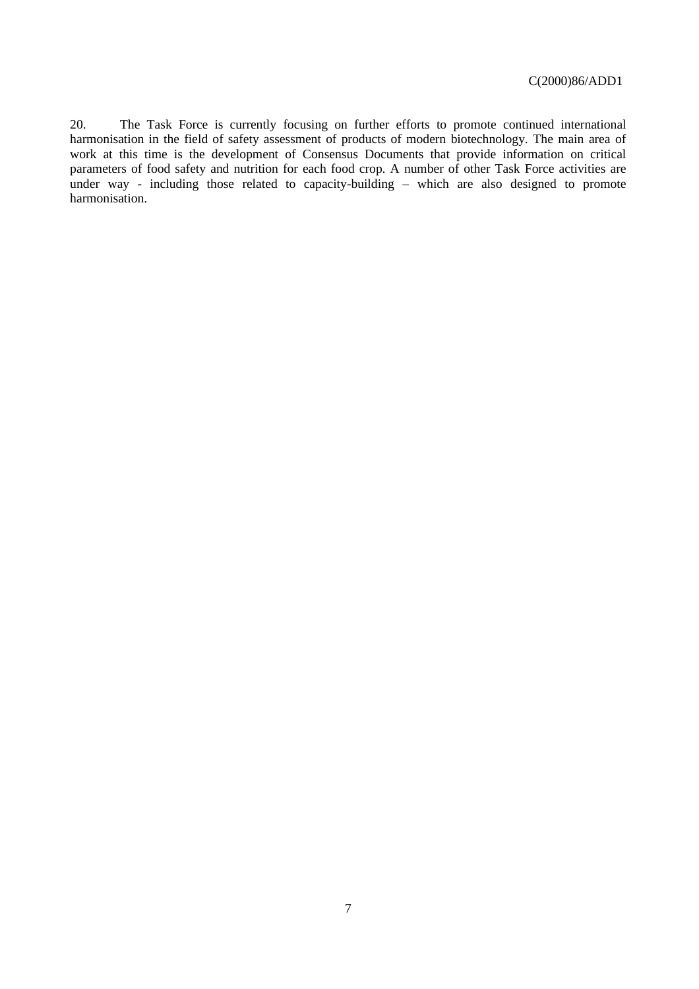20. The Task Force is currently focusing on further efforts to promote continued international harmonisation in the field of safety assessment of products of modern biotechnology. The main area of work at this time is the development of Consensus Documents that provide information on critical parameters of food safety and nutrition for each food crop. A number of other Task Force activities are under way - including those related to capacity-building – which are also designed to promote harmonisation.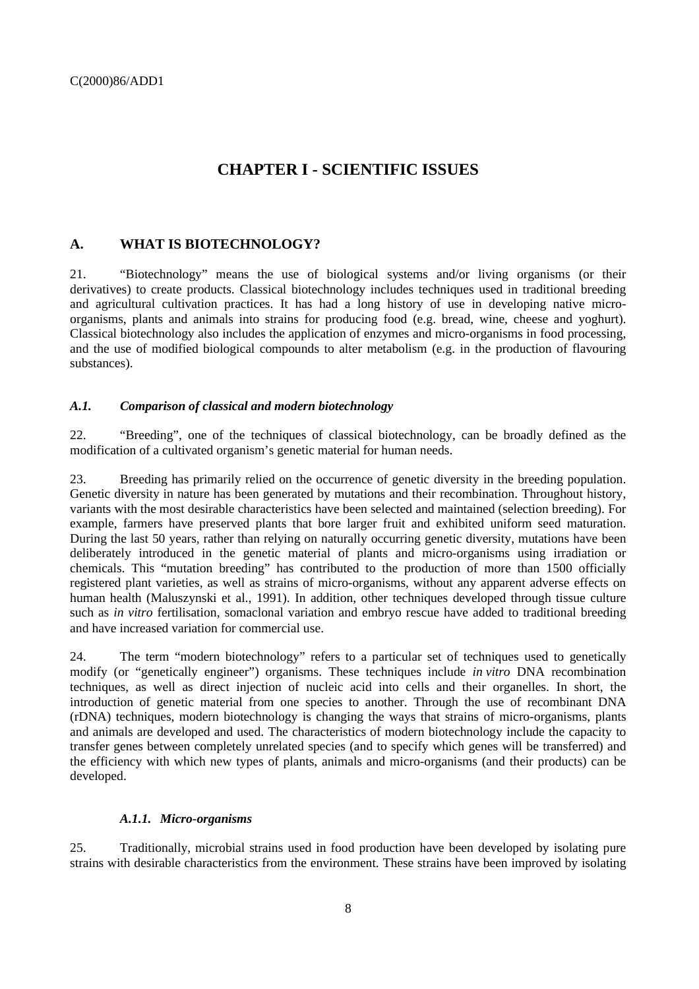# **CHAPTER I - SCIENTIFIC ISSUES**

# **A. WHAT IS BIOTECHNOLOGY?**

21. "Biotechnology" means the use of biological systems and/or living organisms (or their derivatives) to create products. Classical biotechnology includes techniques used in traditional breeding and agricultural cultivation practices. It has had a long history of use in developing native microorganisms, plants and animals into strains for producing food (e.g. bread, wine, cheese and yoghurt). Classical biotechnology also includes the application of enzymes and micro-organisms in food processing, and the use of modified biological compounds to alter metabolism (e.g. in the production of flavouring substances).

## *A.1. Comparison of classical and modern biotechnology*

22. "Breeding", one of the techniques of classical biotechnology, can be broadly defined as the modification of a cultivated organism's genetic material for human needs.

23. Breeding has primarily relied on the occurrence of genetic diversity in the breeding population. Genetic diversity in nature has been generated by mutations and their recombination. Throughout history, variants with the most desirable characteristics have been selected and maintained (selection breeding). For example, farmers have preserved plants that bore larger fruit and exhibited uniform seed maturation. During the last 50 years, rather than relying on naturally occurring genetic diversity, mutations have been deliberately introduced in the genetic material of plants and micro-organisms using irradiation or chemicals. This "mutation breeding" has contributed to the production of more than 1500 officially registered plant varieties, as well as strains of micro-organisms, without any apparent adverse effects on human health (Maluszynski et al., 1991). In addition, other techniques developed through tissue culture such as *in vitro* fertilisation, somaclonal variation and embryo rescue have added to traditional breeding and have increased variation for commercial use.

24. The term "modern biotechnology" refers to a particular set of techniques used to genetically modify (or "genetically engineer") organisms. These techniques include *in vitro* DNA recombination techniques, as well as direct injection of nucleic acid into cells and their organelles. In short, the introduction of genetic material from one species to another. Through the use of recombinant DNA (rDNA) techniques, modern biotechnology is changing the ways that strains of micro-organisms, plants and animals are developed and used. The characteristics of modern biotechnology include the capacity to transfer genes between completely unrelated species (and to specify which genes will be transferred) and the efficiency with which new types of plants, animals and micro-organisms (and their products) can be developed.

### *A.1.1. Micro-organisms*

25. Traditionally, microbial strains used in food production have been developed by isolating pure strains with desirable characteristics from the environment. These strains have been improved by isolating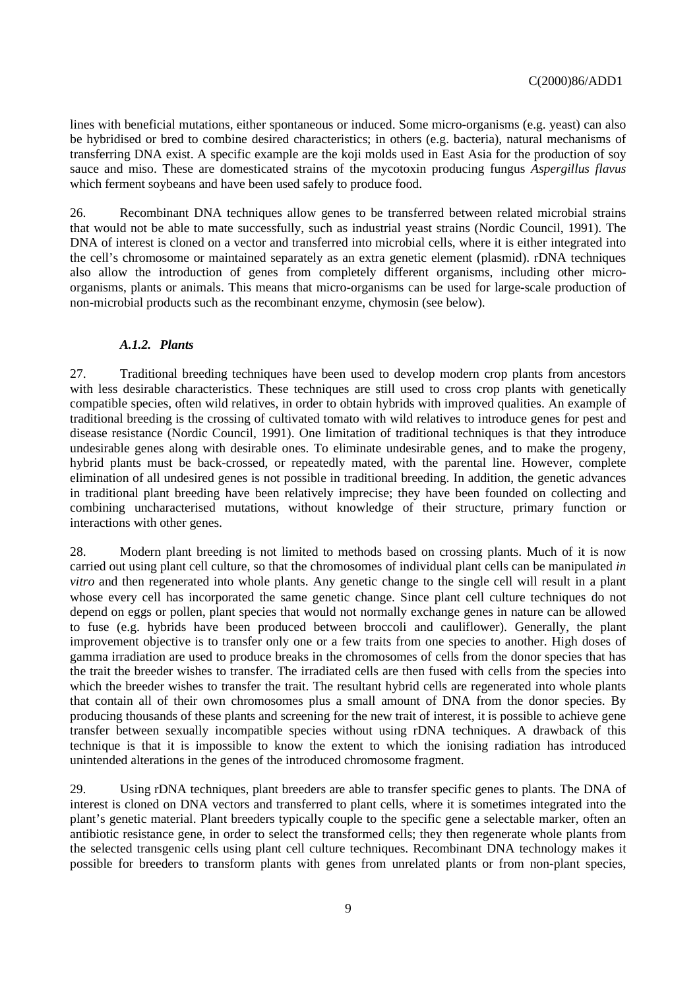lines with beneficial mutations, either spontaneous or induced. Some micro-organisms (e.g. yeast) can also be hybridised or bred to combine desired characteristics; in others (e.g. bacteria), natural mechanisms of transferring DNA exist. A specific example are the koji molds used in East Asia for the production of soy sauce and miso. These are domesticated strains of the mycotoxin producing fungus *Aspergillus flavus* which ferment soybeans and have been used safely to produce food.

26. Recombinant DNA techniques allow genes to be transferred between related microbial strains that would not be able to mate successfully, such as industrial yeast strains (Nordic Council, 1991). The DNA of interest is cloned on a vector and transferred into microbial cells, where it is either integrated into the cell's chromosome or maintained separately as an extra genetic element (plasmid). rDNA techniques also allow the introduction of genes from completely different organisms, including other microorganisms, plants or animals. This means that micro-organisms can be used for large-scale production of non-microbial products such as the recombinant enzyme, chymosin (see below).

#### *A.1.2. Plants*

27. Traditional breeding techniques have been used to develop modern crop plants from ancestors with less desirable characteristics. These techniques are still used to cross crop plants with genetically compatible species, often wild relatives, in order to obtain hybrids with improved qualities. An example of traditional breeding is the crossing of cultivated tomato with wild relatives to introduce genes for pest and disease resistance (Nordic Council, 1991). One limitation of traditional techniques is that they introduce undesirable genes along with desirable ones. To eliminate undesirable genes, and to make the progeny, hybrid plants must be back-crossed, or repeatedly mated, with the parental line. However, complete elimination of all undesired genes is not possible in traditional breeding. In addition, the genetic advances in traditional plant breeding have been relatively imprecise; they have been founded on collecting and combining uncharacterised mutations, without knowledge of their structure, primary function or interactions with other genes.

28. Modern plant breeding is not limited to methods based on crossing plants. Much of it is now carried out using plant cell culture, so that the chromosomes of individual plant cells can be manipulated *in vitro* and then regenerated into whole plants. Any genetic change to the single cell will result in a plant whose every cell has incorporated the same genetic change. Since plant cell culture techniques do not depend on eggs or pollen, plant species that would not normally exchange genes in nature can be allowed to fuse (e.g. hybrids have been produced between broccoli and cauliflower). Generally, the plant improvement objective is to transfer only one or a few traits from one species to another. High doses of gamma irradiation are used to produce breaks in the chromosomes of cells from the donor species that has the trait the breeder wishes to transfer. The irradiated cells are then fused with cells from the species into which the breeder wishes to transfer the trait. The resultant hybrid cells are regenerated into whole plants that contain all of their own chromosomes plus a small amount of DNA from the donor species. By producing thousands of these plants and screening for the new trait of interest, it is possible to achieve gene transfer between sexually incompatible species without using rDNA techniques. A drawback of this technique is that it is impossible to know the extent to which the ionising radiation has introduced unintended alterations in the genes of the introduced chromosome fragment.

29. Using rDNA techniques, plant breeders are able to transfer specific genes to plants. The DNA of interest is cloned on DNA vectors and transferred to plant cells, where it is sometimes integrated into the plant's genetic material. Plant breeders typically couple to the specific gene a selectable marker, often an antibiotic resistance gene, in order to select the transformed cells; they then regenerate whole plants from the selected transgenic cells using plant cell culture techniques. Recombinant DNA technology makes it possible for breeders to transform plants with genes from unrelated plants or from non-plant species,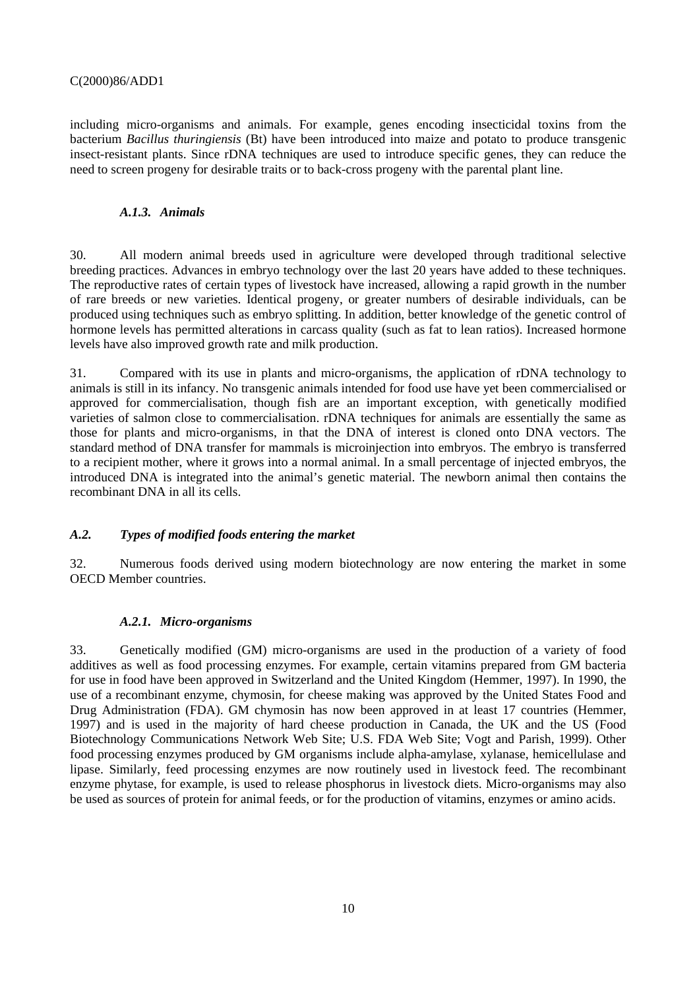including micro-organisms and animals. For example, genes encoding insecticidal toxins from the bacterium *Bacillus thuringiensis* (Bt) have been introduced into maize and potato to produce transgenic insect-resistant plants. Since rDNA techniques are used to introduce specific genes, they can reduce the need to screen progeny for desirable traits or to back-cross progeny with the parental plant line.

#### *A.1.3. Animals*

30. All modern animal breeds used in agriculture were developed through traditional selective breeding practices. Advances in embryo technology over the last 20 years have added to these techniques. The reproductive rates of certain types of livestock have increased, allowing a rapid growth in the number of rare breeds or new varieties. Identical progeny, or greater numbers of desirable individuals, can be produced using techniques such as embryo splitting. In addition, better knowledge of the genetic control of hormone levels has permitted alterations in carcass quality (such as fat to lean ratios). Increased hormone levels have also improved growth rate and milk production.

31. Compared with its use in plants and micro-organisms, the application of rDNA technology to animals is still in its infancy. No transgenic animals intended for food use have yet been commercialised or approved for commercialisation, though fish are an important exception, with genetically modified varieties of salmon close to commercialisation. rDNA techniques for animals are essentially the same as those for plants and micro-organisms, in that the DNA of interest is cloned onto DNA vectors. The standard method of DNA transfer for mammals is microinjection into embryos. The embryo is transferred to a recipient mother, where it grows into a normal animal. In a small percentage of injected embryos, the introduced DNA is integrated into the animal's genetic material. The newborn animal then contains the recombinant DNA in all its cells.

### *A.2. Types of modified foods entering the market*

32. Numerous foods derived using modern biotechnology are now entering the market in some OECD Member countries.

#### *A.2.1. Micro-organisms*

33. Genetically modified (GM) micro-organisms are used in the production of a variety of food additives as well as food processing enzymes. For example, certain vitamins prepared from GM bacteria for use in food have been approved in Switzerland and the United Kingdom (Hemmer, 1997). In 1990, the use of a recombinant enzyme, chymosin, for cheese making was approved by the United States Food and Drug Administration (FDA). GM chymosin has now been approved in at least 17 countries (Hemmer, 1997) and is used in the majority of hard cheese production in Canada, the UK and the US (Food Biotechnology Communications Network Web Site; U.S. FDA Web Site; Vogt and Parish, 1999). Other food processing enzymes produced by GM organisms include alpha-amylase, xylanase, hemicellulase and lipase. Similarly, feed processing enzymes are now routinely used in livestock feed. The recombinant enzyme phytase, for example, is used to release phosphorus in livestock diets. Micro-organisms may also be used as sources of protein for animal feeds, or for the production of vitamins, enzymes or amino acids.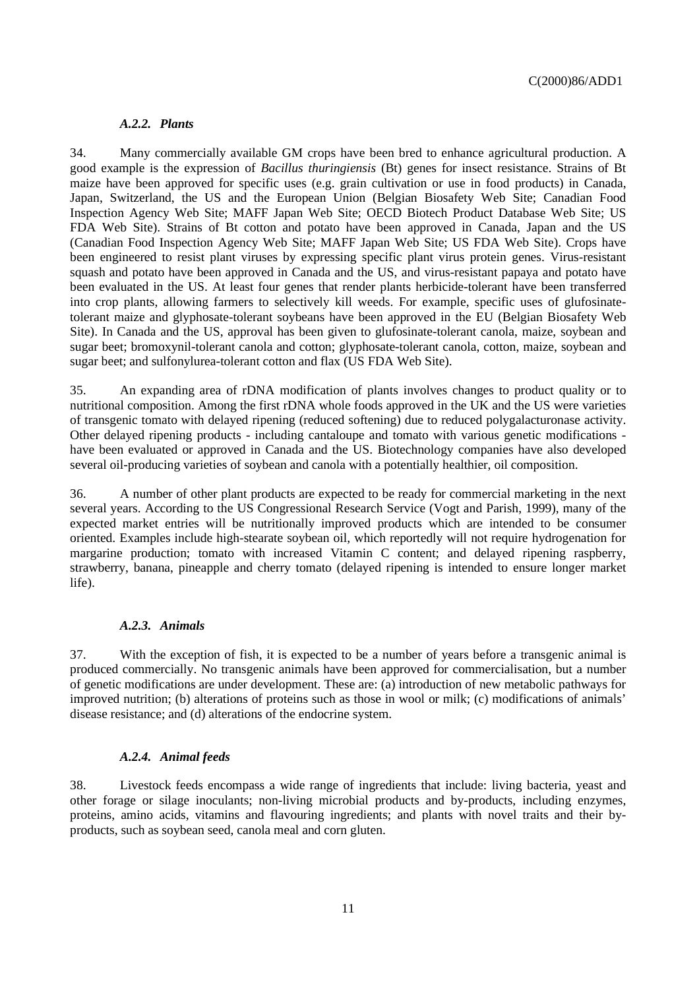#### *A.2.2. Plants*

34. Many commercially available GM crops have been bred to enhance agricultural production. A good example is the expression of *Bacillus thuringiensis* (Bt) genes for insect resistance. Strains of Bt maize have been approved for specific uses (e.g. grain cultivation or use in food products) in Canada, Japan, Switzerland, the US and the European Union (Belgian Biosafety Web Site; Canadian Food Inspection Agency Web Site; MAFF Japan Web Site; OECD Biotech Product Database Web Site; US FDA Web Site). Strains of Bt cotton and potato have been approved in Canada, Japan and the US (Canadian Food Inspection Agency Web Site; MAFF Japan Web Site; US FDA Web Site). Crops have been engineered to resist plant viruses by expressing specific plant virus protein genes. Virus-resistant squash and potato have been approved in Canada and the US, and virus-resistant papaya and potato have been evaluated in the US. At least four genes that render plants herbicide-tolerant have been transferred into crop plants, allowing farmers to selectively kill weeds. For example, specific uses of glufosinatetolerant maize and glyphosate-tolerant soybeans have been approved in the EU (Belgian Biosafety Web Site). In Canada and the US, approval has been given to glufosinate-tolerant canola, maize, soybean and sugar beet; bromoxynil-tolerant canola and cotton; glyphosate-tolerant canola, cotton, maize, soybean and sugar beet; and sulfonylurea-tolerant cotton and flax (US FDA Web Site).

35. An expanding area of rDNA modification of plants involves changes to product quality or to nutritional composition. Among the first rDNA whole foods approved in the UK and the US were varieties of transgenic tomato with delayed ripening (reduced softening) due to reduced polygalacturonase activity. Other delayed ripening products - including cantaloupe and tomato with various genetic modifications have been evaluated or approved in Canada and the US. Biotechnology companies have also developed several oil-producing varieties of soybean and canola with a potentially healthier, oil composition.

36. A number of other plant products are expected to be ready for commercial marketing in the next several years. According to the US Congressional Research Service (Vogt and Parish, 1999), many of the expected market entries will be nutritionally improved products which are intended to be consumer oriented. Examples include high-stearate soybean oil, which reportedly will not require hydrogenation for margarine production; tomato with increased Vitamin C content; and delayed ripening raspberry, strawberry, banana, pineapple and cherry tomato (delayed ripening is intended to ensure longer market life).

#### *A.2.3. Animals*

37. With the exception of fish, it is expected to be a number of years before a transgenic animal is produced commercially. No transgenic animals have been approved for commercialisation, but a number of genetic modifications are under development. These are: (a) introduction of new metabolic pathways for improved nutrition; (b) alterations of proteins such as those in wool or milk; (c) modifications of animals' disease resistance; and (d) alterations of the endocrine system.

#### *A.2.4. Animal feeds*

38. Livestock feeds encompass a wide range of ingredients that include: living bacteria, yeast and other forage or silage inoculants; non-living microbial products and by-products, including enzymes, proteins, amino acids, vitamins and flavouring ingredients; and plants with novel traits and their byproducts, such as soybean seed, canola meal and corn gluten.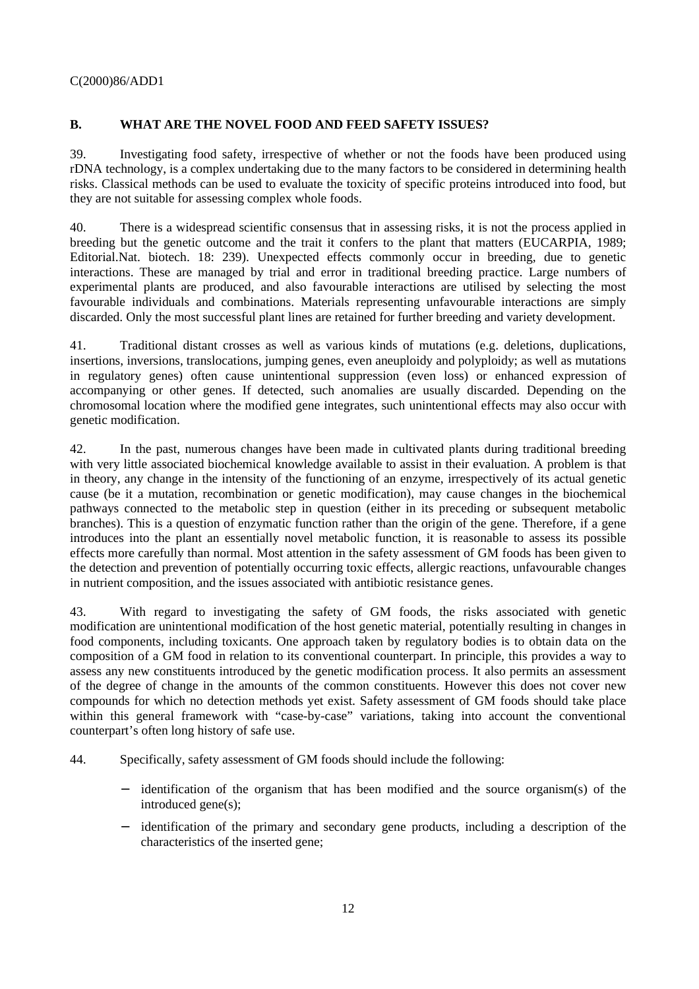# **B. WHAT ARE THE NOVEL FOOD AND FEED SAFETY ISSUES?**

39. Investigating food safety, irrespective of whether or not the foods have been produced using rDNA technology, is a complex undertaking due to the many factors to be considered in determining health risks. Classical methods can be used to evaluate the toxicity of specific proteins introduced into food, but they are not suitable for assessing complex whole foods.

40. There is a widespread scientific consensus that in assessing risks, it is not the process applied in breeding but the genetic outcome and the trait it confers to the plant that matters (EUCARPIA, 1989; Editorial.Nat. biotech. 18: 239). Unexpected effects commonly occur in breeding, due to genetic interactions. These are managed by trial and error in traditional breeding practice. Large numbers of experimental plants are produced, and also favourable interactions are utilised by selecting the most favourable individuals and combinations. Materials representing unfavourable interactions are simply discarded. Only the most successful plant lines are retained for further breeding and variety development.

41. Traditional distant crosses as well as various kinds of mutations (e.g. deletions, duplications, insertions, inversions, translocations, jumping genes, even aneuploidy and polyploidy; as well as mutations in regulatory genes) often cause unintentional suppression (even loss) or enhanced expression of accompanying or other genes. If detected, such anomalies are usually discarded. Depending on the chromosomal location where the modified gene integrates, such unintentional effects may also occur with genetic modification.

42. In the past, numerous changes have been made in cultivated plants during traditional breeding with very little associated biochemical knowledge available to assist in their evaluation. A problem is that in theory, any change in the intensity of the functioning of an enzyme, irrespectively of its actual genetic cause (be it a mutation, recombination or genetic modification), may cause changes in the biochemical pathways connected to the metabolic step in question (either in its preceding or subsequent metabolic branches). This is a question of enzymatic function rather than the origin of the gene. Therefore, if a gene introduces into the plant an essentially novel metabolic function, it is reasonable to assess its possible effects more carefully than normal. Most attention in the safety assessment of GM foods has been given to the detection and prevention of potentially occurring toxic effects, allergic reactions, unfavourable changes in nutrient composition, and the issues associated with antibiotic resistance genes.

43. With regard to investigating the safety of GM foods, the risks associated with genetic modification are unintentional modification of the host genetic material, potentially resulting in changes in food components, including toxicants. One approach taken by regulatory bodies is to obtain data on the composition of a GM food in relation to its conventional counterpart. In principle, this provides a way to assess any new constituents introduced by the genetic modification process. It also permits an assessment of the degree of change in the amounts of the common constituents. However this does not cover new compounds for which no detection methods yet exist. Safety assessment of GM foods should take place within this general framework with "case-by-case" variations, taking into account the conventional counterpart's often long history of safe use.

- 44. Specifically, safety assessment of GM foods should include the following:
	- identification of the organism that has been modified and the source organism(s) of the introduced gene(s);
	- − identification of the primary and secondary gene products, including a description of the characteristics of the inserted gene;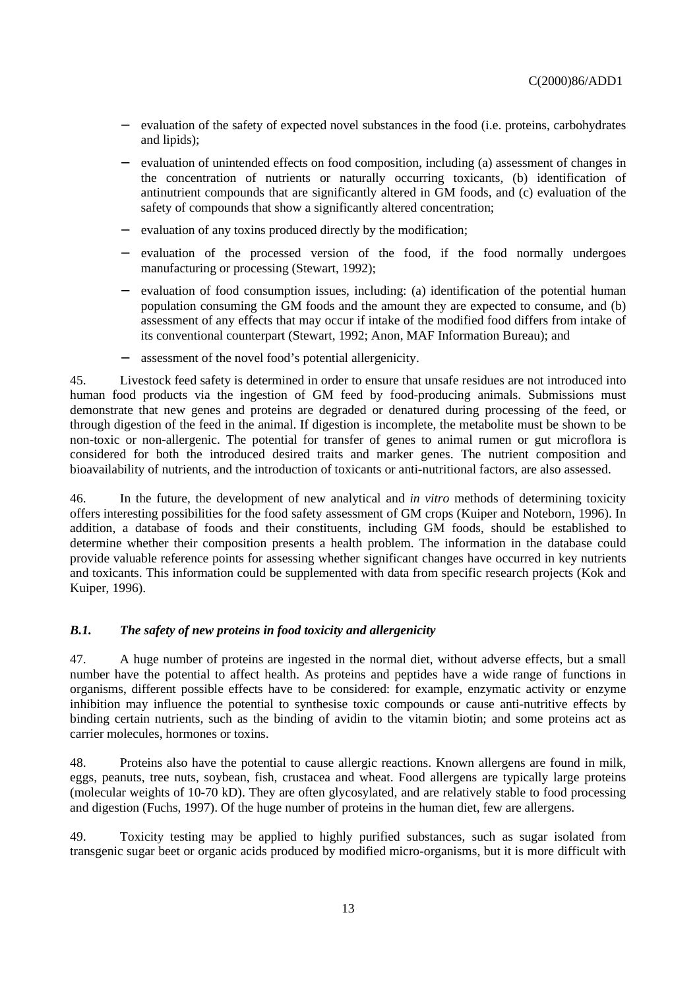- − evaluation of the safety of expected novel substances in the food (i.e. proteins, carbohydrates and lipids);
- − evaluation of unintended effects on food composition, including (a) assessment of changes in the concentration of nutrients or naturally occurring toxicants, (b) identification of antinutrient compounds that are significantly altered in GM foods, and (c) evaluation of the safety of compounds that show a significantly altered concentration;
- evaluation of any toxins produced directly by the modification;
- − evaluation of the processed version of the food, if the food normally undergoes manufacturing or processing (Stewart, 1992);
- − evaluation of food consumption issues, including: (a) identification of the potential human population consuming the GM foods and the amount they are expected to consume, and (b) assessment of any effects that may occur if intake of the modified food differs from intake of its conventional counterpart (Stewart, 1992; Anon, MAF Information Bureau); and
- assessment of the novel food's potential allergenicity.

45. Livestock feed safety is determined in order to ensure that unsafe residues are not introduced into human food products via the ingestion of GM feed by food-producing animals. Submissions must demonstrate that new genes and proteins are degraded or denatured during processing of the feed, or through digestion of the feed in the animal. If digestion is incomplete, the metabolite must be shown to be non-toxic or non-allergenic. The potential for transfer of genes to animal rumen or gut microflora is considered for both the introduced desired traits and marker genes. The nutrient composition and bioavailability of nutrients, and the introduction of toxicants or anti-nutritional factors, are also assessed.

46. In the future, the development of new analytical and *in vitro* methods of determining toxicity offers interesting possibilities for the food safety assessment of GM crops (Kuiper and Noteborn, 1996). In addition, a database of foods and their constituents, including GM foods, should be established to determine whether their composition presents a health problem. The information in the database could provide valuable reference points for assessing whether significant changes have occurred in key nutrients and toxicants. This information could be supplemented with data from specific research projects (Kok and Kuiper, 1996).

### *B.1. The safety of new proteins in food toxicity and allergenicity*

47. A huge number of proteins are ingested in the normal diet, without adverse effects, but a small number have the potential to affect health. As proteins and peptides have a wide range of functions in organisms, different possible effects have to be considered: for example, enzymatic activity or enzyme inhibition may influence the potential to synthesise toxic compounds or cause anti-nutritive effects by binding certain nutrients, such as the binding of avidin to the vitamin biotin; and some proteins act as carrier molecules, hormones or toxins.

48. Proteins also have the potential to cause allergic reactions. Known allergens are found in milk, eggs, peanuts, tree nuts, soybean, fish, crustacea and wheat. Food allergens are typically large proteins (molecular weights of 10-70 kD). They are often glycosylated, and are relatively stable to food processing and digestion (Fuchs, 1997). Of the huge number of proteins in the human diet, few are allergens.

49. Toxicity testing may be applied to highly purified substances, such as sugar isolated from transgenic sugar beet or organic acids produced by modified micro-organisms, but it is more difficult with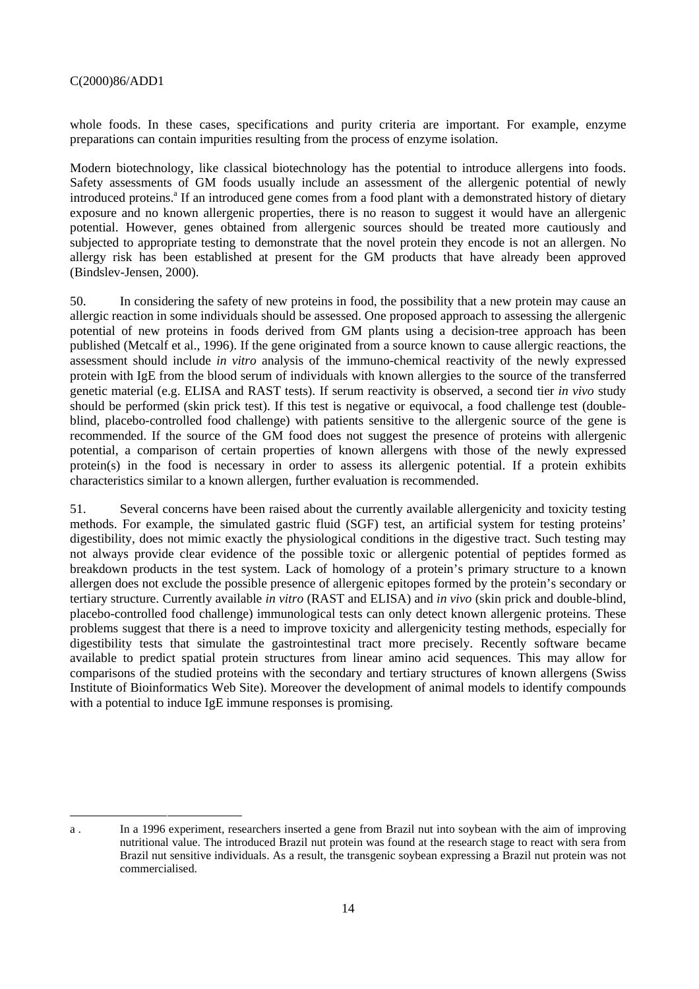1

whole foods. In these cases, specifications and purity criteria are important. For example, enzyme preparations can contain impurities resulting from the process of enzyme isolation.

Modern biotechnology, like classical biotechnology has the potential to introduce allergens into foods. Safety assessments of GM foods usually include an assessment of the allergenic potential of newly introduced proteins.<sup>a</sup> If an introduced gene comes from a food plant with a demonstrated history of dietary exposure and no known allergenic properties, there is no reason to suggest it would have an allergenic potential. However, genes obtained from allergenic sources should be treated more cautiously and subjected to appropriate testing to demonstrate that the novel protein they encode is not an allergen. No allergy risk has been established at present for the GM products that have already been approved (Bindslev-Jensen, 2000).

50. In considering the safety of new proteins in food, the possibility that a new protein may cause an allergic reaction in some individuals should be assessed. One proposed approach to assessing the allergenic potential of new proteins in foods derived from GM plants using a decision-tree approach has been published (Metcalf et al., 1996). If the gene originated from a source known to cause allergic reactions, the assessment should include *in vitro* analysis of the immuno-chemical reactivity of the newly expressed protein with IgE from the blood serum of individuals with known allergies to the source of the transferred genetic material (e.g. ELISA and RAST tests). If serum reactivity is observed, a second tier *in vivo* study should be performed (skin prick test). If this test is negative or equivocal, a food challenge test (doubleblind, placebo-controlled food challenge) with patients sensitive to the allergenic source of the gene is recommended. If the source of the GM food does not suggest the presence of proteins with allergenic potential, a comparison of certain properties of known allergens with those of the newly expressed protein(s) in the food is necessary in order to assess its allergenic potential. If a protein exhibits characteristics similar to a known allergen, further evaluation is recommended.

51. Several concerns have been raised about the currently available allergenicity and toxicity testing methods. For example, the simulated gastric fluid (SGF) test, an artificial system for testing proteins' digestibility, does not mimic exactly the physiological conditions in the digestive tract. Such testing may not always provide clear evidence of the possible toxic or allergenic potential of peptides formed as breakdown products in the test system. Lack of homology of a protein's primary structure to a known allergen does not exclude the possible presence of allergenic epitopes formed by the protein's secondary or tertiary structure. Currently available *in vitro* (RAST and ELISA) and *in vivo* (skin prick and double-blind, placebo-controlled food challenge) immunological tests can only detect known allergenic proteins. These problems suggest that there is a need to improve toxicity and allergenicity testing methods, especially for digestibility tests that simulate the gastrointestinal tract more precisely. Recently software became available to predict spatial protein structures from linear amino acid sequences. This may allow for comparisons of the studied proteins with the secondary and tertiary structures of known allergens (Swiss Institute of Bioinformatics Web Site). Moreover the development of animal models to identify compounds with a potential to induce IgE immune responses is promising.

a . In a 1996 experiment, researchers inserted a gene from Brazil nut into soybean with the aim of improving nutritional value. The introduced Brazil nut protein was found at the research stage to react with sera from Brazil nut sensitive individuals. As a result, the transgenic soybean expressing a Brazil nut protein was not commercialised.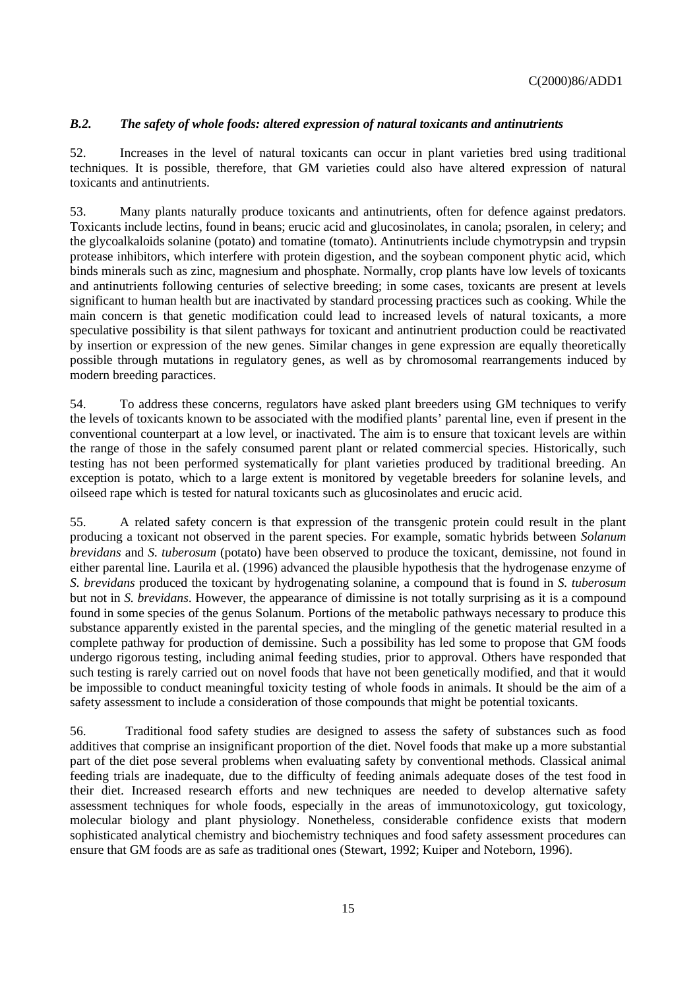# *B.2. The safety of whole foods: altered expression of natural toxicants and antinutrients*

52. Increases in the level of natural toxicants can occur in plant varieties bred using traditional techniques. It is possible, therefore, that GM varieties could also have altered expression of natural toxicants and antinutrients.

53. Many plants naturally produce toxicants and antinutrients, often for defence against predators. Toxicants include lectins, found in beans; erucic acid and glucosinolates, in canola; psoralen, in celery; and the glycoalkaloids solanine (potato) and tomatine (tomato). Antinutrients include chymotrypsin and trypsin protease inhibitors, which interfere with protein digestion, and the soybean component phytic acid, which binds minerals such as zinc, magnesium and phosphate. Normally, crop plants have low levels of toxicants and antinutrients following centuries of selective breeding; in some cases, toxicants are present at levels significant to human health but are inactivated by standard processing practices such as cooking. While the main concern is that genetic modification could lead to increased levels of natural toxicants, a more speculative possibility is that silent pathways for toxicant and antinutrient production could be reactivated by insertion or expression of the new genes. Similar changes in gene expression are equally theoretically possible through mutations in regulatory genes, as well as by chromosomal rearrangements induced by modern breeding paractices.

54. To address these concerns, regulators have asked plant breeders using GM techniques to verify the levels of toxicants known to be associated with the modified plants' parental line, even if present in the conventional counterpart at a low level, or inactivated. The aim is to ensure that toxicant levels are within the range of those in the safely consumed parent plant or related commercial species. Historically, such testing has not been performed systematically for plant varieties produced by traditional breeding. An exception is potato, which to a large extent is monitored by vegetable breeders for solanine levels, and oilseed rape which is tested for natural toxicants such as glucosinolates and erucic acid.

55. A related safety concern is that expression of the transgenic protein could result in the plant producing a toxicant not observed in the parent species. For example, somatic hybrids between *Solanum brevidans* and *S. tuberosum* (potato) have been observed to produce the toxicant, demissine, not found in either parental line. Laurila et al. (1996) advanced the plausible hypothesis that the hydrogenase enzyme of *S. brevidans* produced the toxicant by hydrogenating solanine, a compound that is found in *S. tuberosum* but not in *S. brevidans*. However, the appearance of dimissine is not totally surprising as it is a compound found in some species of the genus Solanum. Portions of the metabolic pathways necessary to produce this substance apparently existed in the parental species, and the mingling of the genetic material resulted in a complete pathway for production of demissine. Such a possibility has led some to propose that GM foods undergo rigorous testing, including animal feeding studies, prior to approval. Others have responded that such testing is rarely carried out on novel foods that have not been genetically modified, and that it would be impossible to conduct meaningful toxicity testing of whole foods in animals. It should be the aim of a safety assessment to include a consideration of those compounds that might be potential toxicants.

56. Traditional food safety studies are designed to assess the safety of substances such as food additives that comprise an insignificant proportion of the diet. Novel foods that make up a more substantial part of the diet pose several problems when evaluating safety by conventional methods. Classical animal feeding trials are inadequate, due to the difficulty of feeding animals adequate doses of the test food in their diet. Increased research efforts and new techniques are needed to develop alternative safety assessment techniques for whole foods, especially in the areas of immunotoxicology, gut toxicology, molecular biology and plant physiology. Nonetheless, considerable confidence exists that modern sophisticated analytical chemistry and biochemistry techniques and food safety assessment procedures can ensure that GM foods are as safe as traditional ones (Stewart, 1992; Kuiper and Noteborn, 1996).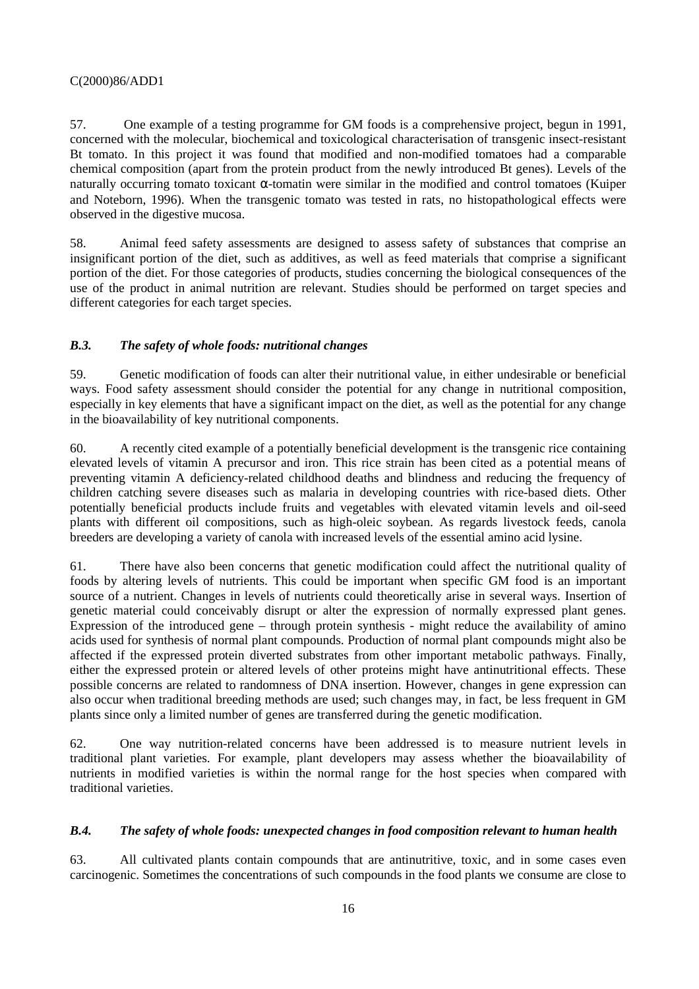57. One example of a testing programme for GM foods is a comprehensive project, begun in 1991, concerned with the molecular, biochemical and toxicological characterisation of transgenic insect-resistant Bt tomato. In this project it was found that modified and non-modified tomatoes had a comparable chemical composition (apart from the protein product from the newly introduced Bt genes). Levels of the naturally occurring tomato toxicant α-tomatin were similar in the modified and control tomatoes (Kuiper and Noteborn, 1996). When the transgenic tomato was tested in rats, no histopathological effects were observed in the digestive mucosa.

58. Animal feed safety assessments are designed to assess safety of substances that comprise an insignificant portion of the diet, such as additives, as well as feed materials that comprise a significant portion of the diet. For those categories of products, studies concerning the biological consequences of the use of the product in animal nutrition are relevant. Studies should be performed on target species and different categories for each target species.

# *B.3. The safety of whole foods: nutritional changes*

59. Genetic modification of foods can alter their nutritional value, in either undesirable or beneficial ways. Food safety assessment should consider the potential for any change in nutritional composition, especially in key elements that have a significant impact on the diet, as well as the potential for any change in the bioavailability of key nutritional components.

60. A recently cited example of a potentially beneficial development is the transgenic rice containing elevated levels of vitamin A precursor and iron. This rice strain has been cited as a potential means of preventing vitamin A deficiency-related childhood deaths and blindness and reducing the frequency of children catching severe diseases such as malaria in developing countries with rice-based diets. Other potentially beneficial products include fruits and vegetables with elevated vitamin levels and oil-seed plants with different oil compositions, such as high-oleic soybean. As regards livestock feeds, canola breeders are developing a variety of canola with increased levels of the essential amino acid lysine.

61. There have also been concerns that genetic modification could affect the nutritional quality of foods by altering levels of nutrients. This could be important when specific GM food is an important source of a nutrient. Changes in levels of nutrients could theoretically arise in several ways. Insertion of genetic material could conceivably disrupt or alter the expression of normally expressed plant genes. Expression of the introduced gene – through protein synthesis - might reduce the availability of amino acids used for synthesis of normal plant compounds. Production of normal plant compounds might also be affected if the expressed protein diverted substrates from other important metabolic pathways. Finally, either the expressed protein or altered levels of other proteins might have antinutritional effects. These possible concerns are related to randomness of DNA insertion. However, changes in gene expression can also occur when traditional breeding methods are used; such changes may, in fact, be less frequent in GM plants since only a limited number of genes are transferred during the genetic modification.

62. One way nutrition-related concerns have been addressed is to measure nutrient levels in traditional plant varieties. For example, plant developers may assess whether the bioavailability of nutrients in modified varieties is within the normal range for the host species when compared with traditional varieties.

### *B.4. The safety of whole foods: unexpected changes in food composition relevant to human health*

63. All cultivated plants contain compounds that are antinutritive, toxic, and in some cases even carcinogenic. Sometimes the concentrations of such compounds in the food plants we consume are close to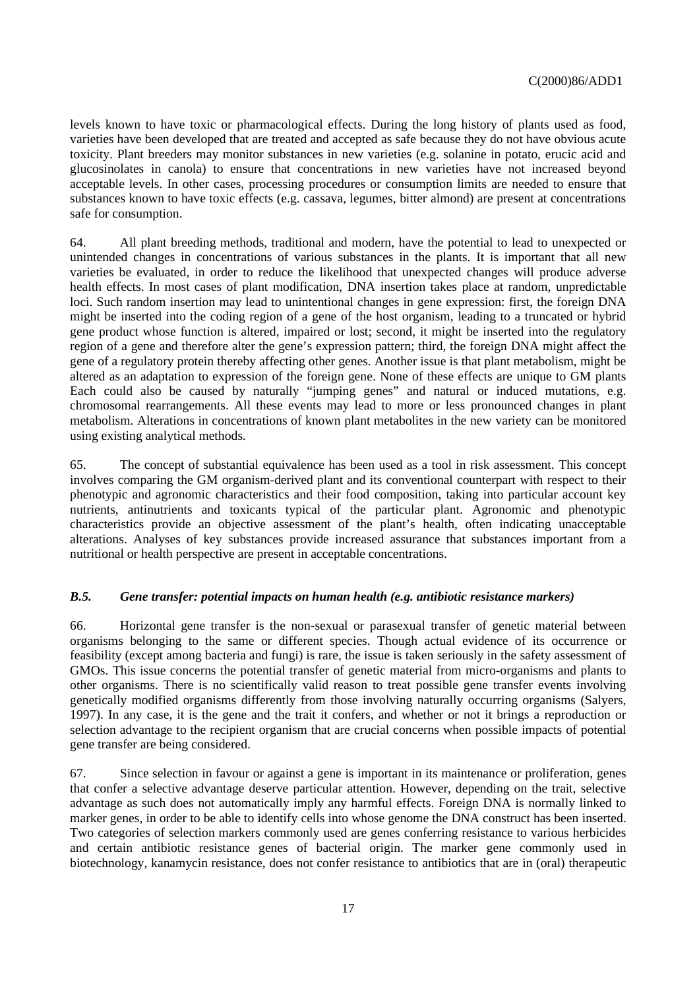levels known to have toxic or pharmacological effects. During the long history of plants used as food, varieties have been developed that are treated and accepted as safe because they do not have obvious acute toxicity. Plant breeders may monitor substances in new varieties (e.g. solanine in potato, erucic acid and glucosinolates in canola) to ensure that concentrations in new varieties have not increased beyond acceptable levels. In other cases, processing procedures or consumption limits are needed to ensure that substances known to have toxic effects (e.g. cassava, legumes, bitter almond) are present at concentrations safe for consumption.

64. All plant breeding methods, traditional and modern, have the potential to lead to unexpected or unintended changes in concentrations of various substances in the plants. It is important that all new varieties be evaluated, in order to reduce the likelihood that unexpected changes will produce adverse health effects. In most cases of plant modification, DNA insertion takes place at random, unpredictable loci. Such random insertion may lead to unintentional changes in gene expression: first, the foreign DNA might be inserted into the coding region of a gene of the host organism, leading to a truncated or hybrid gene product whose function is altered, impaired or lost; second, it might be inserted into the regulatory region of a gene and therefore alter the gene's expression pattern; third, the foreign DNA might affect the gene of a regulatory protein thereby affecting other genes. Another issue is that plant metabolism, might be altered as an adaptation to expression of the foreign gene. None of these effects are unique to GM plants Each could also be caused by naturally "jumping genes" and natural or induced mutations, e.g. chromosomal rearrangements. All these events may lead to more or less pronounced changes in plant metabolism. Alterations in concentrations of known plant metabolites in the new variety can be monitored using existing analytical methods*.*

65. The concept of substantial equivalence has been used as a tool in risk assessment. This concept involves comparing the GM organism-derived plant and its conventional counterpart with respect to their phenotypic and agronomic characteristics and their food composition, taking into particular account key nutrients, antinutrients and toxicants typical of the particular plant. Agronomic and phenotypic characteristics provide an objective assessment of the plant's health, often indicating unacceptable alterations. Analyses of key substances provide increased assurance that substances important from a nutritional or health perspective are present in acceptable concentrations.

### *B.5. Gene transfer: potential impacts on human health (e.g. antibiotic resistance markers)*

66. Horizontal gene transfer is the non-sexual or parasexual transfer of genetic material between organisms belonging to the same or different species. Though actual evidence of its occurrence or feasibility (except among bacteria and fungi) is rare, the issue is taken seriously in the safety assessment of GMOs. This issue concerns the potential transfer of genetic material from micro-organisms and plants to other organisms. There is no scientifically valid reason to treat possible gene transfer events involving genetically modified organisms differently from those involving naturally occurring organisms (Salyers, 1997). In any case, it is the gene and the trait it confers, and whether or not it brings a reproduction or selection advantage to the recipient organism that are crucial concerns when possible impacts of potential gene transfer are being considered.

67. Since selection in favour or against a gene is important in its maintenance or proliferation, genes that confer a selective advantage deserve particular attention. However, depending on the trait, selective advantage as such does not automatically imply any harmful effects. Foreign DNA is normally linked to marker genes, in order to be able to identify cells into whose genome the DNA construct has been inserted. Two categories of selection markers commonly used are genes conferring resistance to various herbicides and certain antibiotic resistance genes of bacterial origin. The marker gene commonly used in biotechnology, kanamycin resistance, does not confer resistance to antibiotics that are in (oral) therapeutic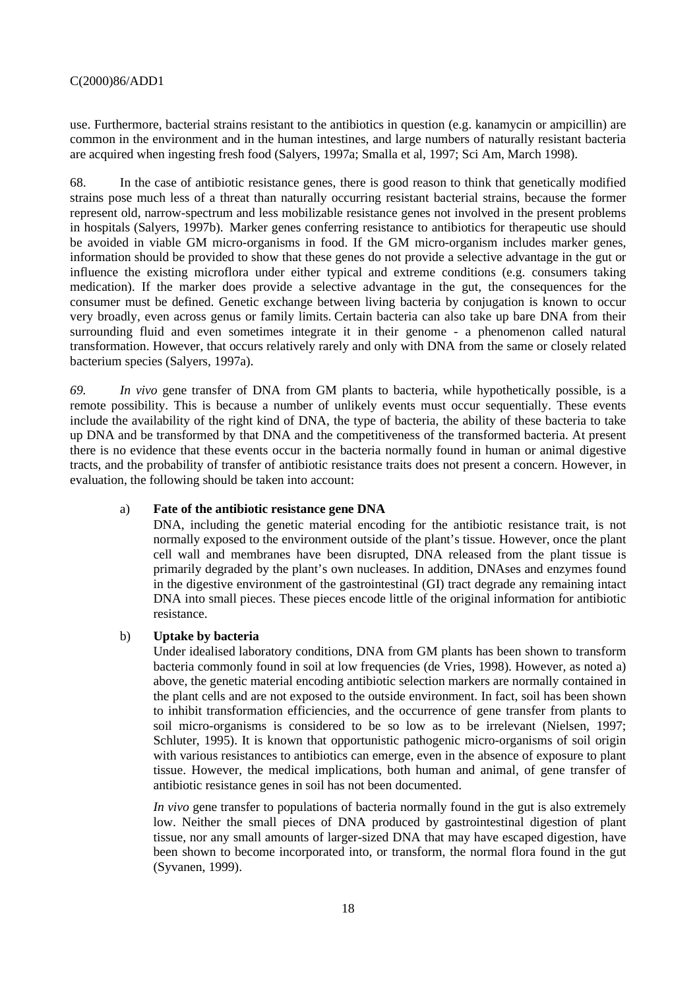use. Furthermore, bacterial strains resistant to the antibiotics in question (e.g. kanamycin or ampicillin) are common in the environment and in the human intestines, and large numbers of naturally resistant bacteria are acquired when ingesting fresh food (Salyers, 1997a; Smalla et al, 1997; Sci Am, March 1998).

68. In the case of antibiotic resistance genes, there is good reason to think that genetically modified strains pose much less of a threat than naturally occurring resistant bacterial strains, because the former represent old, narrow-spectrum and less mobilizable resistance genes not involved in the present problems in hospitals (Salyers, 1997b). Marker genes conferring resistance to antibiotics for therapeutic use should be avoided in viable GM micro-organisms in food. If the GM micro-organism includes marker genes, information should be provided to show that these genes do not provide a selective advantage in the gut or influence the existing microflora under either typical and extreme conditions (e.g. consumers taking medication). If the marker does provide a selective advantage in the gut, the consequences for the consumer must be defined. Genetic exchange between living bacteria by conjugation is known to occur very broadly, even across genus or family limits. Certain bacteria can also take up bare DNA from their surrounding fluid and even sometimes integrate it in their genome - a phenomenon called natural transformation. However, that occurs relatively rarely and only with DNA from the same or closely related bacterium species (Salyers, 1997a).

*69. In vivo* gene transfer of DNA from GM plants to bacteria, while hypothetically possible, is a remote possibility. This is because a number of unlikely events must occur sequentially. These events include the availability of the right kind of DNA, the type of bacteria, the ability of these bacteria to take up DNA and be transformed by that DNA and the competitiveness of the transformed bacteria. At present there is no evidence that these events occur in the bacteria normally found in human or animal digestive tracts, and the probability of transfer of antibiotic resistance traits does not present a concern. However, in evaluation, the following should be taken into account:

# a) **Fate of the antibiotic resistance gene DNA**

DNA, including the genetic material encoding for the antibiotic resistance trait, is not normally exposed to the environment outside of the plant's tissue. However, once the plant cell wall and membranes have been disrupted, DNA released from the plant tissue is primarily degraded by the plant's own nucleases. In addition, DNAses and enzymes found in the digestive environment of the gastrointestinal (GI) tract degrade any remaining intact DNA into small pieces. These pieces encode little of the original information for antibiotic resistance.

#### b) **Uptake by bacteria**

Under idealised laboratory conditions, DNA from GM plants has been shown to transform bacteria commonly found in soil at low frequencies (de Vries, 1998). However, as noted a) above, the genetic material encoding antibiotic selection markers are normally contained in the plant cells and are not exposed to the outside environment. In fact, soil has been shown to inhibit transformation efficiencies, and the occurrence of gene transfer from plants to soil micro-organisms is considered to be so low as to be irrelevant (Nielsen, 1997; Schluter, 1995). It is known that opportunistic pathogenic micro-organisms of soil origin with various resistances to antibiotics can emerge, even in the absence of exposure to plant tissue. However, the medical implications, both human and animal, of gene transfer of antibiotic resistance genes in soil has not been documented.

*In vivo* gene transfer to populations of bacteria normally found in the gut is also extremely low. Neither the small pieces of DNA produced by gastrointestinal digestion of plant tissue, nor any small amounts of larger-sized DNA that may have escaped digestion, have been shown to become incorporated into, or transform, the normal flora found in the gut (Syvanen, 1999).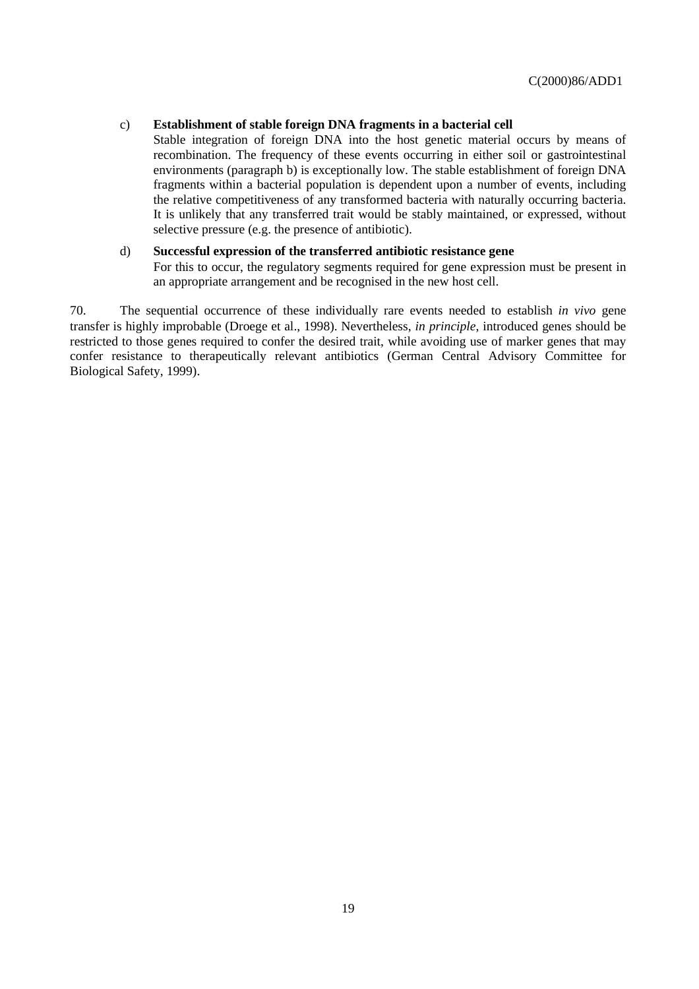### c) **Establishment of stable foreign DNA fragments in a bacterial cell**

Stable integration of foreign DNA into the host genetic material occurs by means of recombination. The frequency of these events occurring in either soil or gastrointestinal environments (paragraph b) is exceptionally low. The stable establishment of foreign DNA fragments within a bacterial population is dependent upon a number of events, including the relative competitiveness of any transformed bacteria with naturally occurring bacteria. It is unlikely that any transferred trait would be stably maintained, or expressed, without selective pressure (e.g. the presence of antibiotic).

### d) **Successful expression of the transferred antibiotic resistance gene**

For this to occur, the regulatory segments required for gene expression must be present in an appropriate arrangement and be recognised in the new host cell.

70. The sequential occurrence of these individually rare events needed to establish *in vivo* gene transfer is highly improbable (Droege et al., 1998). Nevertheless, *in principle*, introduced genes should be restricted to those genes required to confer the desired trait, while avoiding use of marker genes that may confer resistance to therapeutically relevant antibiotics (German Central Advisory Committee for Biological Safety, 1999).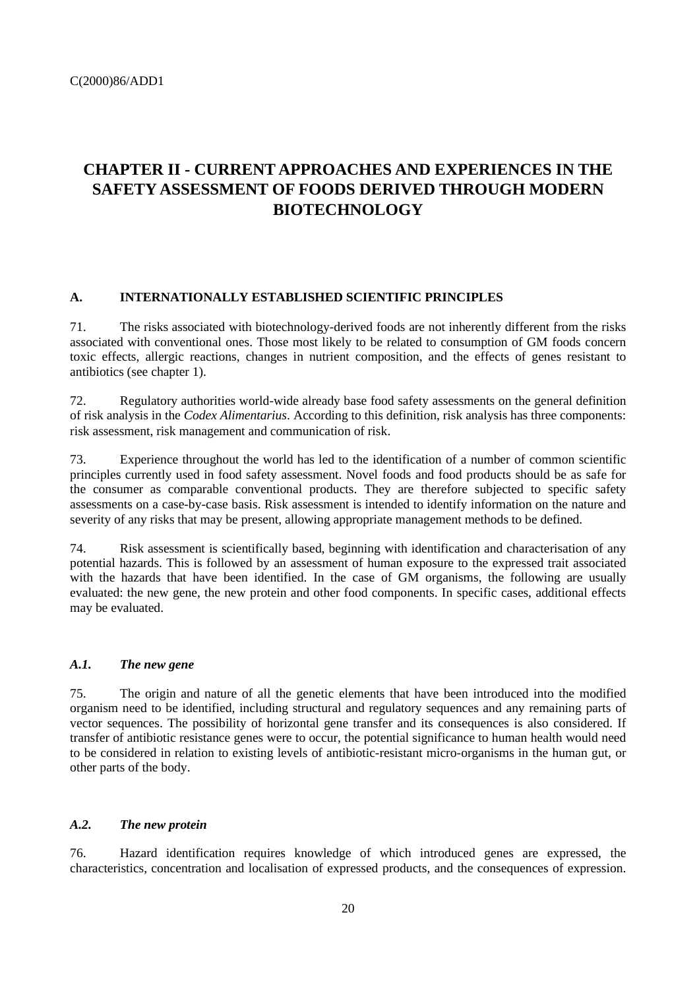# **CHAPTER II - CURRENT APPROACHES AND EXPERIENCES IN THE SAFETY ASSESSMENT OF FOODS DERIVED THROUGH MODERN BIOTECHNOLOGY**

### **A. INTERNATIONALLY ESTABLISHED SCIENTIFIC PRINCIPLES**

71. The risks associated with biotechnology-derived foods are not inherently different from the risks associated with conventional ones. Those most likely to be related to consumption of GM foods concern toxic effects, allergic reactions, changes in nutrient composition, and the effects of genes resistant to antibiotics (see chapter 1).

72. Regulatory authorities world-wide already base food safety assessments on the general definition of risk analysis in the *Codex Alimentarius*. According to this definition, risk analysis has three components: risk assessment, risk management and communication of risk.

73. Experience throughout the world has led to the identification of a number of common scientific principles currently used in food safety assessment. Novel foods and food products should be as safe for the consumer as comparable conventional products. They are therefore subjected to specific safety assessments on a case-by-case basis. Risk assessment is intended to identify information on the nature and severity of any risks that may be present, allowing appropriate management methods to be defined.

74. Risk assessment is scientifically based, beginning with identification and characterisation of any potential hazards. This is followed by an assessment of human exposure to the expressed trait associated with the hazards that have been identified. In the case of GM organisms, the following are usually evaluated: the new gene, the new protein and other food components. In specific cases, additional effects may be evaluated.

#### *A.1. The new gene*

75. The origin and nature of all the genetic elements that have been introduced into the modified organism need to be identified, including structural and regulatory sequences and any remaining parts of vector sequences. The possibility of horizontal gene transfer and its consequences is also considered. If transfer of antibiotic resistance genes were to occur, the potential significance to human health would need to be considered in relation to existing levels of antibiotic-resistant micro-organisms in the human gut, or other parts of the body.

### *A.2. The new protein*

76. Hazard identification requires knowledge of which introduced genes are expressed, the characteristics, concentration and localisation of expressed products, and the consequences of expression.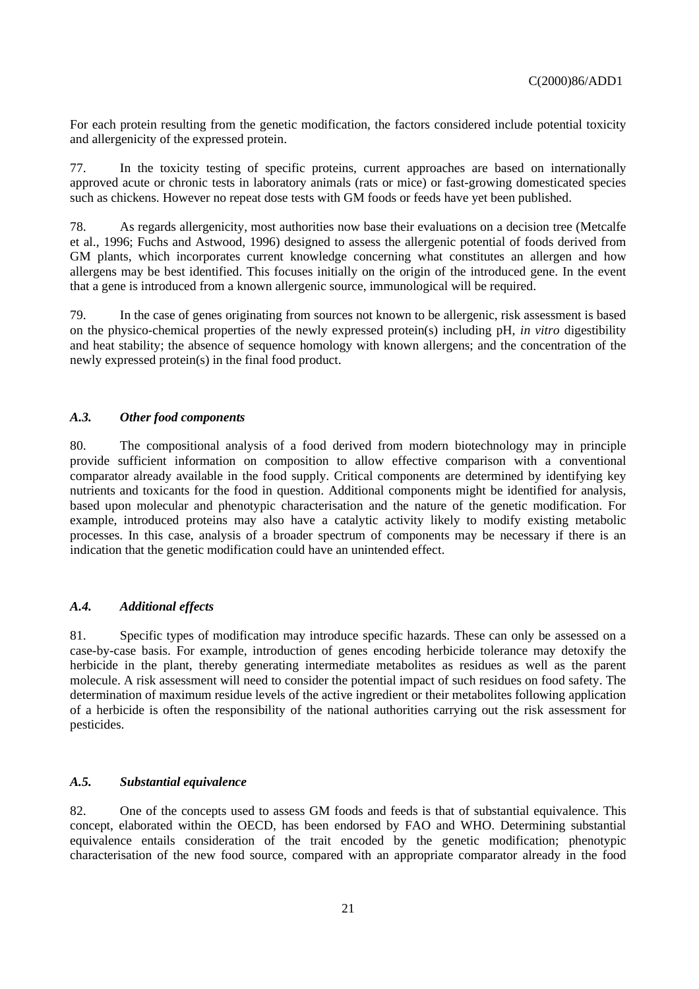For each protein resulting from the genetic modification, the factors considered include potential toxicity and allergenicity of the expressed protein.

77. In the toxicity testing of specific proteins, current approaches are based on internationally approved acute or chronic tests in laboratory animals (rats or mice) or fast-growing domesticated species such as chickens. However no repeat dose tests with GM foods or feeds have yet been published.

78. As regards allergenicity, most authorities now base their evaluations on a decision tree (Metcalfe et al., 1996; Fuchs and Astwood, 1996) designed to assess the allergenic potential of foods derived from GM plants, which incorporates current knowledge concerning what constitutes an allergen and how allergens may be best identified. This focuses initially on the origin of the introduced gene. In the event that a gene is introduced from a known allergenic source, immunological will be required.

79. In the case of genes originating from sources not known to be allergenic, risk assessment is based on the physico-chemical properties of the newly expressed protein(s) including pH, *in vitro* digestibility and heat stability; the absence of sequence homology with known allergens; and the concentration of the newly expressed protein(s) in the final food product.

#### *A.3. Other food components*

80. The compositional analysis of a food derived from modern biotechnology may in principle provide sufficient information on composition to allow effective comparison with a conventional comparator already available in the food supply. Critical components are determined by identifying key nutrients and toxicants for the food in question. Additional components might be identified for analysis, based upon molecular and phenotypic characterisation and the nature of the genetic modification. For example, introduced proteins may also have a catalytic activity likely to modify existing metabolic processes. In this case, analysis of a broader spectrum of components may be necessary if there is an indication that the genetic modification could have an unintended effect.

### *A.4. Additional effects*

81. Specific types of modification may introduce specific hazards. These can only be assessed on a case-by-case basis. For example, introduction of genes encoding herbicide tolerance may detoxify the herbicide in the plant, thereby generating intermediate metabolites as residues as well as the parent molecule. A risk assessment will need to consider the potential impact of such residues on food safety. The determination of maximum residue levels of the active ingredient or their metabolites following application of a herbicide is often the responsibility of the national authorities carrying out the risk assessment for pesticides.

### *A.5. Substantial equivalence*

82. One of the concepts used to assess GM foods and feeds is that of substantial equivalence. This concept, elaborated within the OECD, has been endorsed by FAO and WHO. Determining substantial equivalence entails consideration of the trait encoded by the genetic modification; phenotypic characterisation of the new food source, compared with an appropriate comparator already in the food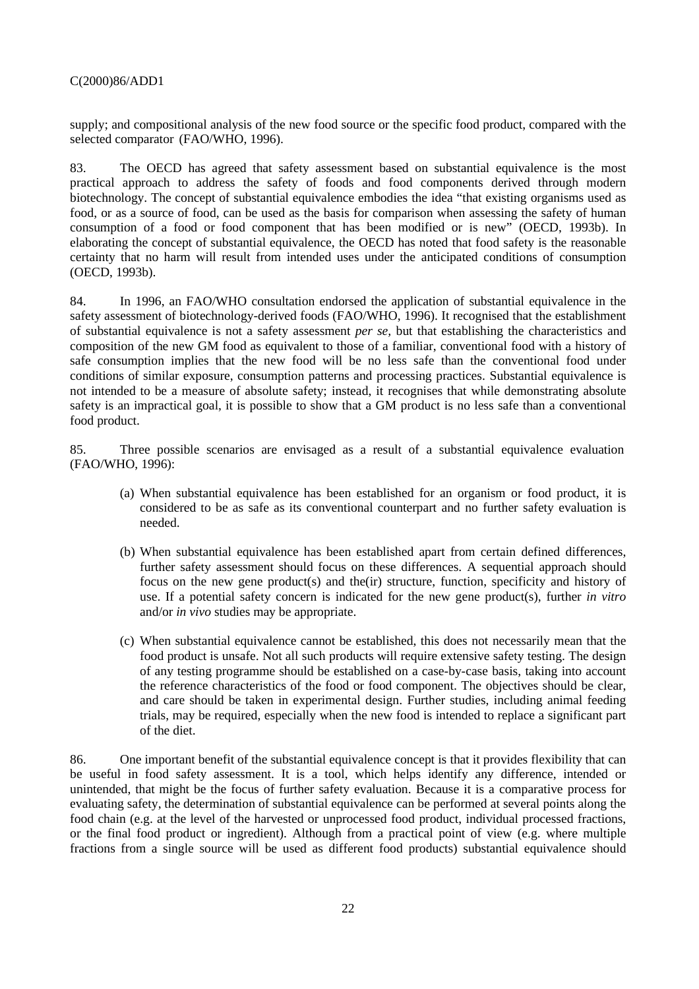supply; and compositional analysis of the new food source or the specific food product, compared with the selected comparator (FAO/WHO, 1996).

83. The OECD has agreed that safety assessment based on substantial equivalence is the most practical approach to address the safety of foods and food components derived through modern biotechnology. The concept of substantial equivalence embodies the idea "that existing organisms used as food, or as a source of food, can be used as the basis for comparison when assessing the safety of human consumption of a food or food component that has been modified or is new" (OECD, 1993b). In elaborating the concept of substantial equivalence, the OECD has noted that food safety is the reasonable certainty that no harm will result from intended uses under the anticipated conditions of consumption (OECD, 1993b).

84. In 1996, an FAO/WHO consultation endorsed the application of substantial equivalence in the safety assessment of biotechnology-derived foods (FAO/WHO, 1996). It recognised that the establishment of substantial equivalence is not a safety assessment *per se,* but that establishing the characteristics and composition of the new GM food as equivalent to those of a familiar, conventional food with a history of safe consumption implies that the new food will be no less safe than the conventional food under conditions of similar exposure, consumption patterns and processing practices. Substantial equivalence is not intended to be a measure of absolute safety; instead, it recognises that while demonstrating absolute safety is an impractical goal, it is possible to show that a GM product is no less safe than a conventional food product.

85. Three possible scenarios are envisaged as a result of a substantial equivalence evaluation (FAO/WHO, 1996):

- (a) When substantial equivalence has been established for an organism or food product, it is considered to be as safe as its conventional counterpart and no further safety evaluation is needed.
- (b) When substantial equivalence has been established apart from certain defined differences, further safety assessment should focus on these differences. A sequential approach should focus on the new gene product(s) and the(ir) structure, function, specificity and history of use. If a potential safety concern is indicated for the new gene product(s), further *in vitro* and/or *in vivo* studies may be appropriate.
- (c) When substantial equivalence cannot be established, this does not necessarily mean that the food product is unsafe. Not all such products will require extensive safety testing. The design of any testing programme should be established on a case-by-case basis, taking into account the reference characteristics of the food or food component. The objectives should be clear, and care should be taken in experimental design. Further studies, including animal feeding trials, may be required, especially when the new food is intended to replace a significant part of the diet.

86. One important benefit of the substantial equivalence concept is that it provides flexibility that can be useful in food safety assessment. It is a tool, which helps identify any difference, intended or unintended, that might be the focus of further safety evaluation. Because it is a comparative process for evaluating safety, the determination of substantial equivalence can be performed at several points along the food chain (e.g. at the level of the harvested or unprocessed food product, individual processed fractions, or the final food product or ingredient). Although from a practical point of view (e.g. where multiple fractions from a single source will be used as different food products) substantial equivalence should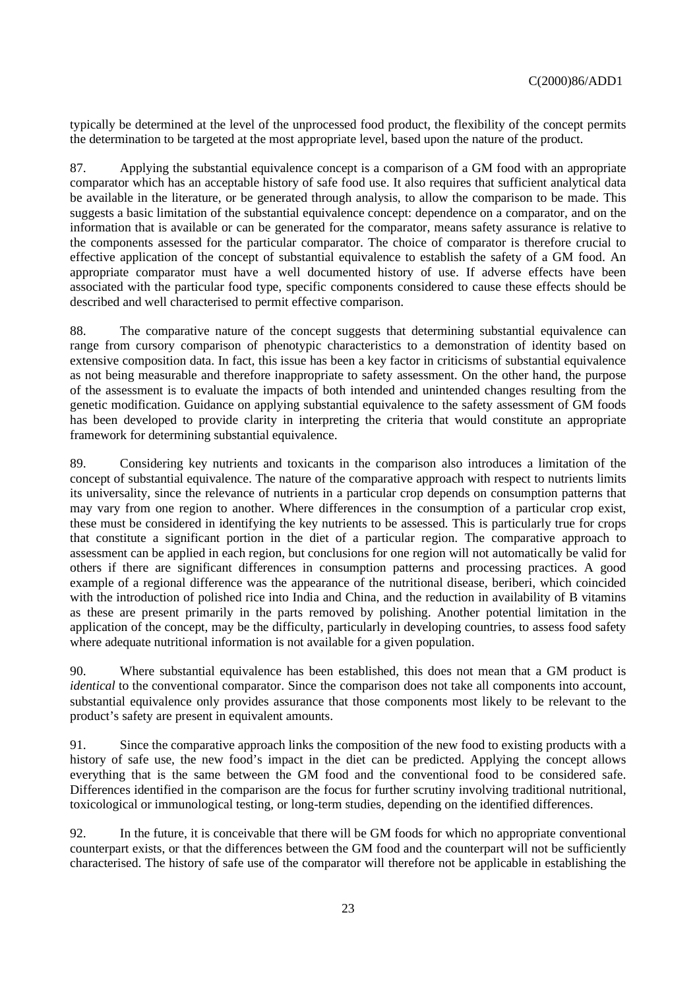typically be determined at the level of the unprocessed food product, the flexibility of the concept permits the determination to be targeted at the most appropriate level, based upon the nature of the product.

87. Applying the substantial equivalence concept is a comparison of a GM food with an appropriate comparator which has an acceptable history of safe food use. It also requires that sufficient analytical data be available in the literature, or be generated through analysis, to allow the comparison to be made. This suggests a basic limitation of the substantial equivalence concept: dependence on a comparator, and on the information that is available or can be generated for the comparator, means safety assurance is relative to the components assessed for the particular comparator. The choice of comparator is therefore crucial to effective application of the concept of substantial equivalence to establish the safety of a GM food. An appropriate comparator must have a well documented history of use. If adverse effects have been associated with the particular food type, specific components considered to cause these effects should be described and well characterised to permit effective comparison.

88. The comparative nature of the concept suggests that determining substantial equivalence can range from cursory comparison of phenotypic characteristics to a demonstration of identity based on extensive composition data. In fact, this issue has been a key factor in criticisms of substantial equivalence as not being measurable and therefore inappropriate to safety assessment. On the other hand, the purpose of the assessment is to evaluate the impacts of both intended and unintended changes resulting from the genetic modification. Guidance on applying substantial equivalence to the safety assessment of GM foods has been developed to provide clarity in interpreting the criteria that would constitute an appropriate framework for determining substantial equivalence.

89. Considering key nutrients and toxicants in the comparison also introduces a limitation of the concept of substantial equivalence. The nature of the comparative approach with respect to nutrients limits its universality, since the relevance of nutrients in a particular crop depends on consumption patterns that may vary from one region to another. Where differences in the consumption of a particular crop exist, these must be considered in identifying the key nutrients to be assessed. This is particularly true for crops that constitute a significant portion in the diet of a particular region. The comparative approach to assessment can be applied in each region, but conclusions for one region will not automatically be valid for others if there are significant differences in consumption patterns and processing practices. A good example of a regional difference was the appearance of the nutritional disease, beriberi, which coincided with the introduction of polished rice into India and China, and the reduction in availability of B vitamins as these are present primarily in the parts removed by polishing. Another potential limitation in the application of the concept, may be the difficulty, particularly in developing countries, to assess food safety where adequate nutritional information is not available for a given population.

90. Where substantial equivalence has been established, this does not mean that a GM product is *identical* to the conventional comparator. Since the comparison does not take all components into account, substantial equivalence only provides assurance that those components most likely to be relevant to the product's safety are present in equivalent amounts.

91. Since the comparative approach links the composition of the new food to existing products with a history of safe use, the new food's impact in the diet can be predicted. Applying the concept allows everything that is the same between the GM food and the conventional food to be considered safe. Differences identified in the comparison are the focus for further scrutiny involving traditional nutritional, toxicological or immunological testing, or long-term studies, depending on the identified differences.

92. In the future, it is conceivable that there will be GM foods for which no appropriate conventional counterpart exists, or that the differences between the GM food and the counterpart will not be sufficiently characterised. The history of safe use of the comparator will therefore not be applicable in establishing the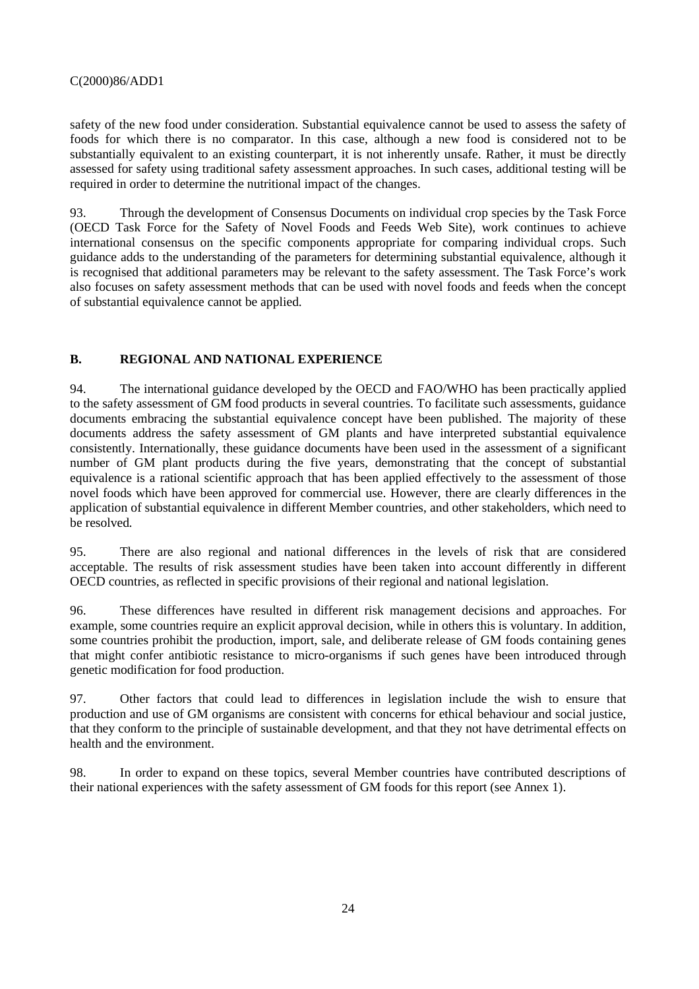safety of the new food under consideration. Substantial equivalence cannot be used to assess the safety of foods for which there is no comparator. In this case, although a new food is considered not to be substantially equivalent to an existing counterpart, it is not inherently unsafe. Rather, it must be directly assessed for safety using traditional safety assessment approaches. In such cases, additional testing will be required in order to determine the nutritional impact of the changes.

93. Through the development of Consensus Documents on individual crop species by the Task Force (OECD Task Force for the Safety of Novel Foods and Feeds Web Site), work continues to achieve international consensus on the specific components appropriate for comparing individual crops. Such guidance adds to the understanding of the parameters for determining substantial equivalence, although it is recognised that additional parameters may be relevant to the safety assessment. The Task Force's work also focuses on safety assessment methods that can be used with novel foods and feeds when the concept of substantial equivalence cannot be applied.

# **B. REGIONAL AND NATIONAL EXPERIENCE**

94. The international guidance developed by the OECD and FAO/WHO has been practically applied to the safety assessment of GM food products in several countries. To facilitate such assessments, guidance documents embracing the substantial equivalence concept have been published. The majority of these documents address the safety assessment of GM plants and have interpreted substantial equivalence consistently. Internationally, these guidance documents have been used in the assessment of a significant number of GM plant products during the five years, demonstrating that the concept of substantial equivalence is a rational scientific approach that has been applied effectively to the assessment of those novel foods which have been approved for commercial use. However, there are clearly differences in the application of substantial equivalence in different Member countries, and other stakeholders, which need to be resolved*.*

95. There are also regional and national differences in the levels of risk that are considered acceptable. The results of risk assessment studies have been taken into account differently in different OECD countries, as reflected in specific provisions of their regional and national legislation.

96. These differences have resulted in different risk management decisions and approaches. For example, some countries require an explicit approval decision, while in others this is voluntary. In addition, some countries prohibit the production, import, sale, and deliberate release of GM foods containing genes that might confer antibiotic resistance to micro-organisms if such genes have been introduced through genetic modification for food production.

97. Other factors that could lead to differences in legislation include the wish to ensure that production and use of GM organisms are consistent with concerns for ethical behaviour and social justice, that they conform to the principle of sustainable development, and that they not have detrimental effects on health and the environment.

98. In order to expand on these topics, several Member countries have contributed descriptions of their national experiences with the safety assessment of GM foods for this report (see Annex 1).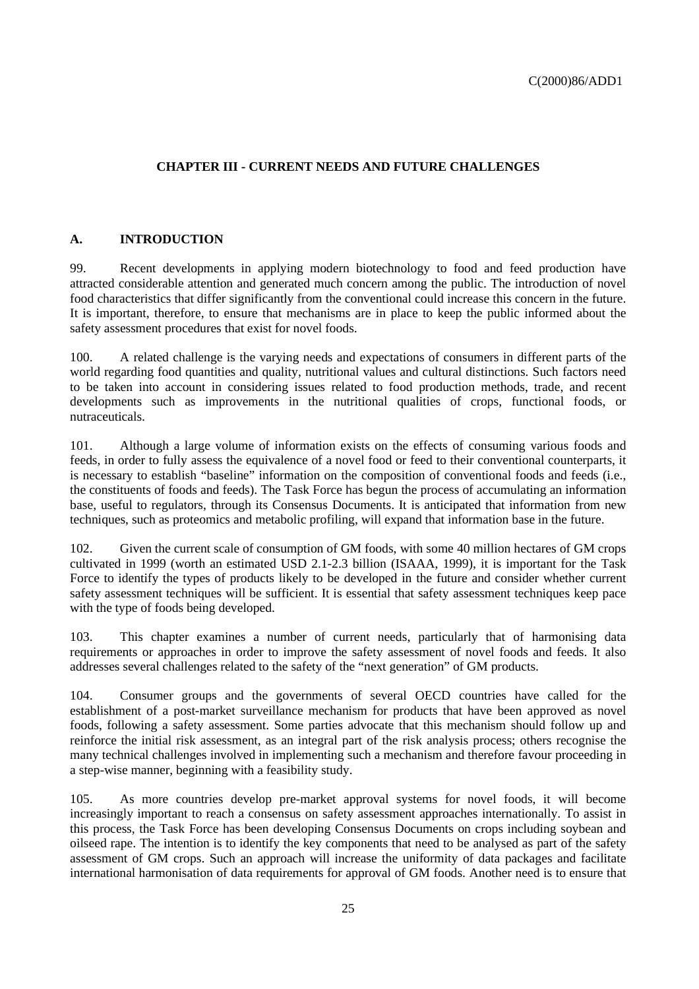# **CHAPTER III - CURRENT NEEDS AND FUTURE CHALLENGES**

# **A. INTRODUCTION**

99. Recent developments in applying modern biotechnology to food and feed production have attracted considerable attention and generated much concern among the public. The introduction of novel food characteristics that differ significantly from the conventional could increase this concern in the future. It is important, therefore, to ensure that mechanisms are in place to keep the public informed about the safety assessment procedures that exist for novel foods.

100. A related challenge is the varying needs and expectations of consumers in different parts of the world regarding food quantities and quality, nutritional values and cultural distinctions. Such factors need to be taken into account in considering issues related to food production methods, trade, and recent developments such as improvements in the nutritional qualities of crops, functional foods, or nutraceuticals.

101. Although a large volume of information exists on the effects of consuming various foods and feeds, in order to fully assess the equivalence of a novel food or feed to their conventional counterparts, it is necessary to establish "baseline" information on the composition of conventional foods and feeds (i.e., the constituents of foods and feeds). The Task Force has begun the process of accumulating an information base, useful to regulators, through its Consensus Documents. It is anticipated that information from new techniques, such as proteomics and metabolic profiling, will expand that information base in the future.

102. Given the current scale of consumption of GM foods, with some 40 million hectares of GM crops cultivated in 1999 (worth an estimated USD 2.1-2.3 billion (ISAAA, 1999), it is important for the Task Force to identify the types of products likely to be developed in the future and consider whether current safety assessment techniques will be sufficient. It is essential that safety assessment techniques keep pace with the type of foods being developed.

103. This chapter examines a number of current needs, particularly that of harmonising data requirements or approaches in order to improve the safety assessment of novel foods and feeds. It also addresses several challenges related to the safety of the "next generation" of GM products.

104. Consumer groups and the governments of several OECD countries have called for the establishment of a post-market surveillance mechanism for products that have been approved as novel foods, following a safety assessment. Some parties advocate that this mechanism should follow up and reinforce the initial risk assessment, as an integral part of the risk analysis process; others recognise the many technical challenges involved in implementing such a mechanism and therefore favour proceeding in a step-wise manner, beginning with a feasibility study.

105. As more countries develop pre-market approval systems for novel foods, it will become increasingly important to reach a consensus on safety assessment approaches internationally. To assist in this process, the Task Force has been developing Consensus Documents on crops including soybean and oilseed rape. The intention is to identify the key components that need to be analysed as part of the safety assessment of GM crops. Such an approach will increase the uniformity of data packages and facilitate international harmonisation of data requirements for approval of GM foods. Another need is to ensure that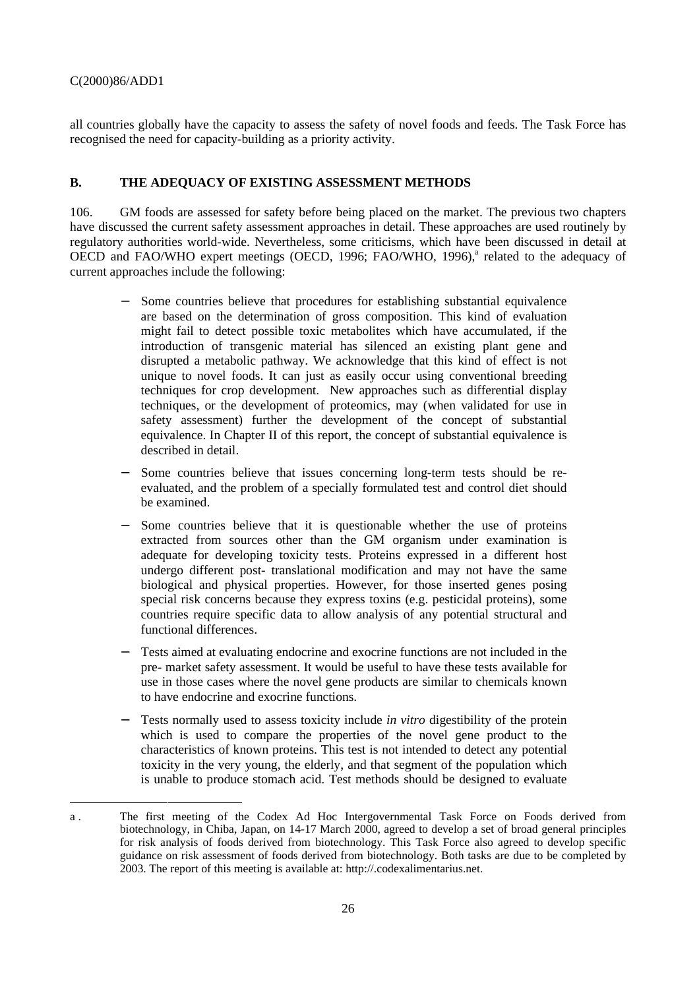-

all countries globally have the capacity to assess the safety of novel foods and feeds. The Task Force has recognised the need for capacity-building as a priority activity.

# **B. THE ADEQUACY OF EXISTING ASSESSMENT METHODS**

106. GM foods are assessed for safety before being placed on the market. The previous two chapters have discussed the current safety assessment approaches in detail. These approaches are used routinely by regulatory authorities world-wide. Nevertheless, some criticisms, which have been discussed in detail at OECD and FAO/WHO expert meetings (OECD, 1996; FAO/WHO, 1996),<sup>a</sup> related to the adequacy of current approaches include the following:

- Some countries believe that procedures for establishing substantial equivalence are based on the determination of gross composition. This kind of evaluation might fail to detect possible toxic metabolites which have accumulated, if the introduction of transgenic material has silenced an existing plant gene and disrupted a metabolic pathway. We acknowledge that this kind of effect is not unique to novel foods. It can just as easily occur using conventional breeding techniques for crop development. New approaches such as differential display techniques, or the development of proteomics, may (when validated for use in safety assessment) further the development of the concept of substantial equivalence. In Chapter II of this report, the concept of substantial equivalence is described in detail.
- Some countries believe that issues concerning long-term tests should be reevaluated, and the problem of a specially formulated test and control diet should be examined.
- Some countries believe that it is questionable whether the use of proteins extracted from sources other than the GM organism under examination is adequate for developing toxicity tests. Proteins expressed in a different host undergo different post- translational modification and may not have the same biological and physical properties. However, for those inserted genes posing special risk concerns because they express toxins (e.g. pesticidal proteins), some countries require specific data to allow analysis of any potential structural and functional differences.
- Tests aimed at evaluating endocrine and exocrine functions are not included in the pre- market safety assessment. It would be useful to have these tests available for use in those cases where the novel gene products are similar to chemicals known to have endocrine and exocrine functions.
- Tests normally used to assess toxicity include *in vitro* digestibility of the protein which is used to compare the properties of the novel gene product to the characteristics of known proteins. This test is not intended to detect any potential toxicity in the very young, the elderly, and that segment of the population which is unable to produce stomach acid. Test methods should be designed to evaluate

a . The first meeting of the Codex Ad Hoc Intergovernmental Task Force on Foods derived from biotechnology, in Chiba, Japan, on 14-17 March 2000, agreed to develop a set of broad general principles for risk analysis of foods derived from biotechnology. This Task Force also agreed to develop specific guidance on risk assessment of foods derived from biotechnology. Both tasks are due to be completed by 2003. The report of this meeting is available at: http://.codexalimentarius.net.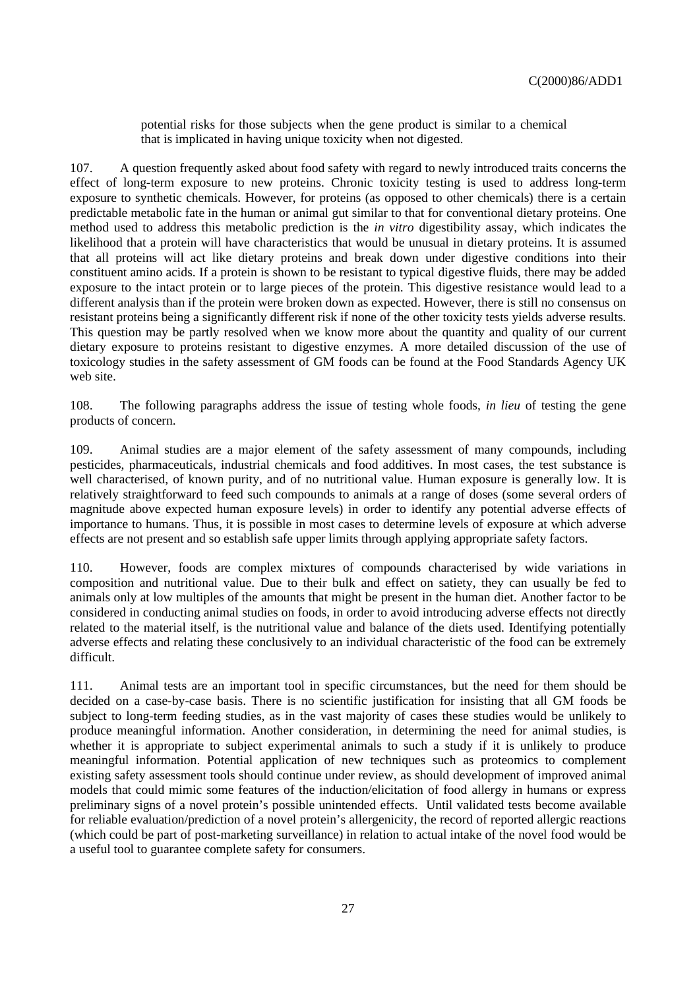potential risks for those subjects when the gene product is similar to a chemical that is implicated in having unique toxicity when not digested.

107. A question frequently asked about food safety with regard to newly introduced traits concerns the effect of long-term exposure to new proteins. Chronic toxicity testing is used to address long-term exposure to synthetic chemicals. However, for proteins (as opposed to other chemicals) there is a certain predictable metabolic fate in the human or animal gut similar to that for conventional dietary proteins. One method used to address this metabolic prediction is the *in vitro* digestibility assay, which indicates the likelihood that a protein will have characteristics that would be unusual in dietary proteins. It is assumed that all proteins will act like dietary proteins and break down under digestive conditions into their constituent amino acids. If a protein is shown to be resistant to typical digestive fluids, there may be added exposure to the intact protein or to large pieces of the protein. This digestive resistance would lead to a different analysis than if the protein were broken down as expected. However, there is still no consensus on resistant proteins being a significantly different risk if none of the other toxicity tests yields adverse results. This question may be partly resolved when we know more about the quantity and quality of our current dietary exposure to proteins resistant to digestive enzymes. A more detailed discussion of the use of toxicology studies in the safety assessment of GM foods can be found at the Food Standards Agency UK web site.

108. The following paragraphs address the issue of testing whole foods, *in lieu* of testing the gene products of concern.

109. Animal studies are a major element of the safety assessment of many compounds, including pesticides, pharmaceuticals, industrial chemicals and food additives. In most cases, the test substance is well characterised, of known purity, and of no nutritional value. Human exposure is generally low. It is relatively straightforward to feed such compounds to animals at a range of doses (some several orders of magnitude above expected human exposure levels) in order to identify any potential adverse effects of importance to humans. Thus, it is possible in most cases to determine levels of exposure at which adverse effects are not present and so establish safe upper limits through applying appropriate safety factors.

110. However, foods are complex mixtures of compounds characterised by wide variations in composition and nutritional value. Due to their bulk and effect on satiety, they can usually be fed to animals only at low multiples of the amounts that might be present in the human diet. Another factor to be considered in conducting animal studies on foods, in order to avoid introducing adverse effects not directly related to the material itself, is the nutritional value and balance of the diets used. Identifying potentially adverse effects and relating these conclusively to an individual characteristic of the food can be extremely difficult.

111. Animal tests are an important tool in specific circumstances, but the need for them should be decided on a case-by-case basis. There is no scientific justification for insisting that all GM foods be subject to long-term feeding studies, as in the vast majority of cases these studies would be unlikely to produce meaningful information. Another consideration, in determining the need for animal studies, is whether it is appropriate to subject experimental animals to such a study if it is unlikely to produce meaningful information. Potential application of new techniques such as proteomics to complement existing safety assessment tools should continue under review, as should development of improved animal models that could mimic some features of the induction/elicitation of food allergy in humans or express preliminary signs of a novel protein's possible unintended effects. Until validated tests become available for reliable evaluation/prediction of a novel protein's allergenicity, the record of reported allergic reactions (which could be part of post-marketing surveillance) in relation to actual intake of the novel food would be a useful tool to guarantee complete safety for consumers.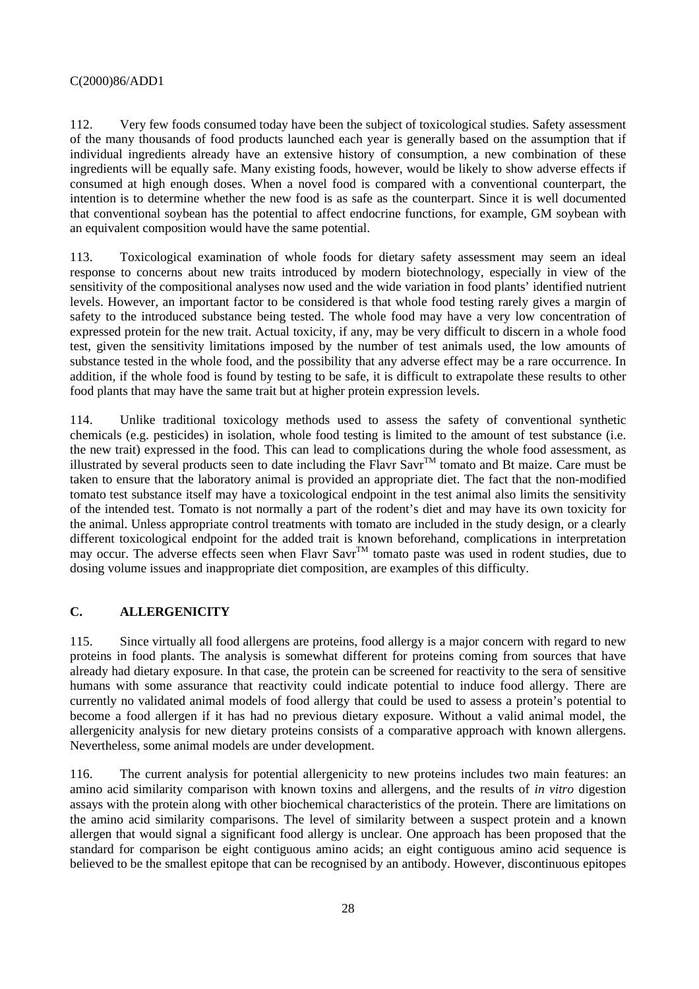112. Very few foods consumed today have been the subject of toxicological studies. Safety assessment of the many thousands of food products launched each year is generally based on the assumption that if individual ingredients already have an extensive history of consumption, a new combination of these ingredients will be equally safe. Many existing foods, however, would be likely to show adverse effects if consumed at high enough doses. When a novel food is compared with a conventional counterpart, the intention is to determine whether the new food is as safe as the counterpart. Since it is well documented that conventional soybean has the potential to affect endocrine functions, for example, GM soybean with an equivalent composition would have the same potential.

113. Toxicological examination of whole foods for dietary safety assessment may seem an ideal response to concerns about new traits introduced by modern biotechnology, especially in view of the sensitivity of the compositional analyses now used and the wide variation in food plants' identified nutrient levels. However, an important factor to be considered is that whole food testing rarely gives a margin of safety to the introduced substance being tested. The whole food may have a very low concentration of expressed protein for the new trait. Actual toxicity, if any, may be very difficult to discern in a whole food test, given the sensitivity limitations imposed by the number of test animals used, the low amounts of substance tested in the whole food, and the possibility that any adverse effect may be a rare occurrence. In addition, if the whole food is found by testing to be safe, it is difficult to extrapolate these results to other food plants that may have the same trait but at higher protein expression levels.

114. Unlike traditional toxicology methods used to assess the safety of conventional synthetic chemicals (e.g. pesticides) in isolation, whole food testing is limited to the amount of test substance (i.e. the new trait) expressed in the food. This can lead to complications during the whole food assessment, as illustrated by several products seen to date including the Flavr Savr<sup>TM</sup> tomato and Bt maize. Care must be taken to ensure that the laboratory animal is provided an appropriate diet. The fact that the non-modified tomato test substance itself may have a toxicological endpoint in the test animal also limits the sensitivity of the intended test. Tomato is not normally a part of the rodent's diet and may have its own toxicity for the animal. Unless appropriate control treatments with tomato are included in the study design, or a clearly different toxicological endpoint for the added trait is known beforehand, complications in interpretation may occur. The adverse effects seen when Flavr Savr™ tomato paste was used in rodent studies, due to dosing volume issues and inappropriate diet composition, are examples of this difficulty.

# **C. ALLERGENICITY**

115. Since virtually all food allergens are proteins, food allergy is a major concern with regard to new proteins in food plants. The analysis is somewhat different for proteins coming from sources that have already had dietary exposure. In that case, the protein can be screened for reactivity to the sera of sensitive humans with some assurance that reactivity could indicate potential to induce food allergy. There are currently no validated animal models of food allergy that could be used to assess a protein's potential to become a food allergen if it has had no previous dietary exposure. Without a valid animal model, the allergenicity analysis for new dietary proteins consists of a comparative approach with known allergens. Nevertheless, some animal models are under development.

116. The current analysis for potential allergenicity to new proteins includes two main features: an amino acid similarity comparison with known toxins and allergens, and the results of *in vitro* digestion assays with the protein along with other biochemical characteristics of the protein. There are limitations on the amino acid similarity comparisons. The level of similarity between a suspect protein and a known allergen that would signal a significant food allergy is unclear. One approach has been proposed that the standard for comparison be eight contiguous amino acids; an eight contiguous amino acid sequence is believed to be the smallest epitope that can be recognised by an antibody. However, discontinuous epitopes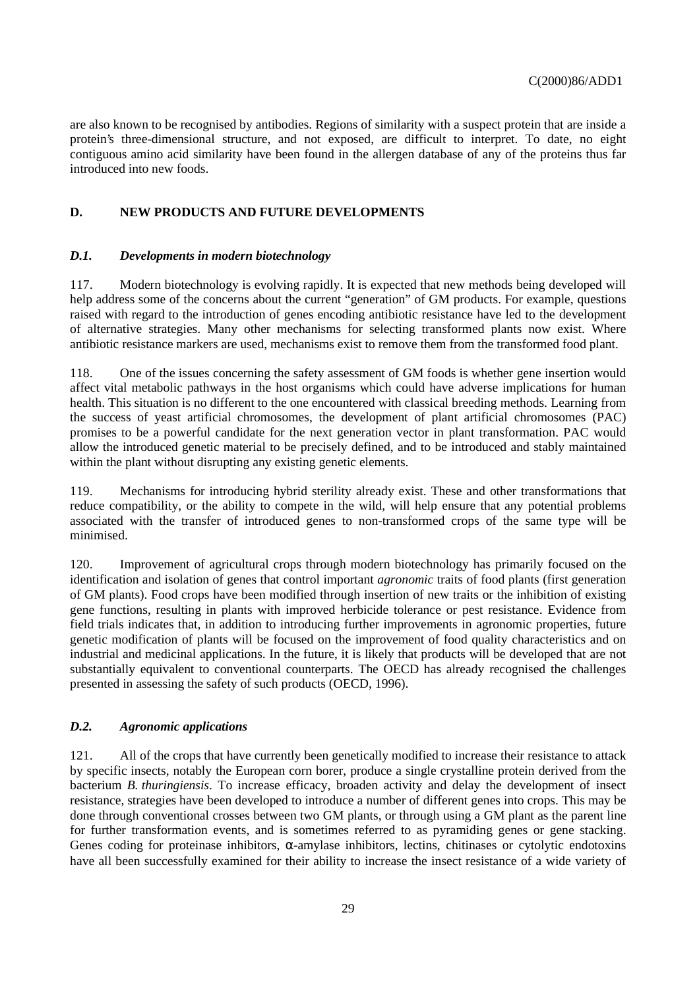are also known to be recognised by antibodies. Regions of similarity with a suspect protein that are inside a protein's three-dimensional structure, and not exposed, are difficult to interpret. To date, no eight contiguous amino acid similarity have been found in the allergen database of any of the proteins thus far introduced into new foods.

# **D. NEW PRODUCTS AND FUTURE DEVELOPMENTS**

### *D.1. Developments in modern biotechnology*

117. Modern biotechnology is evolving rapidly. It is expected that new methods being developed will help address some of the concerns about the current "generation" of GM products. For example, questions raised with regard to the introduction of genes encoding antibiotic resistance have led to the development of alternative strategies. Many other mechanisms for selecting transformed plants now exist. Where antibiotic resistance markers are used, mechanisms exist to remove them from the transformed food plant.

118. One of the issues concerning the safety assessment of GM foods is whether gene insertion would affect vital metabolic pathways in the host organisms which could have adverse implications for human health. This situation is no different to the one encountered with classical breeding methods. Learning from the success of yeast artificial chromosomes, the development of plant artificial chromosomes (PAC) promises to be a powerful candidate for the next generation vector in plant transformation. PAC would allow the introduced genetic material to be precisely defined, and to be introduced and stably maintained within the plant without disrupting any existing genetic elements.

119. Mechanisms for introducing hybrid sterility already exist. These and other transformations that reduce compatibility, or the ability to compete in the wild, will help ensure that any potential problems associated with the transfer of introduced genes to non-transformed crops of the same type will be minimised.

120. Improvement of agricultural crops through modern biotechnology has primarily focused on the identification and isolation of genes that control important *agronomic* traits of food plants (first generation of GM plants). Food crops have been modified through insertion of new traits or the inhibition of existing gene functions, resulting in plants with improved herbicide tolerance or pest resistance. Evidence from field trials indicates that, in addition to introducing further improvements in agronomic properties, future genetic modification of plants will be focused on the improvement of food quality characteristics and on industrial and medicinal applications. In the future, it is likely that products will be developed that are not substantially equivalent to conventional counterparts. The OECD has already recognised the challenges presented in assessing the safety of such products (OECD, 1996).

### *D.2. Agronomic applications*

121. All of the crops that have currently been genetically modified to increase their resistance to attack by specific insects, notably the European corn borer, produce a single crystalline protein derived from the bacterium *B. thuringiensis*. To increase efficacy, broaden activity and delay the development of insect resistance, strategies have been developed to introduce a number of different genes into crops. This may be done through conventional crosses between two GM plants, or through using a GM plant as the parent line for further transformation events, and is sometimes referred to as pyramiding genes or gene stacking. Genes coding for proteinase inhibitors, α-amylase inhibitors, lectins, chitinases or cytolytic endotoxins have all been successfully examined for their ability to increase the insect resistance of a wide variety of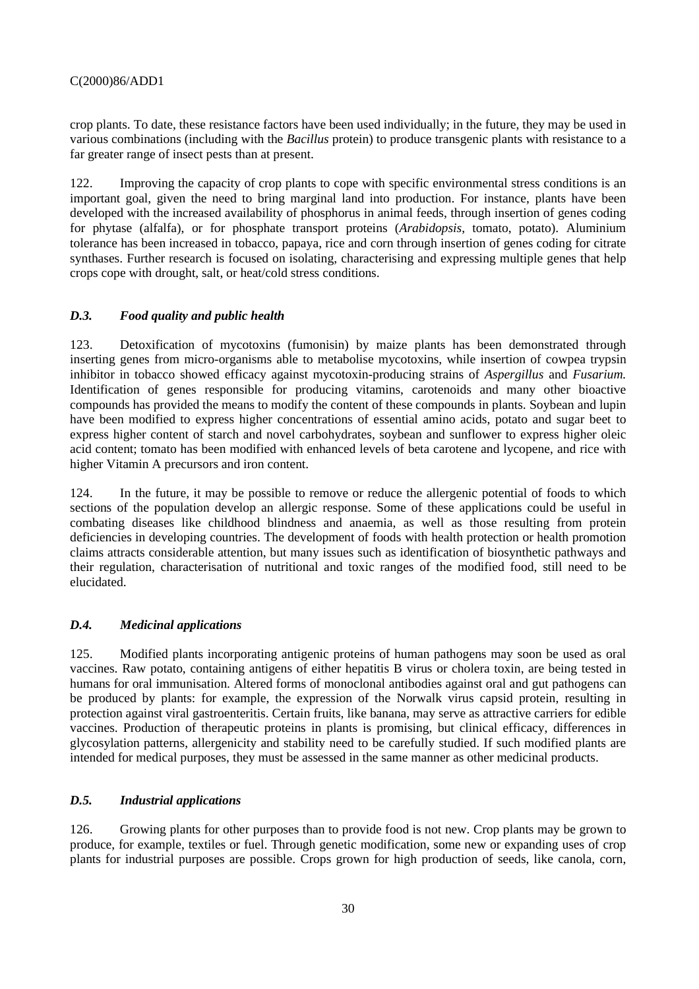crop plants. To date, these resistance factors have been used individually; in the future, they may be used in various combinations (including with the *Bacillus* protein) to produce transgenic plants with resistance to a far greater range of insect pests than at present.

122. Improving the capacity of crop plants to cope with specific environmental stress conditions is an important goal, given the need to bring marginal land into production. For instance, plants have been developed with the increased availability of phosphorus in animal feeds, through insertion of genes coding for phytase (alfalfa), or for phosphate transport proteins (*Arabidopsis*, tomato, potato). Aluminium tolerance has been increased in tobacco, papaya, rice and corn through insertion of genes coding for citrate synthases. Further research is focused on isolating, characterising and expressing multiple genes that help crops cope with drought, salt, or heat/cold stress conditions.

# *D.3. Food quality and public health*

123. Detoxification of mycotoxins (fumonisin) by maize plants has been demonstrated through inserting genes from micro-organisms able to metabolise mycotoxins, while insertion of cowpea trypsin inhibitor in tobacco showed efficacy against mycotoxin-producing strains of *Aspergillus* and *Fusarium.* Identification of genes responsible for producing vitamins, carotenoids and many other bioactive compounds has provided the means to modify the content of these compounds in plants. Soybean and lupin have been modified to express higher concentrations of essential amino acids, potato and sugar beet to express higher content of starch and novel carbohydrates, soybean and sunflower to express higher oleic acid content; tomato has been modified with enhanced levels of beta carotene and lycopene, and rice with higher Vitamin A precursors and iron content.

124. In the future, it may be possible to remove or reduce the allergenic potential of foods to which sections of the population develop an allergic response. Some of these applications could be useful in combating diseases like childhood blindness and anaemia, as well as those resulting from protein deficiencies in developing countries. The development of foods with health protection or health promotion claims attracts considerable attention, but many issues such as identification of biosynthetic pathways and their regulation, characterisation of nutritional and toxic ranges of the modified food, still need to be elucidated.

# *D.4. Medicinal applications*

125. Modified plants incorporating antigenic proteins of human pathogens may soon be used as oral vaccines. Raw potato, containing antigens of either hepatitis B virus or cholera toxin, are being tested in humans for oral immunisation. Altered forms of monoclonal antibodies against oral and gut pathogens can be produced by plants: for example, the expression of the Norwalk virus capsid protein, resulting in protection against viral gastroenteritis. Certain fruits, like banana, may serve as attractive carriers for edible vaccines. Production of therapeutic proteins in plants is promising, but clinical efficacy, differences in glycosylation patterns, allergenicity and stability need to be carefully studied. If such modified plants are intended for medical purposes, they must be assessed in the same manner as other medicinal products.

### *D.5. Industrial applications*

126. Growing plants for other purposes than to provide food is not new. Crop plants may be grown to produce, for example, textiles or fuel. Through genetic modification, some new or expanding uses of crop plants for industrial purposes are possible. Crops grown for high production of seeds, like canola, corn,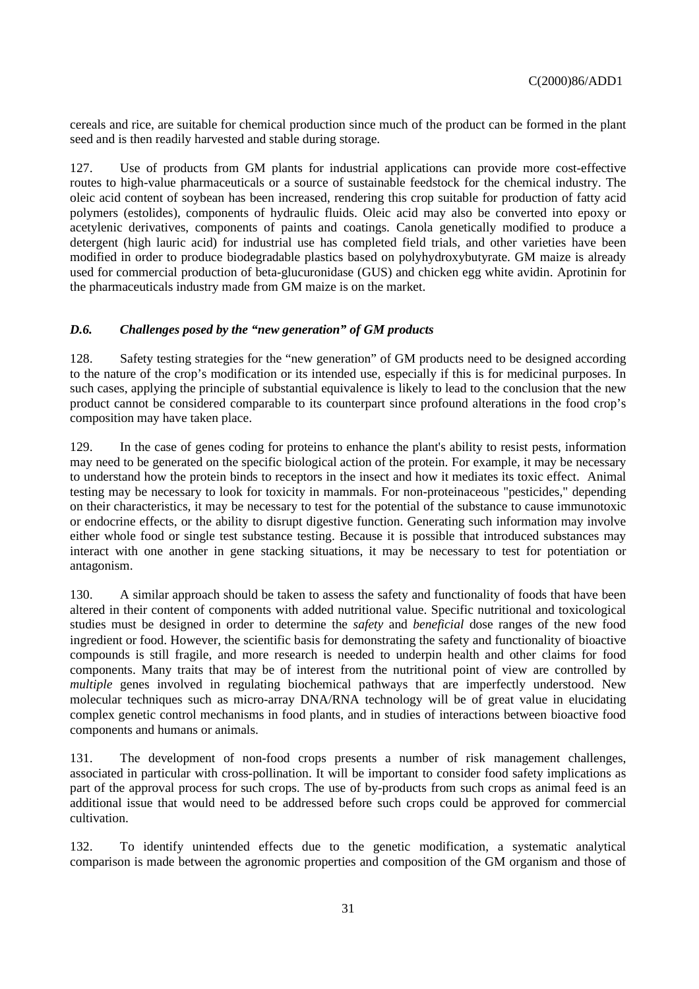cereals and rice, are suitable for chemical production since much of the product can be formed in the plant seed and is then readily harvested and stable during storage.

127. Use of products from GM plants for industrial applications can provide more cost-effective routes to high-value pharmaceuticals or a source of sustainable feedstock for the chemical industry. The oleic acid content of soybean has been increased, rendering this crop suitable for production of fatty acid polymers (estolides), components of hydraulic fluids. Oleic acid may also be converted into epoxy or acetylenic derivatives, components of paints and coatings. Canola genetically modified to produce a detergent (high lauric acid) for industrial use has completed field trials, and other varieties have been modified in order to produce biodegradable plastics based on polyhydroxybutyrate. GM maize is already used for commercial production of beta-glucuronidase (GUS) and chicken egg white avidin. Aprotinin for the pharmaceuticals industry made from GM maize is on the market.

# *D.6. Challenges posed by the "new generation" of GM products*

128. Safety testing strategies for the "new generation" of GM products need to be designed according to the nature of the crop's modification or its intended use, especially if this is for medicinal purposes. In such cases, applying the principle of substantial equivalence is likely to lead to the conclusion that the new product cannot be considered comparable to its counterpart since profound alterations in the food crop's composition may have taken place.

129. In the case of genes coding for proteins to enhance the plant's ability to resist pests, information may need to be generated on the specific biological action of the protein. For example, it may be necessary to understand how the protein binds to receptors in the insect and how it mediates its toxic effect. Animal testing may be necessary to look for toxicity in mammals. For non-proteinaceous "pesticides," depending on their characteristics, it may be necessary to test for the potential of the substance to cause immunotoxic or endocrine effects, or the ability to disrupt digestive function. Generating such information may involve either whole food or single test substance testing. Because it is possible that introduced substances may interact with one another in gene stacking situations, it may be necessary to test for potentiation or antagonism.

130. A similar approach should be taken to assess the safety and functionality of foods that have been altered in their content of components with added nutritional value. Specific nutritional and toxicological studies must be designed in order to determine the *safety* and *beneficial* dose ranges of the new food ingredient or food. However, the scientific basis for demonstrating the safety and functionality of bioactive compounds is still fragile, and more research is needed to underpin health and other claims for food components. Many traits that may be of interest from the nutritional point of view are controlled by *multiple* genes involved in regulating biochemical pathways that are imperfectly understood. New molecular techniques such as micro-array DNA/RNA technology will be of great value in elucidating complex genetic control mechanisms in food plants, and in studies of interactions between bioactive food components and humans or animals.

131. The development of non-food crops presents a number of risk management challenges, associated in particular with cross-pollination. It will be important to consider food safety implications as part of the approval process for such crops. The use of by-products from such crops as animal feed is an additional issue that would need to be addressed before such crops could be approved for commercial cultivation.

132. To identify unintended effects due to the genetic modification, a systematic analytical comparison is made between the agronomic properties and composition of the GM organism and those of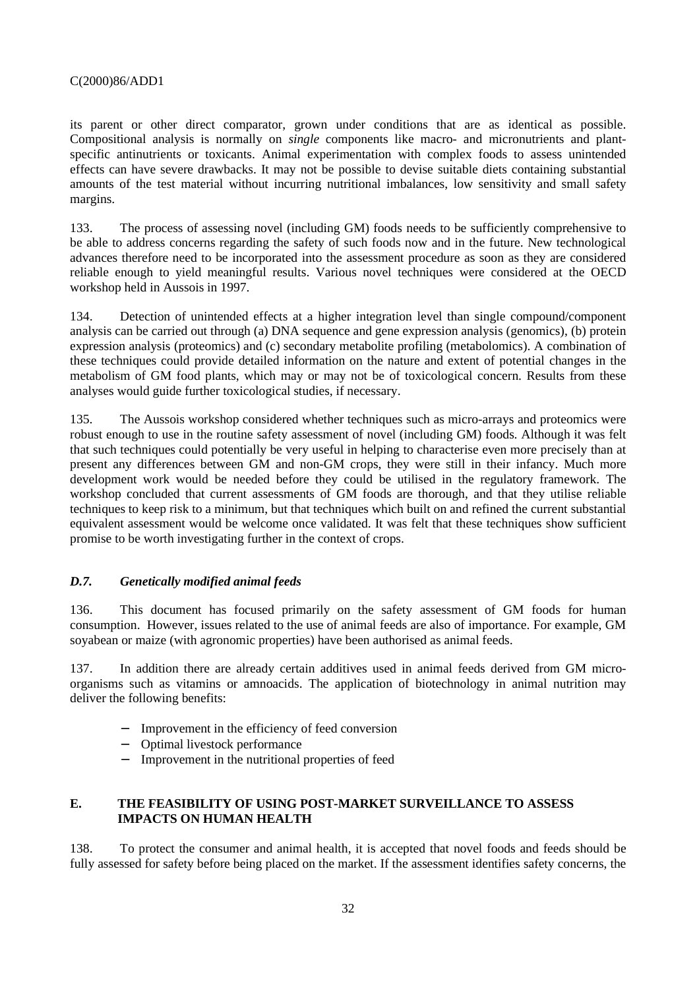its parent or other direct comparator, grown under conditions that are as identical as possible. Compositional analysis is normally on *single* components like macro- and micronutrients and plantspecific antinutrients or toxicants. Animal experimentation with complex foods to assess unintended effects can have severe drawbacks. It may not be possible to devise suitable diets containing substantial amounts of the test material without incurring nutritional imbalances, low sensitivity and small safety margins.

133. The process of assessing novel (including GM) foods needs to be sufficiently comprehensive to be able to address concerns regarding the safety of such foods now and in the future. New technological advances therefore need to be incorporated into the assessment procedure as soon as they are considered reliable enough to yield meaningful results. Various novel techniques were considered at the OECD workshop held in Aussois in 1997.

134. Detection of unintended effects at a higher integration level than single compound/component analysis can be carried out through (a) DNA sequence and gene expression analysis (genomics), (b) protein expression analysis (proteomics) and (c) secondary metabolite profiling (metabolomics). A combination of these techniques could provide detailed information on the nature and extent of potential changes in the metabolism of GM food plants, which may or may not be of toxicological concern. Results from these analyses would guide further toxicological studies, if necessary.

135. The Aussois workshop considered whether techniques such as micro-arrays and proteomics were robust enough to use in the routine safety assessment of novel (including GM) foods. Although it was felt that such techniques could potentially be very useful in helping to characterise even more precisely than at present any differences between GM and non-GM crops, they were still in their infancy. Much more development work would be needed before they could be utilised in the regulatory framework. The workshop concluded that current assessments of GM foods are thorough, and that they utilise reliable techniques to keep risk to a minimum, but that techniques which built on and refined the current substantial equivalent assessment would be welcome once validated. It was felt that these techniques show sufficient promise to be worth investigating further in the context of crops.

#### *D.7. Genetically modified animal feeds*

136. This document has focused primarily on the safety assessment of GM foods for human consumption. However, issues related to the use of animal feeds are also of importance. For example, GM soyabean or maize (with agronomic properties) have been authorised as animal feeds.

137. In addition there are already certain additives used in animal feeds derived from GM microorganisms such as vitamins or amnoacids. The application of biotechnology in animal nutrition may deliver the following benefits:

- − Improvement in the efficiency of feed conversion
- − Optimal livestock performance
- − Improvement in the nutritional properties of feed

# **E. THE FEASIBILITY OF USING POST-MARKET SURVEILLANCE TO ASSESS IMPACTS ON HUMAN HEALTH**

138. To protect the consumer and animal health, it is accepted that novel foods and feeds should be fully assessed for safety before being placed on the market. If the assessment identifies safety concerns, the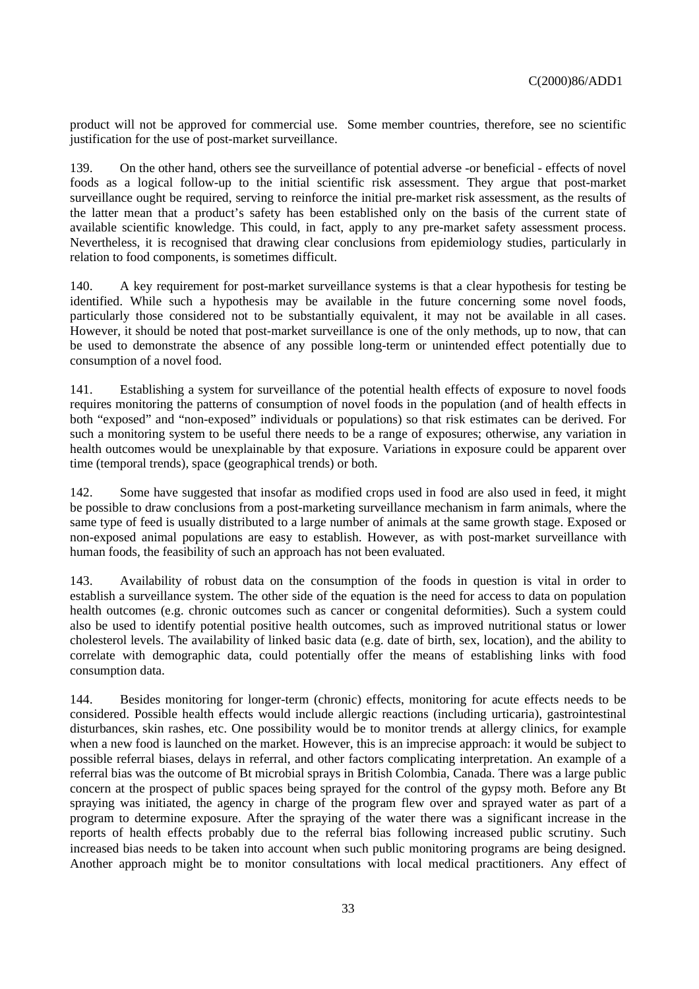product will not be approved for commercial use. Some member countries, therefore, see no scientific justification for the use of post-market surveillance.

139. On the other hand, others see the surveillance of potential adverse -or beneficial - effects of novel foods as a logical follow-up to the initial scientific risk assessment. They argue that post-market surveillance ought be required, serving to reinforce the initial pre-market risk assessment, as the results of the latter mean that a product's safety has been established only on the basis of the current state of available scientific knowledge. This could, in fact, apply to any pre-market safety assessment process. Nevertheless, it is recognised that drawing clear conclusions from epidemiology studies, particularly in relation to food components, is sometimes difficult.

140. A key requirement for post-market surveillance systems is that a clear hypothesis for testing be identified. While such a hypothesis may be available in the future concerning some novel foods, particularly those considered not to be substantially equivalent, it may not be available in all cases. However, it should be noted that post-market surveillance is one of the only methods, up to now, that can be used to demonstrate the absence of any possible long-term or unintended effect potentially due to consumption of a novel food.

141. Establishing a system for surveillance of the potential health effects of exposure to novel foods requires monitoring the patterns of consumption of novel foods in the population (and of health effects in both "exposed" and "non-exposed" individuals or populations) so that risk estimates can be derived. For such a monitoring system to be useful there needs to be a range of exposures; otherwise, any variation in health outcomes would be unexplainable by that exposure. Variations in exposure could be apparent over time (temporal trends), space (geographical trends) or both.

142. Some have suggested that insofar as modified crops used in food are also used in feed, it might be possible to draw conclusions from a post-marketing surveillance mechanism in farm animals, where the same type of feed is usually distributed to a large number of animals at the same growth stage. Exposed or non-exposed animal populations are easy to establish. However, as with post-market surveillance with human foods, the feasibility of such an approach has not been evaluated.

143. Availability of robust data on the consumption of the foods in question is vital in order to establish a surveillance system. The other side of the equation is the need for access to data on population health outcomes (e.g. chronic outcomes such as cancer or congenital deformities). Such a system could also be used to identify potential positive health outcomes, such as improved nutritional status or lower cholesterol levels. The availability of linked basic data (e.g. date of birth, sex, location), and the ability to correlate with demographic data, could potentially offer the means of establishing links with food consumption data.

144. Besides monitoring for longer-term (chronic) effects, monitoring for acute effects needs to be considered. Possible health effects would include allergic reactions (including urticaria), gastrointestinal disturbances, skin rashes, etc. One possibility would be to monitor trends at allergy clinics, for example when a new food is launched on the market. However, this is an imprecise approach: it would be subject to possible referral biases, delays in referral, and other factors complicating interpretation. An example of a referral bias was the outcome of Bt microbial sprays in British Colombia, Canada. There was a large public concern at the prospect of public spaces being sprayed for the control of the gypsy moth. Before any Bt spraying was initiated, the agency in charge of the program flew over and sprayed water as part of a program to determine exposure. After the spraying of the water there was a significant increase in the reports of health effects probably due to the referral bias following increased public scrutiny. Such increased bias needs to be taken into account when such public monitoring programs are being designed. Another approach might be to monitor consultations with local medical practitioners. Any effect of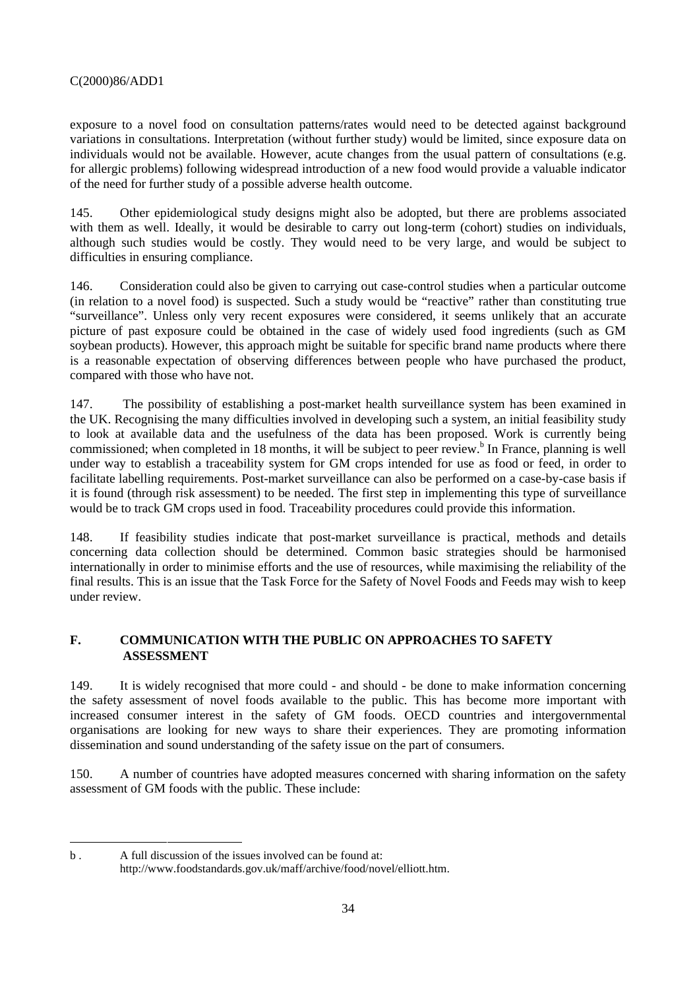exposure to a novel food on consultation patterns/rates would need to be detected against background variations in consultations. Interpretation (without further study) would be limited, since exposure data on individuals would not be available. However, acute changes from the usual pattern of consultations (e.g. for allergic problems) following widespread introduction of a new food would provide a valuable indicator of the need for further study of a possible adverse health outcome.

145. Other epidemiological study designs might also be adopted, but there are problems associated with them as well. Ideally, it would be desirable to carry out long-term (cohort) studies on individuals, although such studies would be costly. They would need to be very large, and would be subject to difficulties in ensuring compliance.

146. Consideration could also be given to carrying out case-control studies when a particular outcome (in relation to a novel food) is suspected. Such a study would be "reactive" rather than constituting true "surveillance". Unless only very recent exposures were considered, it seems unlikely that an accurate picture of past exposure could be obtained in the case of widely used food ingredients (such as GM soybean products). However, this approach might be suitable for specific brand name products where there is a reasonable expectation of observing differences between people who have purchased the product, compared with those who have not.

147. The possibility of establishing a post-market health surveillance system has been examined in the UK. Recognising the many difficulties involved in developing such a system, an initial feasibility study to look at available data and the usefulness of the data has been proposed. Work is currently being commissioned; when completed in 18 months, it will be subject to peer review.<sup>b</sup> In France, planning is well under way to establish a traceability system for GM crops intended for use as food or feed, in order to facilitate labelling requirements. Post-market surveillance can also be performed on a case-by-case basis if it is found (through risk assessment) to be needed. The first step in implementing this type of surveillance would be to track GM crops used in food. Traceability procedures could provide this information.

148. If feasibility studies indicate that post-market surveillance is practical, methods and details concerning data collection should be determined. Common basic strategies should be harmonised internationally in order to minimise efforts and the use of resources, while maximising the reliability of the final results. This is an issue that the Task Force for the Safety of Novel Foods and Feeds may wish to keep under review.

# **F. COMMUNICATION WITH THE PUBLIC ON APPROACHES TO SAFETY ASSESSMENT**

149. It is widely recognised that more could - and should - be done to make information concerning the safety assessment of novel foods available to the public. This has become more important with increased consumer interest in the safety of GM foods. OECD countries and intergovernmental organisations are looking for new ways to share their experiences. They are promoting information dissemination and sound understanding of the safety issue on the part of consumers.

150. A number of countries have adopted measures concerned with sharing information on the safety assessment of GM foods with the public. These include:

-

b . A full discussion of the issues involved can be found at: http://www.foodstandards.gov.uk/maff/archive/food/novel/elliott.htm.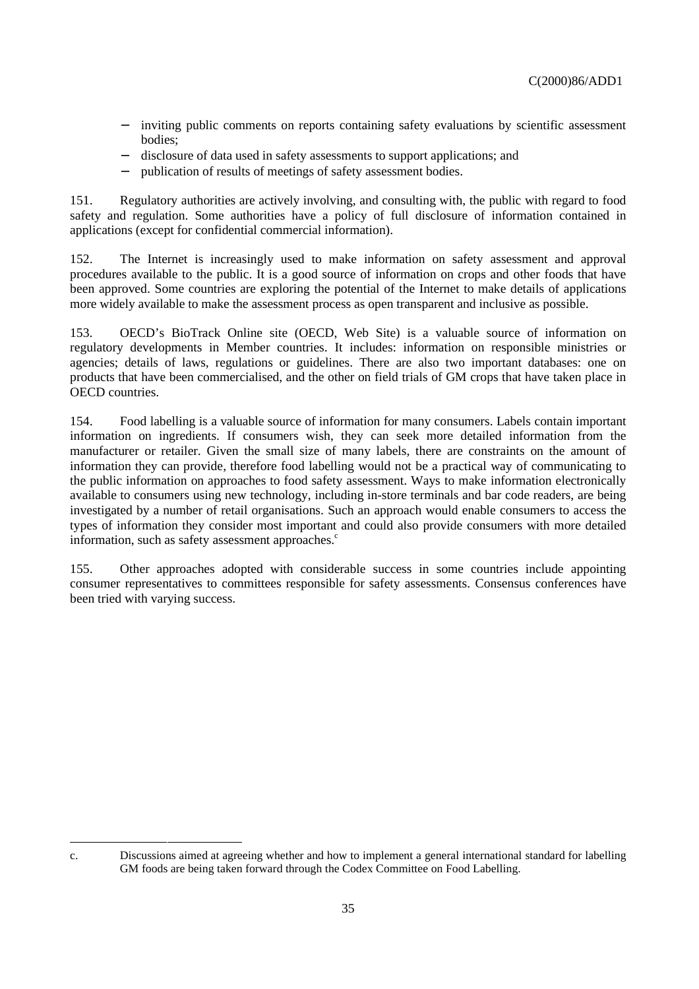- − inviting public comments on reports containing safety evaluations by scientific assessment bodies;
- − disclosure of data used in safety assessments to support applications; and
- publication of results of meetings of safety assessment bodies.

151. Regulatory authorities are actively involving, and consulting with, the public with regard to food safety and regulation. Some authorities have a policy of full disclosure of information contained in applications (except for confidential commercial information).

152. The Internet is increasingly used to make information on safety assessment and approval procedures available to the public. It is a good source of information on crops and other foods that have been approved. Some countries are exploring the potential of the Internet to make details of applications more widely available to make the assessment process as open transparent and inclusive as possible.

153. OECD's BioTrack Online site (OECD, Web Site) is a valuable source of information on regulatory developments in Member countries. It includes: information on responsible ministries or agencies; details of laws, regulations or guidelines. There are also two important databases: one on products that have been commercialised, and the other on field trials of GM crops that have taken place in OECD countries.

154. Food labelling is a valuable source of information for many consumers. Labels contain important information on ingredients. If consumers wish, they can seek more detailed information from the manufacturer or retailer. Given the small size of many labels, there are constraints on the amount of information they can provide, therefore food labelling would not be a practical way of communicating to the public information on approaches to food safety assessment. Ways to make information electronically available to consumers using new technology, including in-store terminals and bar code readers, are being investigated by a number of retail organisations. Such an approach would enable consumers to access the types of information they consider most important and could also provide consumers with more detailed information, such as safety assessment approaches. $\degree$ 

155. Other approaches adopted with considerable success in some countries include appointing consumer representatives to committees responsible for safety assessments. Consensus conferences have been tried with varying success.

c. Discussions aimed at agreeing whether and how to implement a general international standard for labelling GM foods are being taken forward through the Codex Committee on Food Labelling.

-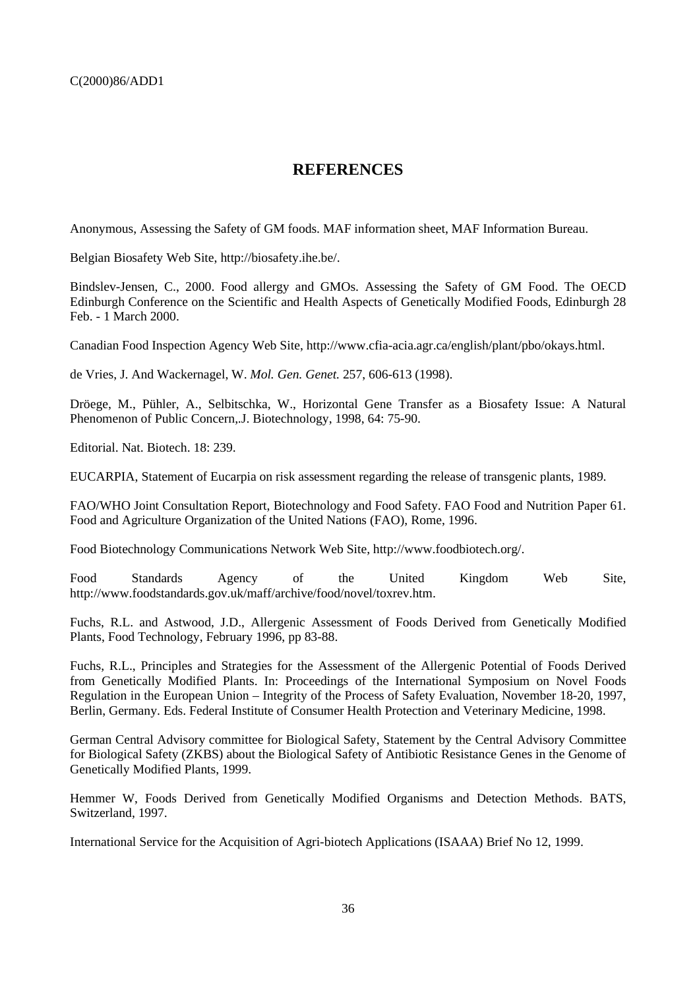# **REFERENCES**

Anonymous, Assessing the Safety of GM foods. MAF information sheet, MAF Information Bureau.

Belgian Biosafety Web Site, http://biosafety.ihe.be/.

Bindslev-Jensen, C., 2000. Food allergy and GMOs. Assessing the Safety of GM Food. The OECD Edinburgh Conference on the Scientific and Health Aspects of Genetically Modified Foods, Edinburgh 28 Feb. - 1 March 2000.

Canadian Food Inspection Agency Web Site, http://www.cfia-acia.agr.ca/english/plant/pbo/okays.html.

de Vries, J. And Wackernagel, W. *Mol. Gen. Genet.* 257, 606-613 (1998).

Dröege, M., Pühler, A., Selbitschka, W., Horizontal Gene Transfer as a Biosafety Issue: A Natural Phenomenon of Public Concern,.J. Biotechnology, 1998, 64: 75-90.

Editorial. Nat. Biotech. 18: 239.

EUCARPIA, Statement of Eucarpia on risk assessment regarding the release of transgenic plants, 1989.

FAO/WHO Joint Consultation Report, Biotechnology and Food Safety. FAO Food and Nutrition Paper 61. Food and Agriculture Organization of the United Nations (FAO), Rome, 1996.

Food Biotechnology Communications Network Web Site, http://www.foodbiotech.org/.

Food Standards Agency of the United Kingdom Web Site, http://www.foodstandards.gov.uk/maff/archive/food/novel/toxrev.htm.

Fuchs, R.L. and Astwood, J.D., Allergenic Assessment of Foods Derived from Genetically Modified Plants, Food Technology, February 1996, pp 83-88.

Fuchs, R.L., Principles and Strategies for the Assessment of the Allergenic Potential of Foods Derived from Genetically Modified Plants. In: Proceedings of the International Symposium on Novel Foods Regulation in the European Union – Integrity of the Process of Safety Evaluation, November 18-20, 1997, Berlin, Germany. Eds. Federal Institute of Consumer Health Protection and Veterinary Medicine, 1998.

German Central Advisory committee for Biological Safety, Statement by the Central Advisory Committee for Biological Safety (ZKBS) about the Biological Safety of Antibiotic Resistance Genes in the Genome of Genetically Modified Plants, 1999.

Hemmer W, Foods Derived from Genetically Modified Organisms and Detection Methods. BATS, Switzerland, 1997.

International Service for the Acquisition of Agri-biotech Applications (ISAAA) Brief No 12, 1999.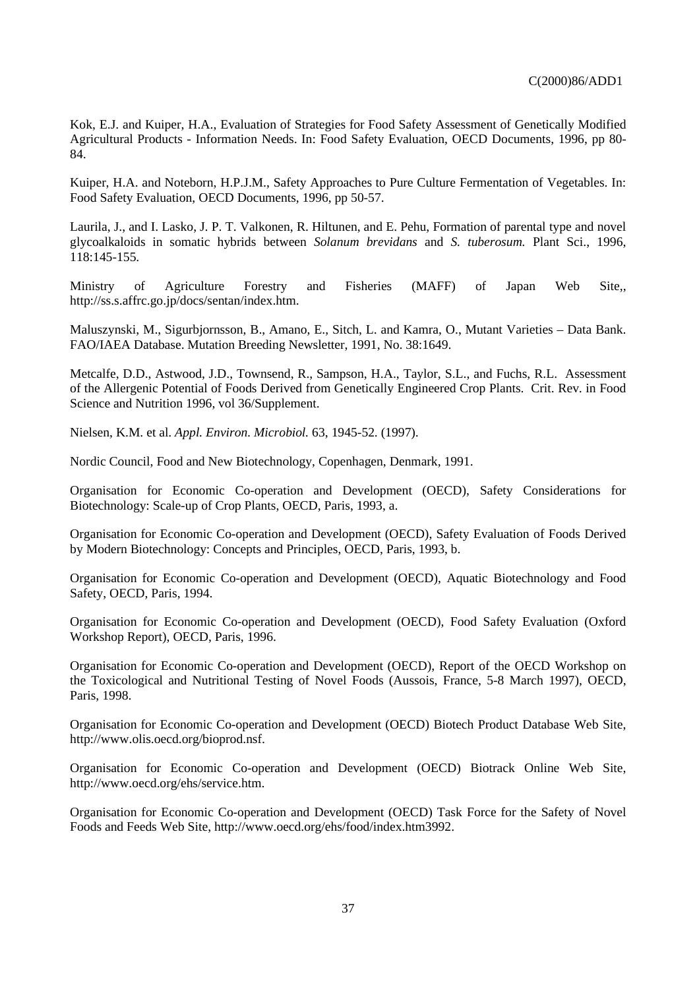Kok, E.J. and Kuiper, H.A., Evaluation of Strategies for Food Safety Assessment of Genetically Modified Agricultural Products - Information Needs. In: Food Safety Evaluation, OECD Documents, 1996, pp 80- 84.

Kuiper, H.A. and Noteborn, H.P.J.M., Safety Approaches to Pure Culture Fermentation of Vegetables. In: Food Safety Evaluation, OECD Documents, 1996, pp 50-57.

Laurila, J., and I. Lasko, J. P. T. Valkonen, R. Hiltunen, and E. Pehu, Formation of parental type and novel glycoalkaloids in somatic hybrids between *Solanum brevidans* and *S. tuberosum.* Plant Sci., 1996, 118:145-155.

Ministry of Agriculture Forestry and Fisheries (MAFF) of Japan Web Site,, http://ss.s.affrc.go.jp/docs/sentan/index.htm.

Maluszynski, M., Sigurbjornsson, B., Amano, E., Sitch, L. and Kamra, O., Mutant Varieties – Data Bank. FAO/IAEA Database. Mutation Breeding Newsletter, 1991, No. 38:1649.

Metcalfe, D.D., Astwood, J.D., Townsend, R., Sampson, H.A., Taylor, S.L., and Fuchs, R.L. Assessment of the Allergenic Potential of Foods Derived from Genetically Engineered Crop Plants. Crit. Rev. in Food Science and Nutrition 1996, vol 36/Supplement.

Nielsen, K.M. et al. *Appl. Environ. Microbiol.* 63, 1945-52. (1997).

Nordic Council, Food and New Biotechnology, Copenhagen, Denmark, 1991.

Organisation for Economic Co-operation and Development (OECD), Safety Considerations for Biotechnology: Scale-up of Crop Plants, OECD, Paris, 1993, a.

Organisation for Economic Co-operation and Development (OECD), Safety Evaluation of Foods Derived by Modern Biotechnology: Concepts and Principles, OECD, Paris, 1993, b.

Organisation for Economic Co-operation and Development (OECD), Aquatic Biotechnology and Food Safety, OECD, Paris, 1994.

Organisation for Economic Co-operation and Development (OECD), Food Safety Evaluation (Oxford Workshop Report), OECD, Paris, 1996.

Organisation for Economic Co-operation and Development (OECD), Report of the OECD Workshop on the Toxicological and Nutritional Testing of Novel Foods (Aussois, France, 5-8 March 1997), OECD, Paris, 1998.

Organisation for Economic Co-operation and Development (OECD) Biotech Product Database Web Site, http://www.olis.oecd.org/bioprod.nsf.

Organisation for Economic Co-operation and Development (OECD) Biotrack Online Web Site, http://www.oecd.org/ehs/service.htm.

Organisation for Economic Co-operation and Development (OECD) Task Force for the Safety of Novel Foods and Feeds Web Site, http://www.oecd.org/ehs/food/index.htm3992.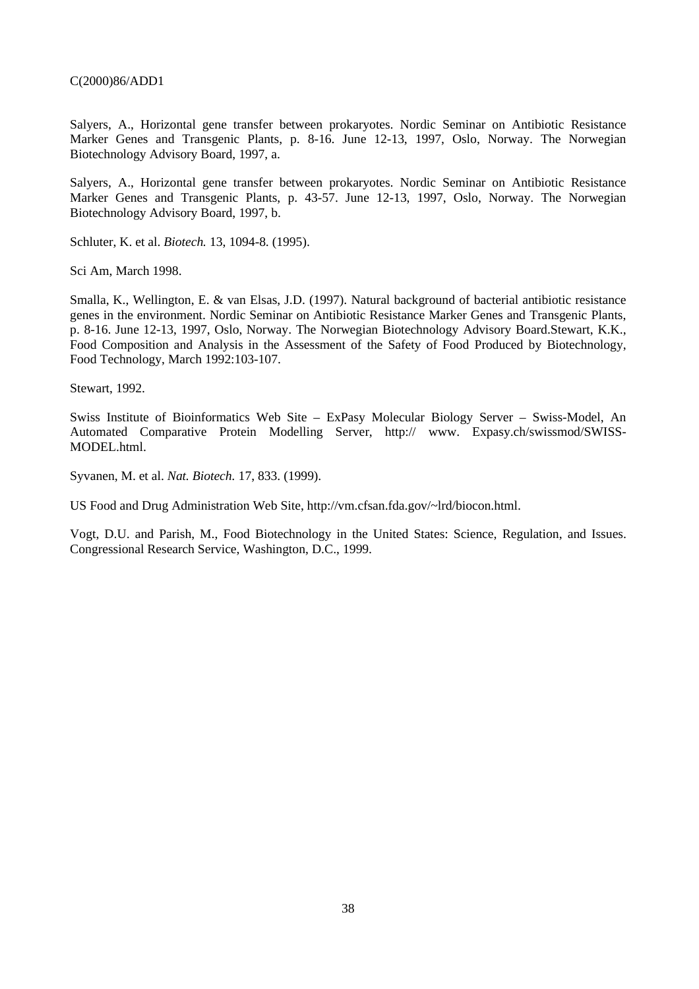Salyers, A., Horizontal gene transfer between prokaryotes. Nordic Seminar on Antibiotic Resistance Marker Genes and Transgenic Plants, p. 8-16. June 12-13, 1997, Oslo, Norway. The Norwegian Biotechnology Advisory Board, 1997, a.

Salyers, A., Horizontal gene transfer between prokaryotes. Nordic Seminar on Antibiotic Resistance Marker Genes and Transgenic Plants, p. 43-57. June 12-13, 1997, Oslo, Norway. The Norwegian Biotechnology Advisory Board, 1997, b.

Schluter, K. et al. *Biotech.* 13, 1094-8. (1995).

Sci Am, March 1998.

Smalla, K., Wellington, E. & van Elsas, J.D. (1997). Natural background of bacterial antibiotic resistance genes in the environment. Nordic Seminar on Antibiotic Resistance Marker Genes and Transgenic Plants, p. 8-16. June 12-13, 1997, Oslo, Norway. The Norwegian Biotechnology Advisory Board.Stewart, K.K., Food Composition and Analysis in the Assessment of the Safety of Food Produced by Biotechnology, Food Technology, March 1992:103-107.

Stewart, 1992.

Swiss Institute of Bioinformatics Web Site – ExPasy Molecular Biology Server – Swiss-Model, An Automated Comparative Protein Modelling Server, http:// www. Expasy.ch/swissmod/SWISS-MODEL.html.

Syvanen, M. et al. *Nat. Biotech.* 17, 833. (1999).

US Food and Drug Administration Web Site, http://vm.cfsan.fda.gov/~lrd/biocon.html.

Vogt, D.U. and Parish, M., Food Biotechnology in the United States: Science, Regulation, and Issues. Congressional Research Service, Washington, D.C., 1999.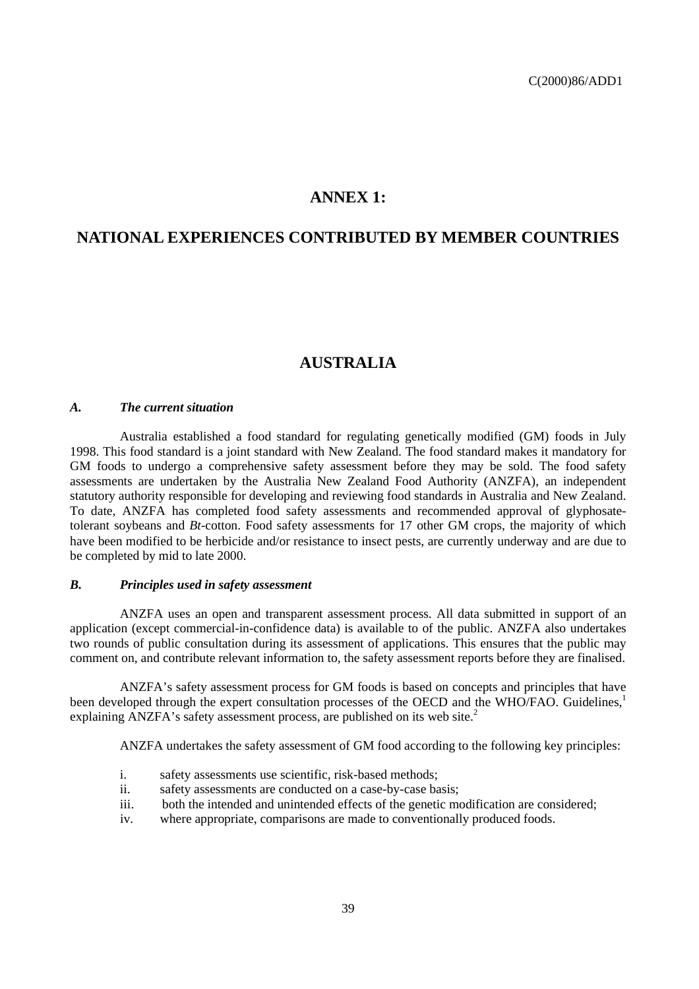# **ANNEX 1:**

# **NATIONAL EXPERIENCES CONTRIBUTED BY MEMBER COUNTRIES**

# **AUSTRALIA**

### *A. The current situation*

Australia established a food standard for regulating genetically modified (GM) foods in July 1998. This food standard is a joint standard with New Zealand. The food standard makes it mandatory for GM foods to undergo a comprehensive safety assessment before they may be sold. The food safety assessments are undertaken by the Australia New Zealand Food Authority (ANZFA), an independent statutory authority responsible for developing and reviewing food standards in Australia and New Zealand. To date, ANZFA has completed food safety assessments and recommended approval of glyphosatetolerant soybeans and *Bt*-cotton. Food safety assessments for 17 other GM crops, the majority of which have been modified to be herbicide and/or resistance to insect pests, are currently underway and are due to be completed by mid to late 2000.

### *B. Principles used in safety assessment*

ANZFA uses an open and transparent assessment process. All data submitted in support of an application (except commercial-in-confidence data) is available to of the public. ANZFA also undertakes two rounds of public consultation during its assessment of applications. This ensures that the public may comment on, and contribute relevant information to, the safety assessment reports before they are finalised.

ANZFA's safety assessment process for GM foods is based on concepts and principles that have been developed through the expert consultation processes of the OECD and the WHO/FAO. Guidelines, explaining ANZFA's safety assessment process, are published on its web site.<sup>2</sup>

ANZFA undertakes the safety assessment of GM food according to the following key principles:

- i. safety assessments use scientific, risk-based methods;
- ii. safety assessments are conducted on a case-by-case basis;
- iii. both the intended and unintended effects of the genetic modification are considered;
- iv. where appropriate, comparisons are made to conventionally produced foods.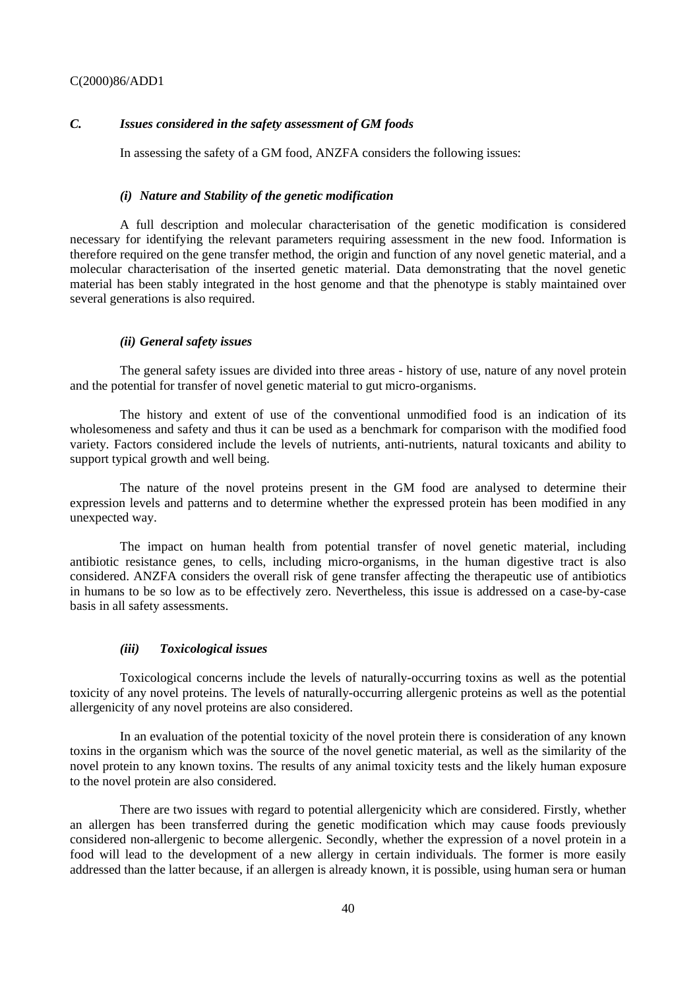# *C. Issues considered in the safety assessment of GM foods*

In assessing the safety of a GM food, ANZFA considers the following issues:

#### *(i) Nature and Stability of the genetic modification*

A full description and molecular characterisation of the genetic modification is considered necessary for identifying the relevant parameters requiring assessment in the new food. Information is therefore required on the gene transfer method, the origin and function of any novel genetic material, and a molecular characterisation of the inserted genetic material. Data demonstrating that the novel genetic material has been stably integrated in the host genome and that the phenotype is stably maintained over several generations is also required.

### *(ii) General safety issues*

The general safety issues are divided into three areas - history of use, nature of any novel protein and the potential for transfer of novel genetic material to gut micro-organisms.

The history and extent of use of the conventional unmodified food is an indication of its wholesomeness and safety and thus it can be used as a benchmark for comparison with the modified food variety. Factors considered include the levels of nutrients, anti-nutrients, natural toxicants and ability to support typical growth and well being.

The nature of the novel proteins present in the GM food are analysed to determine their expression levels and patterns and to determine whether the expressed protein has been modified in any unexpected way.

The impact on human health from potential transfer of novel genetic material, including antibiotic resistance genes, to cells, including micro-organisms, in the human digestive tract is also considered. ANZFA considers the overall risk of gene transfer affecting the therapeutic use of antibiotics in humans to be so low as to be effectively zero. Nevertheless, this issue is addressed on a case-by-case basis in all safety assessments.

#### *(iii) Toxicological issues*

Toxicological concerns include the levels of naturally-occurring toxins as well as the potential toxicity of any novel proteins. The levels of naturally-occurring allergenic proteins as well as the potential allergenicity of any novel proteins are also considered.

In an evaluation of the potential toxicity of the novel protein there is consideration of any known toxins in the organism which was the source of the novel genetic material, as well as the similarity of the novel protein to any known toxins. The results of any animal toxicity tests and the likely human exposure to the novel protein are also considered.

There are two issues with regard to potential allergenicity which are considered. Firstly, whether an allergen has been transferred during the genetic modification which may cause foods previously considered non-allergenic to become allergenic. Secondly, whether the expression of a novel protein in a food will lead to the development of a new allergy in certain individuals. The former is more easily addressed than the latter because, if an allergen is already known, it is possible, using human sera or human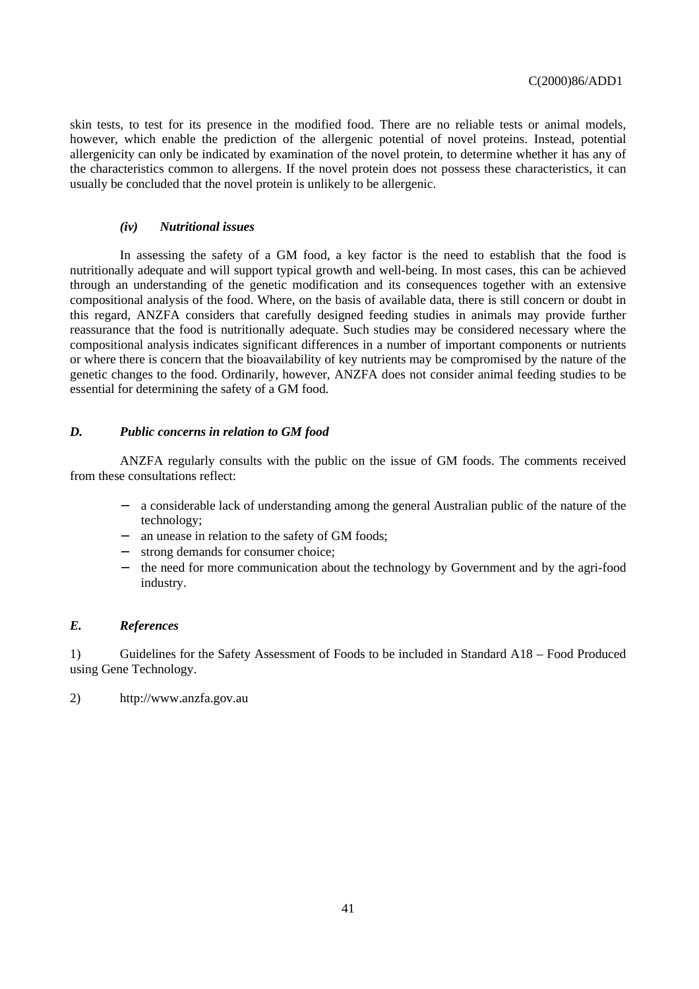skin tests, to test for its presence in the modified food. There are no reliable tests or animal models, however, which enable the prediction of the allergenic potential of novel proteins. Instead, potential allergenicity can only be indicated by examination of the novel protein, to determine whether it has any of the characteristics common to allergens. If the novel protein does not possess these characteristics, it can usually be concluded that the novel protein is unlikely to be allergenic.

### *(iv) Nutritional issues*

In assessing the safety of a GM food, a key factor is the need to establish that the food is nutritionally adequate and will support typical growth and well-being. In most cases, this can be achieved through an understanding of the genetic modification and its consequences together with an extensive compositional analysis of the food. Where, on the basis of available data, there is still concern or doubt in this regard, ANZFA considers that carefully designed feeding studies in animals may provide further reassurance that the food is nutritionally adequate. Such studies may be considered necessary where the compositional analysis indicates significant differences in a number of important components or nutrients or where there is concern that the bioavailability of key nutrients may be compromised by the nature of the genetic changes to the food. Ordinarily, however, ANZFA does not consider animal feeding studies to be essential for determining the safety of a GM food.

### *D. Public concerns in relation to GM food*

ANZFA regularly consults with the public on the issue of GM foods. The comments received from these consultations reflect:

- − a considerable lack of understanding among the general Australian public of the nature of the technology;
- − an unease in relation to the safety of GM foods;
- − strong demands for consumer choice;
- − the need for more communication about the technology by Government and by the agri-food industry.

# *E. References*

1) Guidelines for the Safety Assessment of Foods to be included in Standard A18 – Food Produced using Gene Technology.

2) http://www.anzfa.gov.au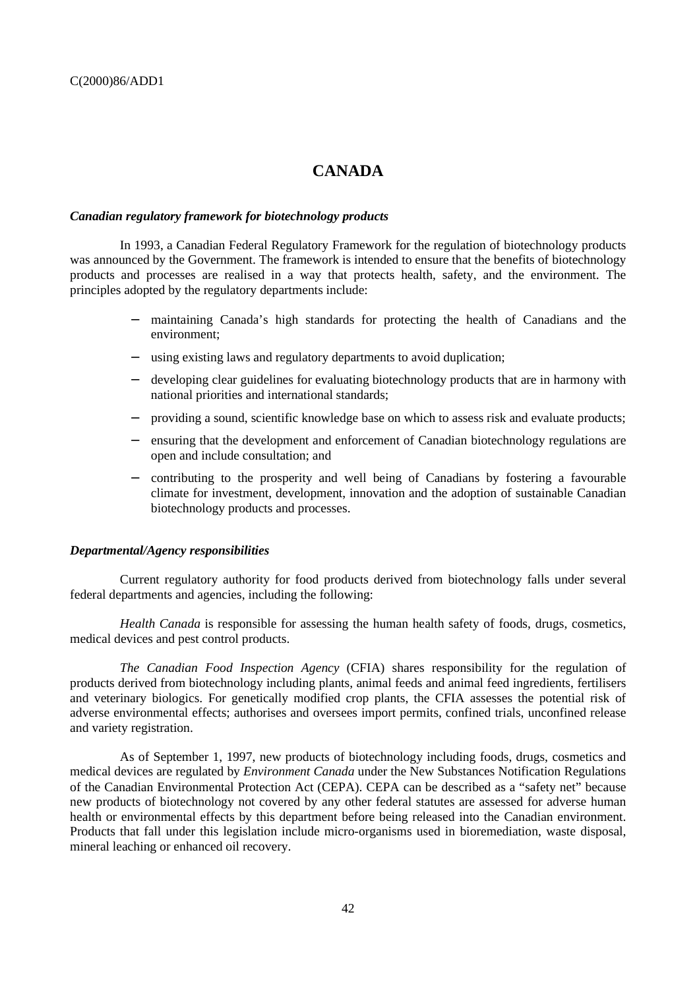# **CANADA**

#### *Canadian regulatory framework for biotechnology products*

In 1993, a Canadian Federal Regulatory Framework for the regulation of biotechnology products was announced by the Government. The framework is intended to ensure that the benefits of biotechnology products and processes are realised in a way that protects health, safety, and the environment. The principles adopted by the regulatory departments include:

- − maintaining Canada's high standards for protecting the health of Canadians and the environment;
- − using existing laws and regulatory departments to avoid duplication;
- − developing clear guidelines for evaluating biotechnology products that are in harmony with national priorities and international standards;
- − providing a sound, scientific knowledge base on which to assess risk and evaluate products;
- − ensuring that the development and enforcement of Canadian biotechnology regulations are open and include consultation; and
- − contributing to the prosperity and well being of Canadians by fostering a favourable climate for investment, development, innovation and the adoption of sustainable Canadian biotechnology products and processes.

#### *Departmental/Agency responsibilities*

Current regulatory authority for food products derived from biotechnology falls under several federal departments and agencies, including the following:

*Health Canada* is responsible for assessing the human health safety of foods, drugs, cosmetics, medical devices and pest control products.

*The Canadian Food Inspection Agency* (CFIA) shares responsibility for the regulation of products derived from biotechnology including plants, animal feeds and animal feed ingredients, fertilisers and veterinary biologics. For genetically modified crop plants, the CFIA assesses the potential risk of adverse environmental effects; authorises and oversees import permits, confined trials, unconfined release and variety registration.

As of September 1, 1997, new products of biotechnology including foods, drugs, cosmetics and medical devices are regulated by *Environment Canada* under the New Substances Notification Regulations of the Canadian Environmental Protection Act (CEPA). CEPA can be described as a "safety net" because new products of biotechnology not covered by any other federal statutes are assessed for adverse human health or environmental effects by this department before being released into the Canadian environment. Products that fall under this legislation include micro-organisms used in bioremediation, waste disposal, mineral leaching or enhanced oil recovery.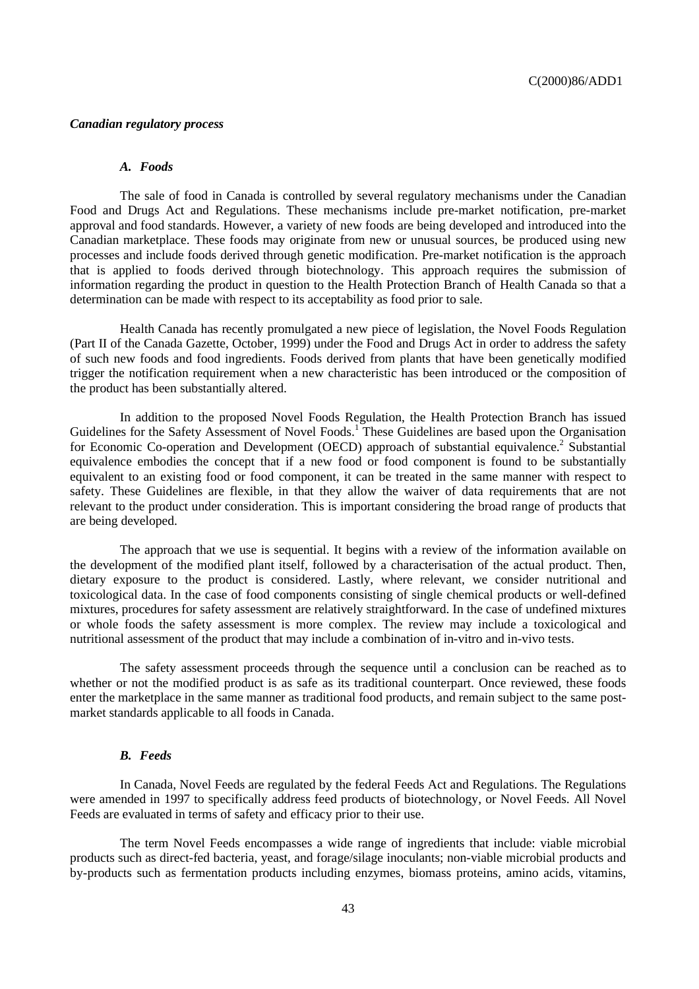### *Canadian regulatory process*

### *A. Foods*

The sale of food in Canada is controlled by several regulatory mechanisms under the Canadian Food and Drugs Act and Regulations. These mechanisms include pre-market notification, pre-market approval and food standards. However, a variety of new foods are being developed and introduced into the Canadian marketplace. These foods may originate from new or unusual sources, be produced using new processes and include foods derived through genetic modification. Pre-market notification is the approach that is applied to foods derived through biotechnology. This approach requires the submission of information regarding the product in question to the Health Protection Branch of Health Canada so that a determination can be made with respect to its acceptability as food prior to sale.

Health Canada has recently promulgated a new piece of legislation, the Novel Foods Regulation (Part II of the Canada Gazette, October, 1999) under the Food and Drugs Act in order to address the safety of such new foods and food ingredients. Foods derived from plants that have been genetically modified trigger the notification requirement when a new characteristic has been introduced or the composition of the product has been substantially altered.

In addition to the proposed Novel Foods Regulation, the Health Protection Branch has issued Guidelines for the Safety Assessment of Novel Foods.<sup>1</sup> These Guidelines are based upon the Organisation for Economic Co-operation and Development (OECD) approach of substantial equivalence.<sup>2</sup> Substantial equivalence embodies the concept that if a new food or food component is found to be substantially equivalent to an existing food or food component, it can be treated in the same manner with respect to safety. These Guidelines are flexible, in that they allow the waiver of data requirements that are not relevant to the product under consideration. This is important considering the broad range of products that are being developed.

The approach that we use is sequential. It begins with a review of the information available on the development of the modified plant itself, followed by a characterisation of the actual product. Then, dietary exposure to the product is considered. Lastly, where relevant, we consider nutritional and toxicological data. In the case of food components consisting of single chemical products or well-defined mixtures, procedures for safety assessment are relatively straightforward. In the case of undefined mixtures or whole foods the safety assessment is more complex. The review may include a toxicological and nutritional assessment of the product that may include a combination of in-vitro and in-vivo tests.

The safety assessment proceeds through the sequence until a conclusion can be reached as to whether or not the modified product is as safe as its traditional counterpart. Once reviewed, these foods enter the marketplace in the same manner as traditional food products, and remain subject to the same postmarket standards applicable to all foods in Canada.

#### *B. Feeds*

In Canada, Novel Feeds are regulated by the federal Feeds Act and Regulations. The Regulations were amended in 1997 to specifically address feed products of biotechnology, or Novel Feeds. All Novel Feeds are evaluated in terms of safety and efficacy prior to their use.

The term Novel Feeds encompasses a wide range of ingredients that include: viable microbial products such as direct-fed bacteria, yeast, and forage/silage inoculants; non-viable microbial products and by-products such as fermentation products including enzymes, biomass proteins, amino acids, vitamins,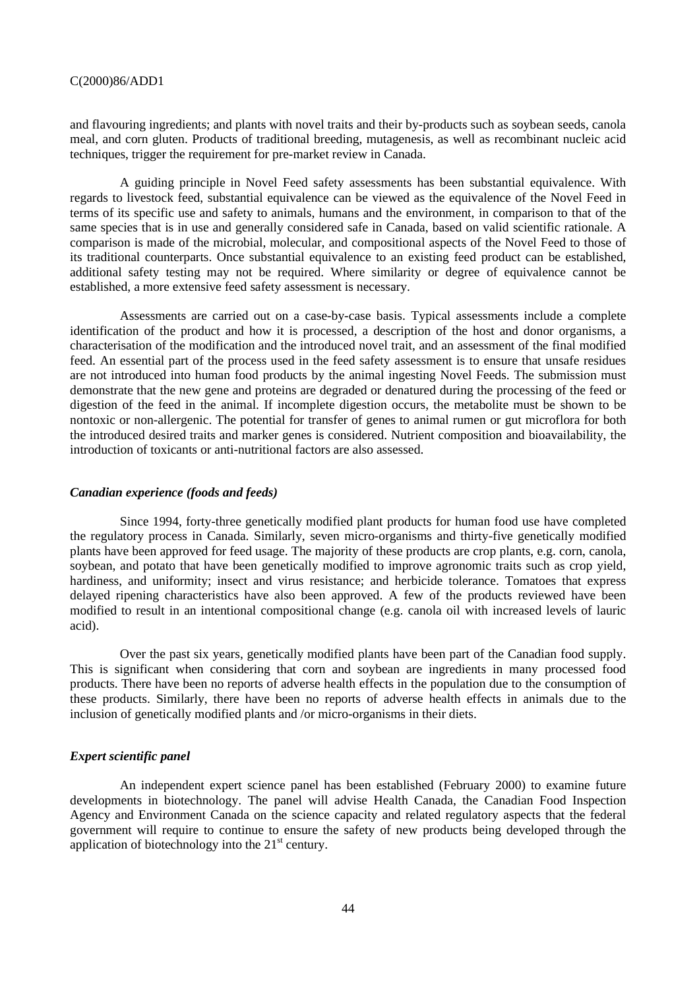and flavouring ingredients; and plants with novel traits and their by-products such as soybean seeds, canola meal, and corn gluten. Products of traditional breeding, mutagenesis, as well as recombinant nucleic acid techniques, trigger the requirement for pre-market review in Canada.

A guiding principle in Novel Feed safety assessments has been substantial equivalence. With regards to livestock feed, substantial equivalence can be viewed as the equivalence of the Novel Feed in terms of its specific use and safety to animals, humans and the environment, in comparison to that of the same species that is in use and generally considered safe in Canada, based on valid scientific rationale. A comparison is made of the microbial, molecular, and compositional aspects of the Novel Feed to those of its traditional counterparts. Once substantial equivalence to an existing feed product can be established, additional safety testing may not be required. Where similarity or degree of equivalence cannot be established, a more extensive feed safety assessment is necessary.

Assessments are carried out on a case-by-case basis. Typical assessments include a complete identification of the product and how it is processed, a description of the host and donor organisms, a characterisation of the modification and the introduced novel trait, and an assessment of the final modified feed. An essential part of the process used in the feed safety assessment is to ensure that unsafe residues are not introduced into human food products by the animal ingesting Novel Feeds. The submission must demonstrate that the new gene and proteins are degraded or denatured during the processing of the feed or digestion of the feed in the animal. If incomplete digestion occurs, the metabolite must be shown to be nontoxic or non-allergenic. The potential for transfer of genes to animal rumen or gut microflora for both the introduced desired traits and marker genes is considered. Nutrient composition and bioavailability, the introduction of toxicants or anti-nutritional factors are also assessed.

#### *Canadian experience (foods and feeds)*

Since 1994, forty-three genetically modified plant products for human food use have completed the regulatory process in Canada. Similarly, seven micro-organisms and thirty-five genetically modified plants have been approved for feed usage. The majority of these products are crop plants, e.g. corn, canola, soybean, and potato that have been genetically modified to improve agronomic traits such as crop yield, hardiness, and uniformity; insect and virus resistance; and herbicide tolerance. Tomatoes that express delayed ripening characteristics have also been approved. A few of the products reviewed have been modified to result in an intentional compositional change (e.g. canola oil with increased levels of lauric acid).

Over the past six years, genetically modified plants have been part of the Canadian food supply. This is significant when considering that corn and soybean are ingredients in many processed food products. There have been no reports of adverse health effects in the population due to the consumption of these products. Similarly, there have been no reports of adverse health effects in animals due to the inclusion of genetically modified plants and /or micro-organisms in their diets.

# *Expert scientific panel*

An independent expert science panel has been established (February 2000) to examine future developments in biotechnology. The panel will advise Health Canada, the Canadian Food Inspection Agency and Environment Canada on the science capacity and related regulatory aspects that the federal government will require to continue to ensure the safety of new products being developed through the application of biotechnology into the  $21<sup>st</sup>$  century.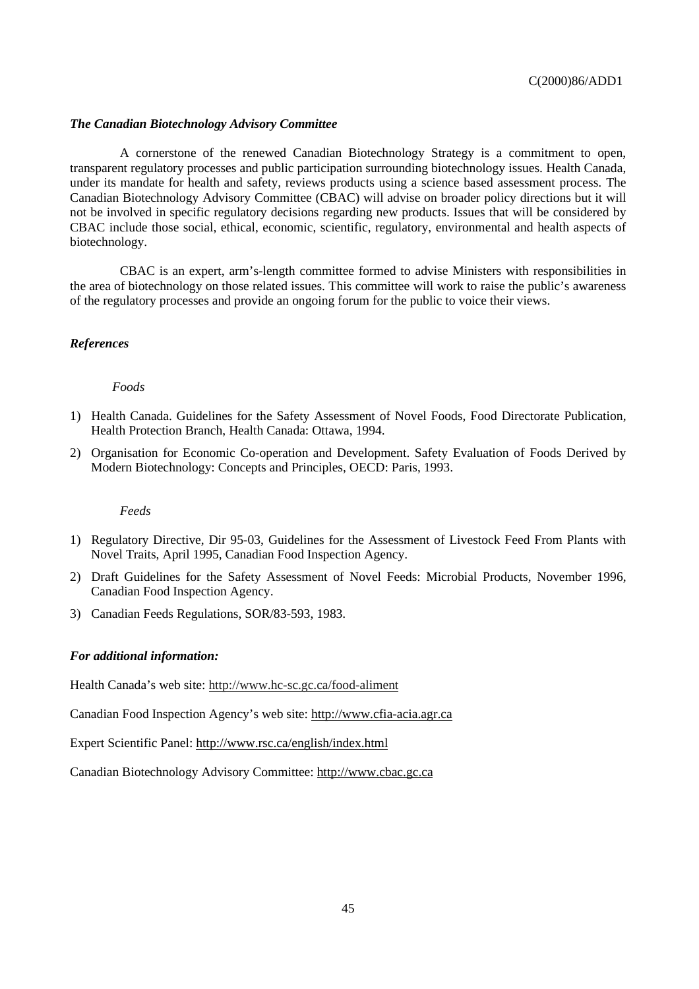### *The Canadian Biotechnology Advisory Committee*

A cornerstone of the renewed Canadian Biotechnology Strategy is a commitment to open, transparent regulatory processes and public participation surrounding biotechnology issues. Health Canada, under its mandate for health and safety, reviews products using a science based assessment process. The Canadian Biotechnology Advisory Committee (CBAC) will advise on broader policy directions but it will not be involved in specific regulatory decisions regarding new products. Issues that will be considered by CBAC include those social, ethical, economic, scientific, regulatory, environmental and health aspects of biotechnology.

CBAC is an expert, arm's-length committee formed to advise Ministers with responsibilities in the area of biotechnology on those related issues. This committee will work to raise the public's awareness of the regulatory processes and provide an ongoing forum for the public to voice their views.

### *References*

#### *Foods*

- 1) Health Canada. Guidelines for the Safety Assessment of Novel Foods, Food Directorate Publication, Health Protection Branch, Health Canada: Ottawa, 1994.
- 2) Organisation for Economic Co-operation and Development. Safety Evaluation of Foods Derived by Modern Biotechnology: Concepts and Principles, OECD: Paris, 1993.

#### *Feeds*

- 1) Regulatory Directive, Dir 95-03, Guidelines for the Assessment of Livestock Feed From Plants with Novel Traits, April 1995, Canadian Food Inspection Agency.
- 2) Draft Guidelines for the Safety Assessment of Novel Feeds: Microbial Products, November 1996, Canadian Food Inspection Agency.
- 3) Canadian Feeds Regulations, SOR/83-593, 1983.

#### *For additional information:*

Health Canada's web site: http://www.hc-sc.gc.ca/food-aliment

Canadian Food Inspection Agency's web site: http://www.cfia-acia.agr.ca

Expert Scientific Panel: http://www.rsc.ca/english/index.html

Canadian Biotechnology Advisory Committee: http://www.cbac.gc.ca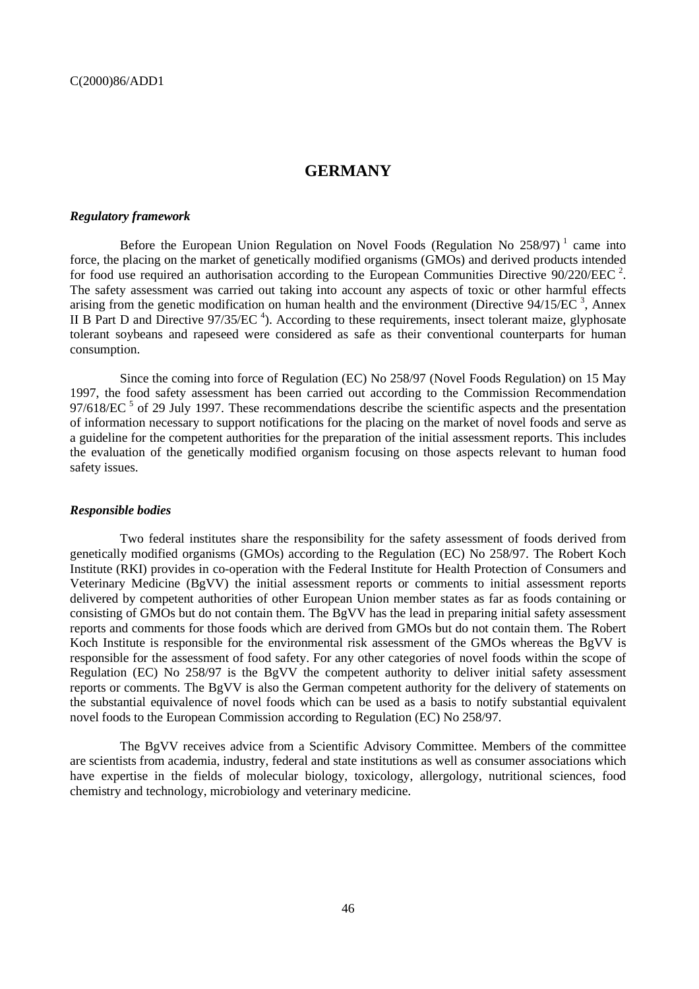# **GERMANY**

#### *Regulatory framework*

Before the European Union Regulation on Novel Foods (Regulation No  $258/97$ )<sup>1</sup> came into force, the placing on the market of genetically modified organisms (GMOs) and derived products intended for food use required an authorisation according to the European Communities Directive  $90/220$ /EEC<sup>2</sup>. The safety assessment was carried out taking into account any aspects of toxic or other harmful effects arising from the genetic modification on human health and the environment (Directive  $94/15/EC^3$ , Annex II B Part D and Directive  $97/35/EC$ <sup>4</sup>). According to these requirements, insect tolerant maize, glyphosate tolerant soybeans and rapeseed were considered as safe as their conventional counterparts for human consumption.

Since the coming into force of Regulation (EC) No 258/97 (Novel Foods Regulation) on 15 May 1997, the food safety assessment has been carried out according to the Commission Recommendation  $97/618$ /EC<sup>5</sup> of 29 July 1997. These recommendations describe the scientific aspects and the presentation of information necessary to support notifications for the placing on the market of novel foods and serve as a guideline for the competent authorities for the preparation of the initial assessment reports. This includes the evaluation of the genetically modified organism focusing on those aspects relevant to human food safety issues.

#### *Responsible bodies*

Two federal institutes share the responsibility for the safety assessment of foods derived from genetically modified organisms (GMOs) according to the Regulation (EC) No 258/97. The Robert Koch Institute (RKI) provides in co-operation with the Federal Institute for Health Protection of Consumers and Veterinary Medicine (BgVV) the initial assessment reports or comments to initial assessment reports delivered by competent authorities of other European Union member states as far as foods containing or consisting of GMOs but do not contain them. The BgVV has the lead in preparing initial safety assessment reports and comments for those foods which are derived from GMOs but do not contain them. The Robert Koch Institute is responsible for the environmental risk assessment of the GMOs whereas the BgVV is responsible for the assessment of food safety. For any other categories of novel foods within the scope of Regulation (EC) No 258/97 is the BgVV the competent authority to deliver initial safety assessment reports or comments. The BgVV is also the German competent authority for the delivery of statements on the substantial equivalence of novel foods which can be used as a basis to notify substantial equivalent novel foods to the European Commission according to Regulation (EC) No 258/97.

The BgVV receives advice from a Scientific Advisory Committee. Members of the committee are scientists from academia, industry, federal and state institutions as well as consumer associations which have expertise in the fields of molecular biology, toxicology, allergology, nutritional sciences, food chemistry and technology, microbiology and veterinary medicine.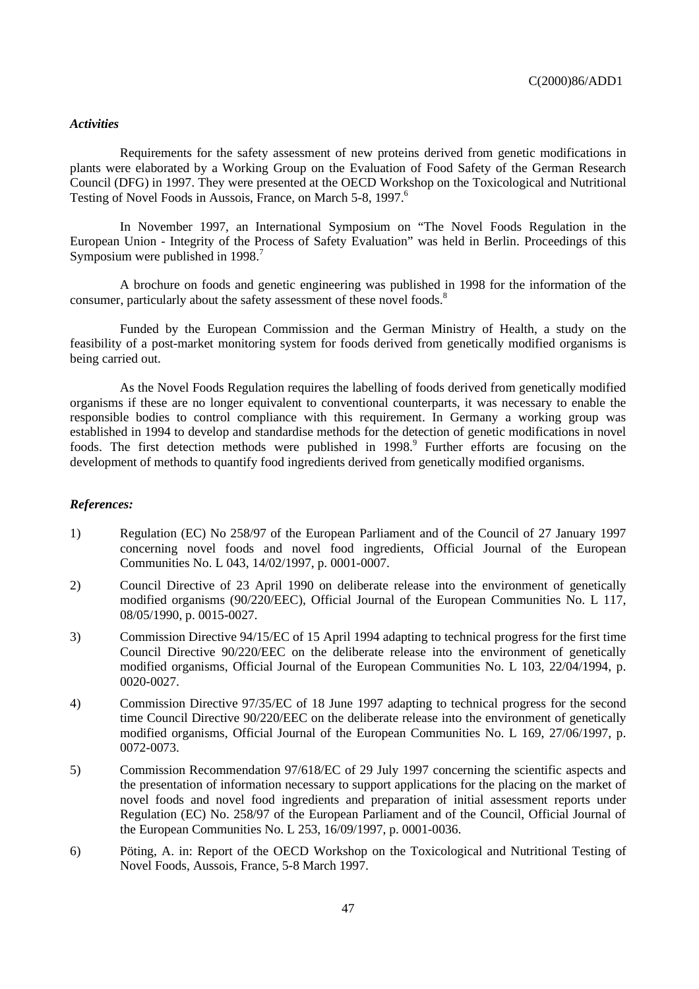### *Activities*

Requirements for the safety assessment of new proteins derived from genetic modifications in plants were elaborated by a Working Group on the Evaluation of Food Safety of the German Research Council (DFG) in 1997. They were presented at the OECD Workshop on the Toxicological and Nutritional Testing of Novel Foods in Aussois, France, on March 5-8, 1997.<sup>6</sup>

In November 1997, an International Symposium on "The Novel Foods Regulation in the European Union - Integrity of the Process of Safety Evaluation" was held in Berlin. Proceedings of this Symposium were published in 1998.<sup>7</sup>

A brochure on foods and genetic engineering was published in 1998 for the information of the consumer, particularly about the safety assessment of these novel foods.<sup>8</sup>

Funded by the European Commission and the German Ministry of Health, a study on the feasibility of a post-market monitoring system for foods derived from genetically modified organisms is being carried out.

As the Novel Foods Regulation requires the labelling of foods derived from genetically modified organisms if these are no longer equivalent to conventional counterparts, it was necessary to enable the responsible bodies to control compliance with this requirement. In Germany a working group was established in 1994 to develop and standardise methods for the detection of genetic modifications in novel foods. The first detection methods were published in 1998.<sup>9</sup> Further efforts are focusing on the development of methods to quantify food ingredients derived from genetically modified organisms.

#### *References:*

- 1) Regulation (EC) No 258/97 of the European Parliament and of the Council of 27 January 1997 concerning novel foods and novel food ingredients, Official Journal of the European Communities No. L 043, 14/02/1997, p. 0001-0007.
- 2) Council Directive of 23 April 1990 on deliberate release into the environment of genetically modified organisms (90/220/EEC), Official Journal of the European Communities No. L 117, 08/05/1990, p. 0015-0027.
- 3) Commission Directive 94/15/EC of 15 April 1994 adapting to technical progress for the first time Council Directive 90/220/EEC on the deliberate release into the environment of genetically modified organisms, Official Journal of the European Communities No. L 103, 22/04/1994, p. 0020-0027.
- 4) Commission Directive 97/35/EC of 18 June 1997 adapting to technical progress for the second time Council Directive 90/220/EEC on the deliberate release into the environment of genetically modified organisms, Official Journal of the European Communities No. L 169, 27/06/1997, p. 0072-0073.
- 5) Commission Recommendation 97/618/EC of 29 July 1997 concerning the scientific aspects and the presentation of information necessary to support applications for the placing on the market of novel foods and novel food ingredients and preparation of initial assessment reports under Regulation (EC) No. 258/97 of the European Parliament and of the Council, Official Journal of the European Communities No. L 253, 16/09/1997, p. 0001-0036.
- 6) Pöting, A. in: Report of the OECD Workshop on the Toxicological and Nutritional Testing of Novel Foods, Aussois, France, 5-8 March 1997.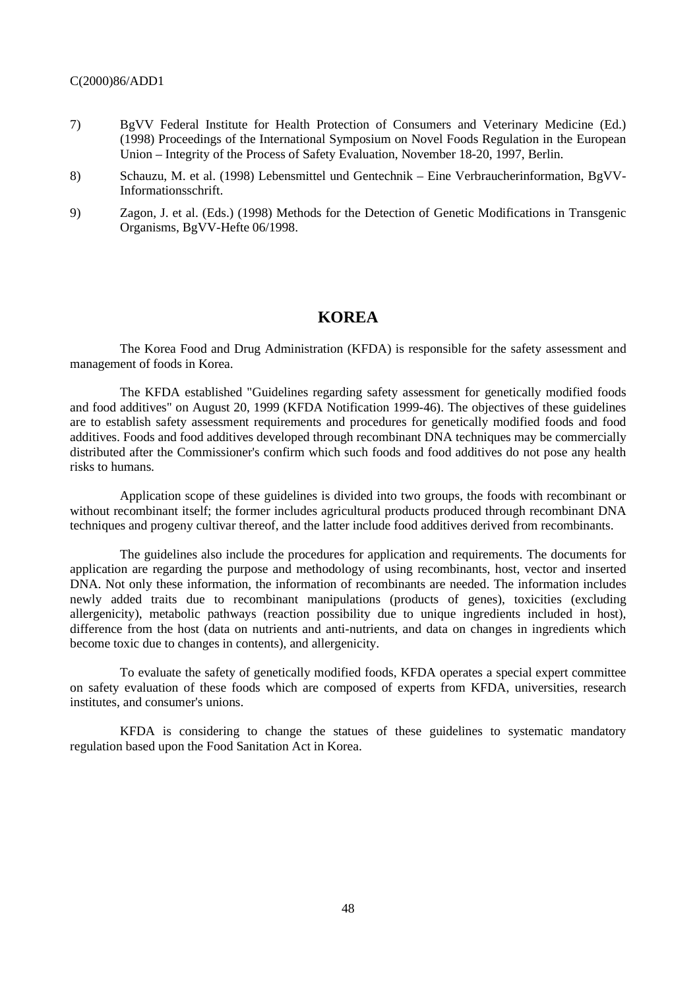- 7) BgVV Federal Institute for Health Protection of Consumers and Veterinary Medicine (Ed.) (1998) Proceedings of the International Symposium on Novel Foods Regulation in the European Union – Integrity of the Process of Safety Evaluation, November 18-20, 1997, Berlin.
- 8) Schauzu, M. et al. (1998) Lebensmittel und Gentechnik Eine Verbraucherinformation, BgVV-Informationsschrift.
- 9) Zagon, J. et al. (Eds.) (1998) Methods for the Detection of Genetic Modifications in Transgenic Organisms, BgVV-Hefte 06/1998.

# **KOREA**

The Korea Food and Drug Administration (KFDA) is responsible for the safety assessment and management of foods in Korea.

The KFDA established "Guidelines regarding safety assessment for genetically modified foods and food additives" on August 20, 1999 (KFDA Notification 1999-46). The objectives of these guidelines are to establish safety assessment requirements and procedures for genetically modified foods and food additives. Foods and food additives developed through recombinant DNA techniques may be commercially distributed after the Commissioner's confirm which such foods and food additives do not pose any health risks to humans.

Application scope of these guidelines is divided into two groups, the foods with recombinant or without recombinant itself; the former includes agricultural products produced through recombinant DNA techniques and progeny cultivar thereof, and the latter include food additives derived from recombinants.

The guidelines also include the procedures for application and requirements. The documents for application are regarding the purpose and methodology of using recombinants, host, vector and inserted DNA. Not only these information, the information of recombinants are needed. The information includes newly added traits due to recombinant manipulations (products of genes), toxicities (excluding allergenicity), metabolic pathways (reaction possibility due to unique ingredients included in host), difference from the host (data on nutrients and anti-nutrients, and data on changes in ingredients which become toxic due to changes in contents), and allergenicity.

To evaluate the safety of genetically modified foods, KFDA operates a special expert committee on safety evaluation of these foods which are composed of experts from KFDA, universities, research institutes, and consumer's unions.

KFDA is considering to change the statues of these guidelines to systematic mandatory regulation based upon the Food Sanitation Act in Korea.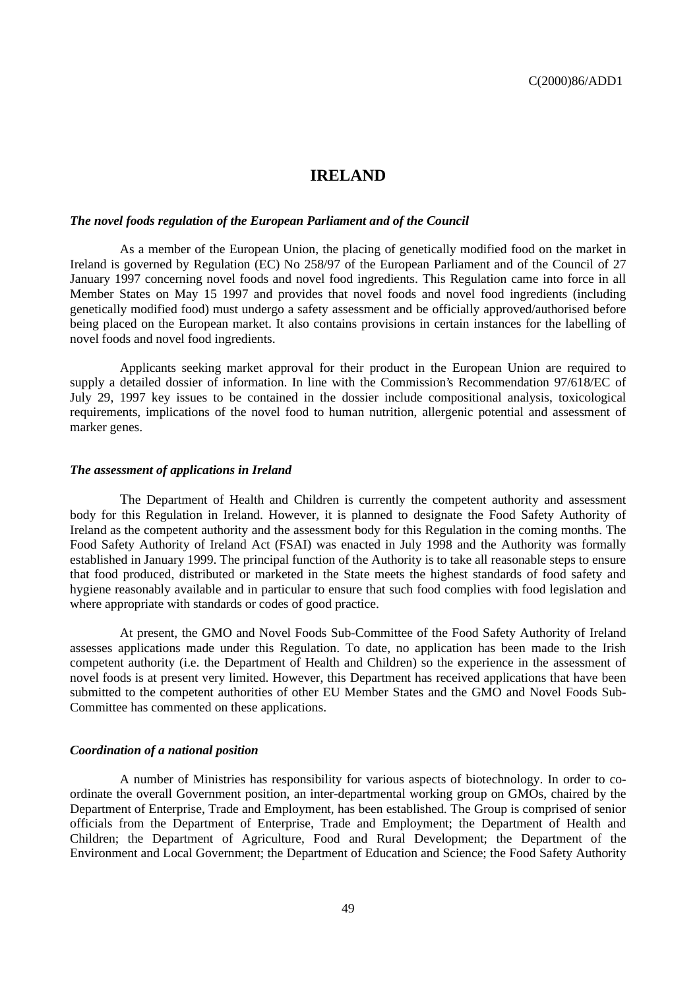# **IRELAND**

#### *The novel foods regulation of the European Parliament and of the Council*

As a member of the European Union, the placing of genetically modified food on the market in Ireland is governed by Regulation (EC) No 258/97 of the European Parliament and of the Council of 27 January 1997 concerning novel foods and novel food ingredients. This Regulation came into force in all Member States on May 15 1997 and provides that novel foods and novel food ingredients (including genetically modified food) must undergo a safety assessment and be officially approved/authorised before being placed on the European market. It also contains provisions in certain instances for the labelling of novel foods and novel food ingredients.

Applicants seeking market approval for their product in the European Union are required to supply a detailed dossier of information. In line with the Commission's Recommendation 97/618/EC of July 29, 1997 key issues to be contained in the dossier include compositional analysis, toxicological requirements, implications of the novel food to human nutrition, allergenic potential and assessment of marker genes.

#### *The assessment of applications in Ireland*

The Department of Health and Children is currently the competent authority and assessment body for this Regulation in Ireland. However, it is planned to designate the Food Safety Authority of Ireland as the competent authority and the assessment body for this Regulation in the coming months. The Food Safety Authority of Ireland Act (FSAI) was enacted in July 1998 and the Authority was formally established in January 1999. The principal function of the Authority is to take all reasonable steps to ensure that food produced, distributed or marketed in the State meets the highest standards of food safety and hygiene reasonably available and in particular to ensure that such food complies with food legislation and where appropriate with standards or codes of good practice.

At present, the GMO and Novel Foods Sub-Committee of the Food Safety Authority of Ireland assesses applications made under this Regulation. To date, no application has been made to the Irish competent authority (i.e. the Department of Health and Children) so the experience in the assessment of novel foods is at present very limited. However, this Department has received applications that have been submitted to the competent authorities of other EU Member States and the GMO and Novel Foods Sub-Committee has commented on these applications.

#### *Coordination of a national position*

A number of Ministries has responsibility for various aspects of biotechnology. In order to coordinate the overall Government position, an inter-departmental working group on GMOs, chaired by the Department of Enterprise, Trade and Employment, has been established. The Group is comprised of senior officials from the Department of Enterprise, Trade and Employment; the Department of Health and Children; the Department of Agriculture, Food and Rural Development; the Department of the Environment and Local Government; the Department of Education and Science; the Food Safety Authority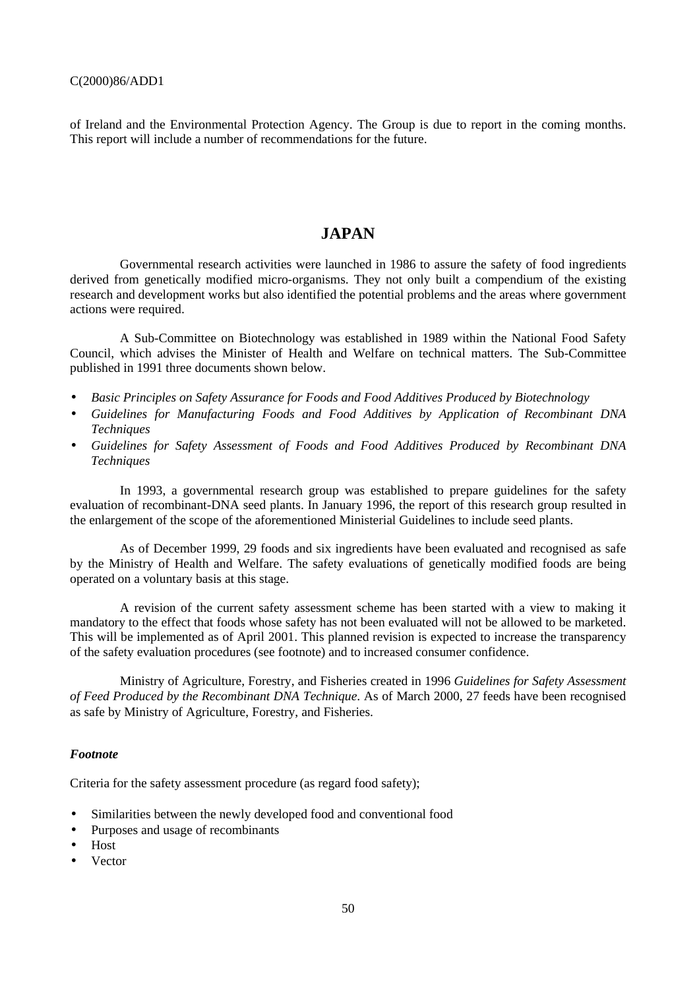of Ireland and the Environmental Protection Agency. The Group is due to report in the coming months. This report will include a number of recommendations for the future.

# **JAPAN**

Governmental research activities were launched in 1986 to assure the safety of food ingredients derived from genetically modified micro-organisms. They not only built a compendium of the existing research and development works but also identified the potential problems and the areas where government actions were required.

A Sub-Committee on Biotechnology was established in 1989 within the National Food Safety Council, which advises the Minister of Health and Welfare on technical matters. The Sub-Committee published in 1991 three documents shown below.

- *Basic Principles on Safety Assurance for Foods and Food Additives Produced by Biotechnology*
- *Guidelines for Manufacturing Foods and Food Additives by Application of Recombinant DNA Techniques*
- *Guidelines for Safety Assessment of Foods and Food Additives Produced by Recombinant DNA Techniques*

In 1993, a governmental research group was established to prepare guidelines for the safety evaluation of recombinant-DNA seed plants. In January 1996, the report of this research group resulted in the enlargement of the scope of the aforementioned Ministerial Guidelines to include seed plants.

As of December 1999, 29 foods and six ingredients have been evaluated and recognised as safe by the Ministry of Health and Welfare. The safety evaluations of genetically modified foods are being operated on a voluntary basis at this stage.

A revision of the current safety assessment scheme has been started with a view to making it mandatory to the effect that foods whose safety has not been evaluated will not be allowed to be marketed. This will be implemented as of April 2001. This planned revision is expected to increase the transparency of the safety evaluation procedures (see footnote) and to increased consumer confidence.

Ministry of Agriculture, Forestry, and Fisheries created in 1996 *Guidelines for Safety Assessment of Feed Produced by the Recombinant DNA Technique*. As of March 2000, 27 feeds have been recognised as safe by Ministry of Agriculture, Forestry, and Fisheries.

#### *Footnote*

Criteria for the safety assessment procedure (as regard food safety);

- Similarities between the newly developed food and conventional food
- Purposes and usage of recombinants
- Host
- Vector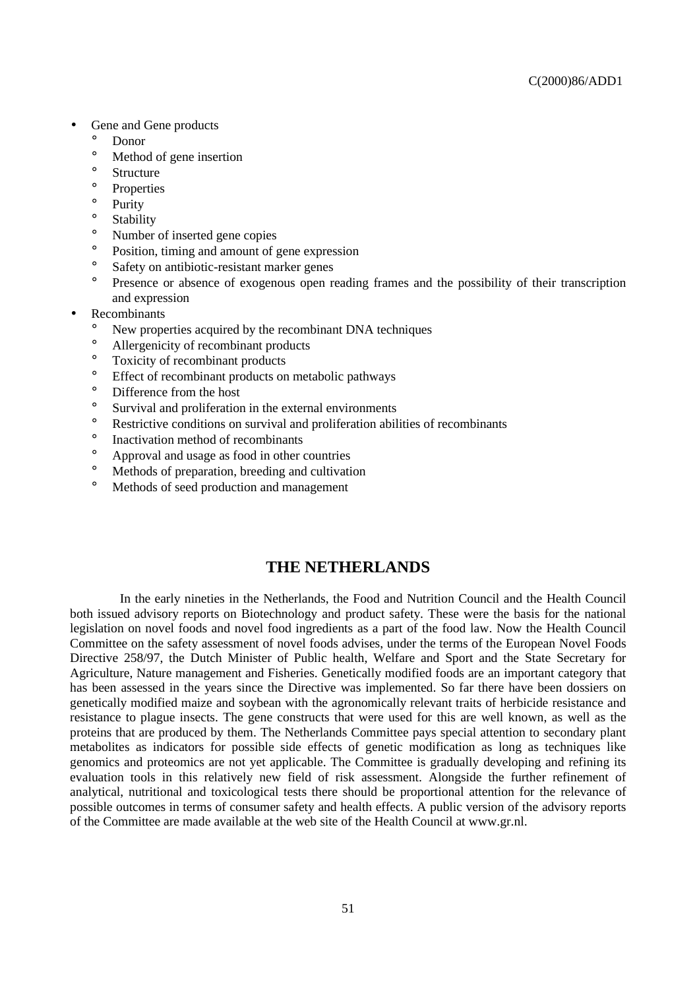- Gene and Gene products
	- Donor
	- ° Method of gene insertion
	- $\degree$  Structure
	- $\degree$  Properties
	- Purity
	- ° Stability
	- ° Number of inserted gene copies
	- <sup>o</sup> Position, timing and amount of gene expression
	- ° Safety on antibiotic-resistant marker genes
	- ° Presence or absence of exogenous open reading frames and the possibility of their transcription and expression
- **Recombinants** 
	- New properties acquired by the recombinant DNA techniques
	- ° Allergenicity of recombinant products
	- ° Toxicity of recombinant products
	- ° Effect of recombinant products on metabolic pathways
	- ° Difference from the host
	- ° Survival and proliferation in the external environments
	- ° Restrictive conditions on survival and proliferation abilities of recombinants
	- ° Inactivation method of recombinants
	- <sup>o</sup> Approval and usage as food in other countries<br><sup>o</sup> Methods of preparation, breeding and cultivation
	- Methods of preparation, breeding and cultivation
	- ° Methods of seed production and management

# **THE NETHERLANDS**

In the early nineties in the Netherlands, the Food and Nutrition Council and the Health Council both issued advisory reports on Biotechnology and product safety. These were the basis for the national legislation on novel foods and novel food ingredients as a part of the food law. Now the Health Council Committee on the safety assessment of novel foods advises, under the terms of the European Novel Foods Directive 258/97, the Dutch Minister of Public health, Welfare and Sport and the State Secretary for Agriculture, Nature management and Fisheries. Genetically modified foods are an important category that has been assessed in the years since the Directive was implemented. So far there have been dossiers on genetically modified maize and soybean with the agronomically relevant traits of herbicide resistance and resistance to plague insects. The gene constructs that were used for this are well known, as well as the proteins that are produced by them. The Netherlands Committee pays special attention to secondary plant metabolites as indicators for possible side effects of genetic modification as long as techniques like genomics and proteomics are not yet applicable. The Committee is gradually developing and refining its evaluation tools in this relatively new field of risk assessment. Alongside the further refinement of analytical, nutritional and toxicological tests there should be proportional attention for the relevance of possible outcomes in terms of consumer safety and health effects. A public version of the advisory reports of the Committee are made available at the web site of the Health Council at www.gr.nl.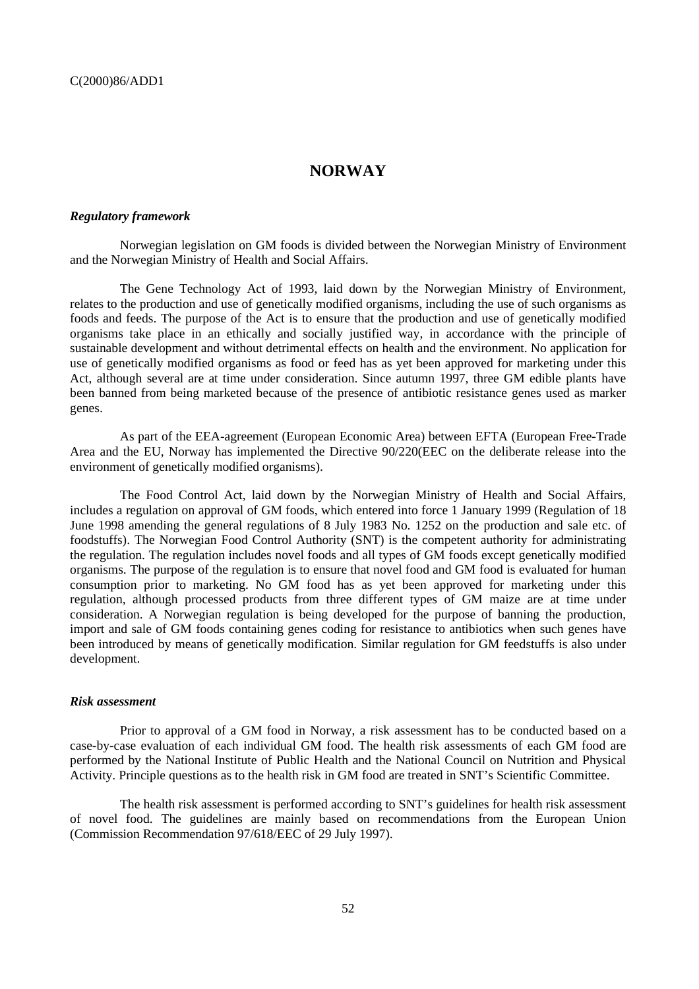# **NORWAY**

#### *Regulatory framework*

Norwegian legislation on GM foods is divided between the Norwegian Ministry of Environment and the Norwegian Ministry of Health and Social Affairs.

The Gene Technology Act of 1993, laid down by the Norwegian Ministry of Environment, relates to the production and use of genetically modified organisms, including the use of such organisms as foods and feeds. The purpose of the Act is to ensure that the production and use of genetically modified organisms take place in an ethically and socially justified way, in accordance with the principle of sustainable development and without detrimental effects on health and the environment. No application for use of genetically modified organisms as food or feed has as yet been approved for marketing under this Act, although several are at time under consideration. Since autumn 1997, three GM edible plants have been banned from being marketed because of the presence of antibiotic resistance genes used as marker genes.

As part of the EEA-agreement (European Economic Area) between EFTA (European Free-Trade Area and the EU, Norway has implemented the Directive 90/220(EEC on the deliberate release into the environment of genetically modified organisms).

The Food Control Act, laid down by the Norwegian Ministry of Health and Social Affairs, includes a regulation on approval of GM foods, which entered into force 1 January 1999 (Regulation of 18 June 1998 amending the general regulations of 8 July 1983 No. 1252 on the production and sale etc. of foodstuffs). The Norwegian Food Control Authority (SNT) is the competent authority for administrating the regulation. The regulation includes novel foods and all types of GM foods except genetically modified organisms. The purpose of the regulation is to ensure that novel food and GM food is evaluated for human consumption prior to marketing. No GM food has as yet been approved for marketing under this regulation, although processed products from three different types of GM maize are at time under consideration. A Norwegian regulation is being developed for the purpose of banning the production, import and sale of GM foods containing genes coding for resistance to antibiotics when such genes have been introduced by means of genetically modification. Similar regulation for GM feedstuffs is also under development.

#### *Risk assessment*

Prior to approval of a GM food in Norway, a risk assessment has to be conducted based on a case-by-case evaluation of each individual GM food. The health risk assessments of each GM food are performed by the National Institute of Public Health and the National Council on Nutrition and Physical Activity. Principle questions as to the health risk in GM food are treated in SNT's Scientific Committee.

The health risk assessment is performed according to SNT's guidelines for health risk assessment of novel food. The guidelines are mainly based on recommendations from the European Union (Commission Recommendation 97/618/EEC of 29 July 1997).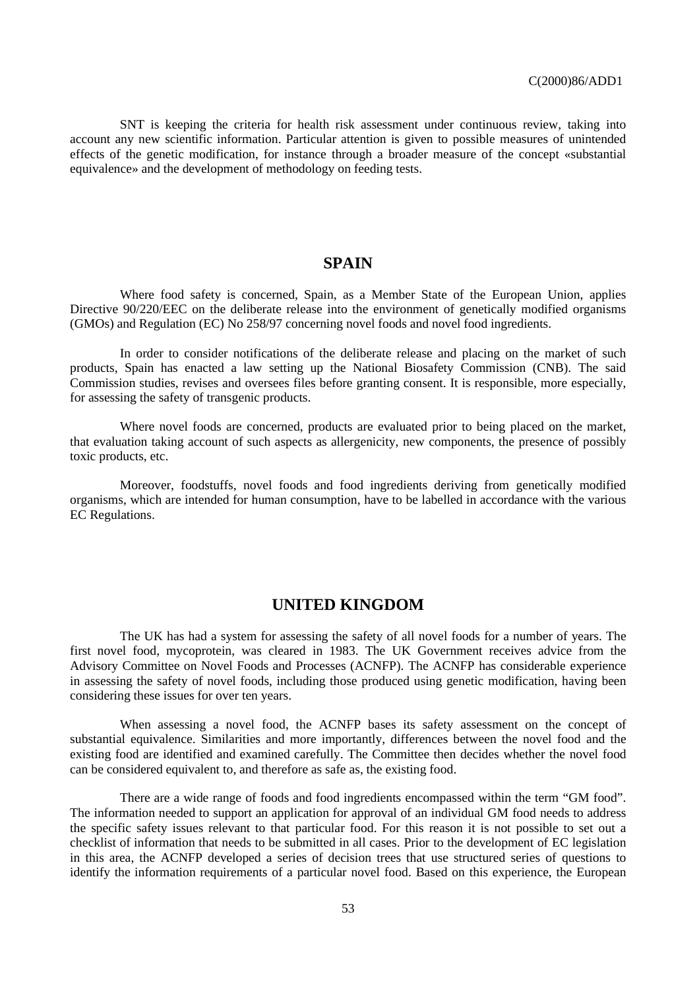SNT is keeping the criteria for health risk assessment under continuous review, taking into account any new scientific information. Particular attention is given to possible measures of unintended effects of the genetic modification, for instance through a broader measure of the concept «substantial equivalence» and the development of methodology on feeding tests.

# **SPAIN**

Where food safety is concerned, Spain, as a Member State of the European Union, applies Directive 90/220/EEC on the deliberate release into the environment of genetically modified organisms (GMOs) and Regulation (EC) No 258/97 concerning novel foods and novel food ingredients.

In order to consider notifications of the deliberate release and placing on the market of such products, Spain has enacted a law setting up the National Biosafety Commission (CNB). The said Commission studies, revises and oversees files before granting consent. It is responsible, more especially, for assessing the safety of transgenic products.

Where novel foods are concerned, products are evaluated prior to being placed on the market, that evaluation taking account of such aspects as allergenicity, new components, the presence of possibly toxic products, etc.

Moreover, foodstuffs, novel foods and food ingredients deriving from genetically modified organisms, which are intended for human consumption, have to be labelled in accordance with the various EC Regulations.

# **UNITED KINGDOM**

The UK has had a system for assessing the safety of all novel foods for a number of years. The first novel food, mycoprotein, was cleared in 1983. The UK Government receives advice from the Advisory Committee on Novel Foods and Processes (ACNFP). The ACNFP has considerable experience in assessing the safety of novel foods, including those produced using genetic modification, having been considering these issues for over ten years.

When assessing a novel food, the ACNFP bases its safety assessment on the concept of substantial equivalence. Similarities and more importantly, differences between the novel food and the existing food are identified and examined carefully. The Committee then decides whether the novel food can be considered equivalent to, and therefore as safe as, the existing food.

There are a wide range of foods and food ingredients encompassed within the term "GM food". The information needed to support an application for approval of an individual GM food needs to address the specific safety issues relevant to that particular food. For this reason it is not possible to set out a checklist of information that needs to be submitted in all cases. Prior to the development of EC legislation in this area, the ACNFP developed a series of decision trees that use structured series of questions to identify the information requirements of a particular novel food. Based on this experience, the European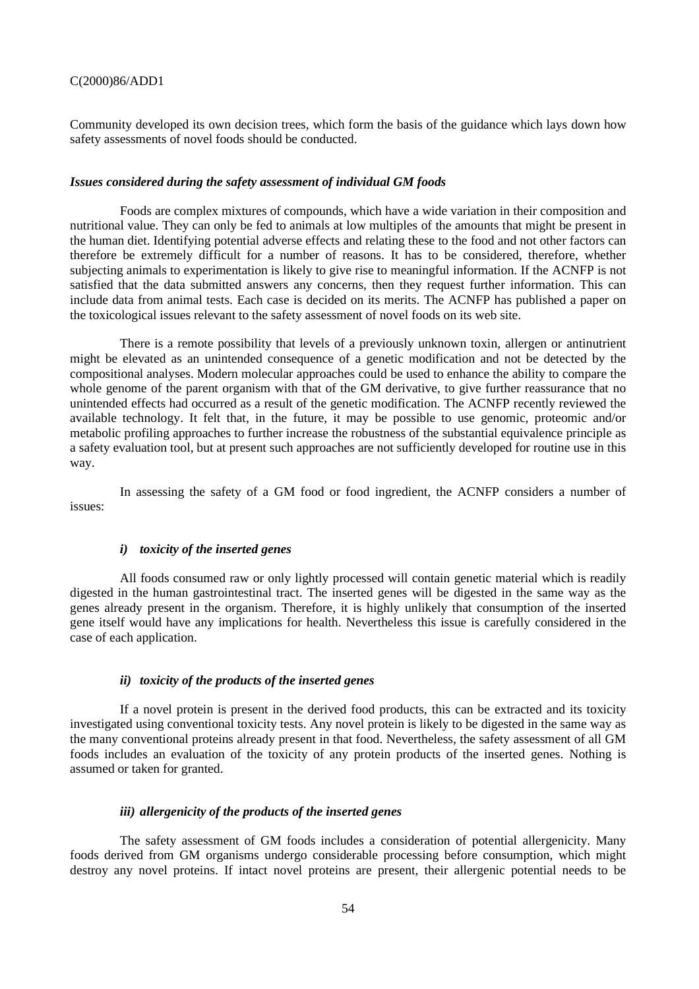Community developed its own decision trees, which form the basis of the guidance which lays down how safety assessments of novel foods should be conducted.

#### *Issues considered during the safety assessment of individual GM foods*

Foods are complex mixtures of compounds, which have a wide variation in their composition and nutritional value. They can only be fed to animals at low multiples of the amounts that might be present in the human diet. Identifying potential adverse effects and relating these to the food and not other factors can therefore be extremely difficult for a number of reasons. It has to be considered, therefore, whether subjecting animals to experimentation is likely to give rise to meaningful information. If the ACNFP is not satisfied that the data submitted answers any concerns, then they request further information. This can include data from animal tests. Each case is decided on its merits. The ACNFP has published a paper on the toxicological issues relevant to the safety assessment of novel foods on its web site.

There is a remote possibility that levels of a previously unknown toxin, allergen or antinutrient might be elevated as an unintended consequence of a genetic modification and not be detected by the compositional analyses. Modern molecular approaches could be used to enhance the ability to compare the whole genome of the parent organism with that of the GM derivative, to give further reassurance that no unintended effects had occurred as a result of the genetic modification. The ACNFP recently reviewed the available technology. It felt that, in the future, it may be possible to use genomic, proteomic and/or metabolic profiling approaches to further increase the robustness of the substantial equivalence principle as a safety evaluation tool, but at present such approaches are not sufficiently developed for routine use in this way.

In assessing the safety of a GM food or food ingredient, the ACNFP considers a number of issues:

#### *i) toxicity of the inserted genes*

All foods consumed raw or only lightly processed will contain genetic material which is readily digested in the human gastrointestinal tract. The inserted genes will be digested in the same way as the genes already present in the organism. Therefore, it is highly unlikely that consumption of the inserted gene itself would have any implications for health. Nevertheless this issue is carefully considered in the case of each application.

### *ii) toxicity of the products of the inserted genes*

If a novel protein is present in the derived food products, this can be extracted and its toxicity investigated using conventional toxicity tests. Any novel protein is likely to be digested in the same way as the many conventional proteins already present in that food. Nevertheless, the safety assessment of all GM foods includes an evaluation of the toxicity of any protein products of the inserted genes. Nothing is assumed or taken for granted.

#### *iii) allergenicity of the products of the inserted genes*

The safety assessment of GM foods includes a consideration of potential allergenicity. Many foods derived from GM organisms undergo considerable processing before consumption, which might destroy any novel proteins. If intact novel proteins are present, their allergenic potential needs to be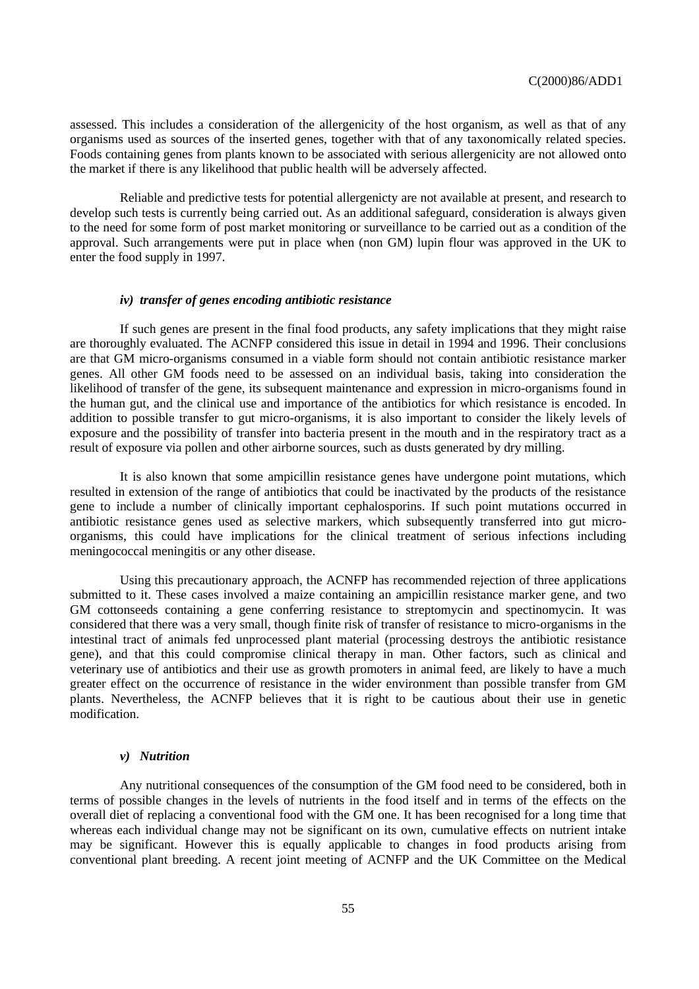assessed. This includes a consideration of the allergenicity of the host organism, as well as that of any organisms used as sources of the inserted genes, together with that of any taxonomically related species. Foods containing genes from plants known to be associated with serious allergenicity are not allowed onto the market if there is any likelihood that public health will be adversely affected.

Reliable and predictive tests for potential allergenicty are not available at present, and research to develop such tests is currently being carried out. As an additional safeguard, consideration is always given to the need for some form of post market monitoring or surveillance to be carried out as a condition of the approval. Such arrangements were put in place when (non GM) lupin flour was approved in the UK to enter the food supply in 1997.

#### *iv) transfer of genes encoding antibiotic resistance*

If such genes are present in the final food products, any safety implications that they might raise are thoroughly evaluated. The ACNFP considered this issue in detail in 1994 and 1996. Their conclusions are that GM micro-organisms consumed in a viable form should not contain antibiotic resistance marker genes. All other GM foods need to be assessed on an individual basis, taking into consideration the likelihood of transfer of the gene, its subsequent maintenance and expression in micro-organisms found in the human gut, and the clinical use and importance of the antibiotics for which resistance is encoded. In addition to possible transfer to gut micro-organisms, it is also important to consider the likely levels of exposure and the possibility of transfer into bacteria present in the mouth and in the respiratory tract as a result of exposure via pollen and other airborne sources, such as dusts generated by dry milling.

It is also known that some ampicillin resistance genes have undergone point mutations, which resulted in extension of the range of antibiotics that could be inactivated by the products of the resistance gene to include a number of clinically important cephalosporins. If such point mutations occurred in antibiotic resistance genes used as selective markers, which subsequently transferred into gut microorganisms, this could have implications for the clinical treatment of serious infections including meningococcal meningitis or any other disease.

Using this precautionary approach, the ACNFP has recommended rejection of three applications submitted to it. These cases involved a maize containing an ampicillin resistance marker gene, and two GM cottonseeds containing a gene conferring resistance to streptomycin and spectinomycin. It was considered that there was a very small, though finite risk of transfer of resistance to micro-organisms in the intestinal tract of animals fed unprocessed plant material (processing destroys the antibiotic resistance gene), and that this could compromise clinical therapy in man. Other factors, such as clinical and veterinary use of antibiotics and their use as growth promoters in animal feed, are likely to have a much greater effect on the occurrence of resistance in the wider environment than possible transfer from GM plants. Nevertheless, the ACNFP believes that it is right to be cautious about their use in genetic modification.

#### *v) Nutrition*

Any nutritional consequences of the consumption of the GM food need to be considered, both in terms of possible changes in the levels of nutrients in the food itself and in terms of the effects on the overall diet of replacing a conventional food with the GM one. It has been recognised for a long time that whereas each individual change may not be significant on its own, cumulative effects on nutrient intake may be significant. However this is equally applicable to changes in food products arising from conventional plant breeding. A recent joint meeting of ACNFP and the UK Committee on the Medical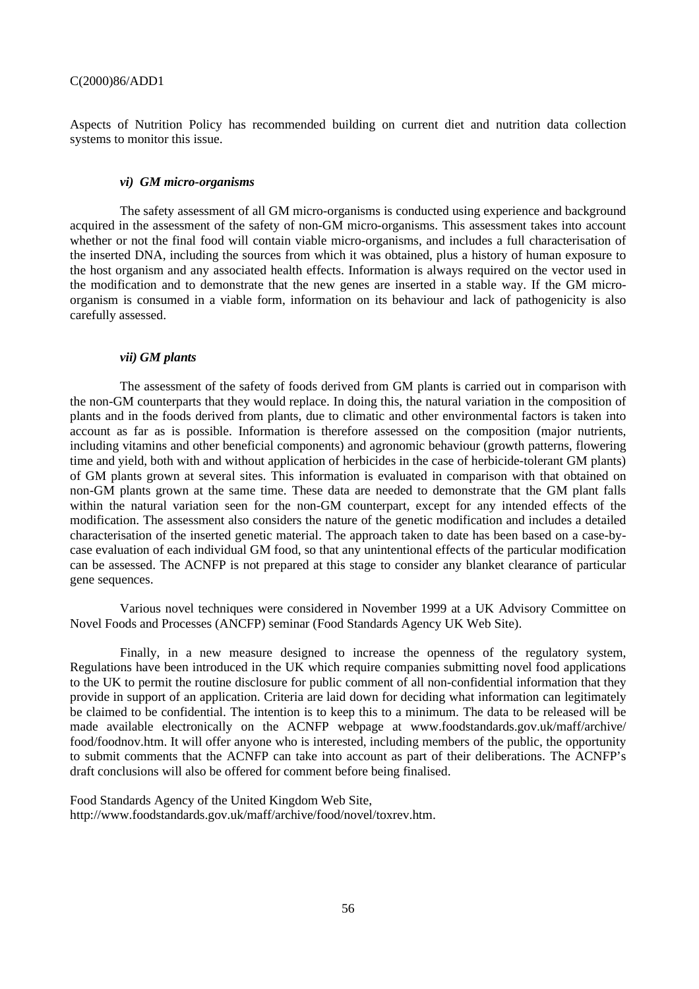Aspects of Nutrition Policy has recommended building on current diet and nutrition data collection systems to monitor this issue.

#### *vi) GM micro-organisms*

The safety assessment of all GM micro-organisms is conducted using experience and background acquired in the assessment of the safety of non-GM micro-organisms. This assessment takes into account whether or not the final food will contain viable micro-organisms, and includes a full characterisation of the inserted DNA, including the sources from which it was obtained, plus a history of human exposure to the host organism and any associated health effects. Information is always required on the vector used in the modification and to demonstrate that the new genes are inserted in a stable way. If the GM microorganism is consumed in a viable form, information on its behaviour and lack of pathogenicity is also carefully assessed.

#### *vii) GM plants*

The assessment of the safety of foods derived from GM plants is carried out in comparison with the non-GM counterparts that they would replace. In doing this, the natural variation in the composition of plants and in the foods derived from plants, due to climatic and other environmental factors is taken into account as far as is possible. Information is therefore assessed on the composition (major nutrients, including vitamins and other beneficial components) and agronomic behaviour (growth patterns, flowering time and yield, both with and without application of herbicides in the case of herbicide-tolerant GM plants) of GM plants grown at several sites. This information is evaluated in comparison with that obtained on non-GM plants grown at the same time. These data are needed to demonstrate that the GM plant falls within the natural variation seen for the non-GM counterpart, except for any intended effects of the modification. The assessment also considers the nature of the genetic modification and includes a detailed characterisation of the inserted genetic material. The approach taken to date has been based on a case-bycase evaluation of each individual GM food, so that any unintentional effects of the particular modification can be assessed. The ACNFP is not prepared at this stage to consider any blanket clearance of particular gene sequences.

Various novel techniques were considered in November 1999 at a UK Advisory Committee on Novel Foods and Processes (ANCFP) seminar (Food Standards Agency UK Web Site).

Finally, in a new measure designed to increase the openness of the regulatory system, Regulations have been introduced in the UK which require companies submitting novel food applications to the UK to permit the routine disclosure for public comment of all non-confidential information that they provide in support of an application. Criteria are laid down for deciding what information can legitimately be claimed to be confidential. The intention is to keep this to a minimum. The data to be released will be made available electronically on the ACNFP webpage at www.foodstandards.gov.uk/maff/archive/ food/foodnov.htm. It will offer anyone who is interested, including members of the public, the opportunity to submit comments that the ACNFP can take into account as part of their deliberations. The ACNFP's draft conclusions will also be offered for comment before being finalised.

Food Standards Agency of the United Kingdom Web Site, http://www.foodstandards.gov.uk/maff/archive/food/novel/toxrev.htm.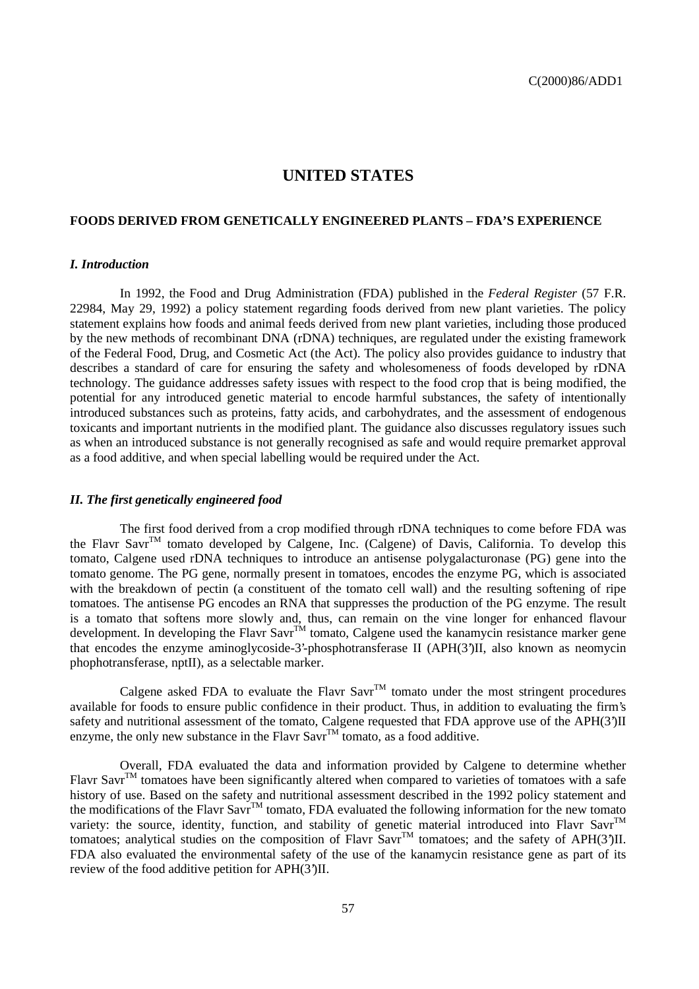# **UNITED STATES**

#### **FOODS DERIVED FROM GENETICALLY ENGINEERED PLANTS – FDA'S EXPERIENCE**

### *I. Introduction*

In 1992, the Food and Drug Administration (FDA) published in the *Federal Register* (57 F.R. 22984, May 29, 1992) a policy statement regarding foods derived from new plant varieties. The policy statement explains how foods and animal feeds derived from new plant varieties, including those produced by the new methods of recombinant DNA (rDNA) techniques, are regulated under the existing framework of the Federal Food, Drug, and Cosmetic Act (the Act). The policy also provides guidance to industry that describes a standard of care for ensuring the safety and wholesomeness of foods developed by rDNA technology. The guidance addresses safety issues with respect to the food crop that is being modified, the potential for any introduced genetic material to encode harmful substances, the safety of intentionally introduced substances such as proteins, fatty acids, and carbohydrates, and the assessment of endogenous toxicants and important nutrients in the modified plant. The guidance also discusses regulatory issues such as when an introduced substance is not generally recognised as safe and would require premarket approval as a food additive, and when special labelling would be required under the Act.

#### *II. The first genetically engineered food*

The first food derived from a crop modified through rDNA techniques to come before FDA was the Flavr Savr<sup>TM</sup> tomato developed by Calgene, Inc. (Calgene) of Davis, California. To develop this tomato, Calgene used rDNA techniques to introduce an antisense polygalacturonase (PG) gene into the tomato genome. The PG gene, normally present in tomatoes, encodes the enzyme PG, which is associated with the breakdown of pectin (a constituent of the tomato cell wall) and the resulting softening of ripe tomatoes. The antisense PG encodes an RNA that suppresses the production of the PG enzyme. The result is a tomato that softens more slowly and, thus, can remain on the vine longer for enhanced flavour development. In developing the Flavr Savr<sup>TM</sup> tomato, Calgene used the kanamycin resistance marker gene that encodes the enzyme aminoglycoside-3'-phosphotransferase II (APH(3')II, also known as neomycin phophotransferase, nptII), as a selectable marker.

Calgene asked FDA to evaluate the Flavr Savr<sup>TM</sup> tomato under the most stringent procedures available for foods to ensure public confidence in their product. Thus, in addition to evaluating the firm's safety and nutritional assessment of the tomato, Calgene requested that FDA approve use of the APH(3')II enzyme, the only new substance in the Flavr Savr<sup>TM</sup> tomato, as a food additive.

Overall, FDA evaluated the data and information provided by Calgene to determine whether Flavr Savr<sup>TM</sup> tomatoes have been significantly altered when compared to varieties of tomatoes with a safe history of use. Based on the safety and nutritional assessment described in the 1992 policy statement and the modifications of the Flavr Savr<sup>TM</sup> tomato, FDA evaluated the following information for the new tomato variety: the source, identity, function, and stability of genetic material introduced into Flavr Savr<sup>TM</sup> tomatoes; analytical studies on the composition of Flavr Savr<sup>TM</sup> tomatoes; and the safety of APH(3')II. FDA also evaluated the environmental safety of the use of the kanamycin resistance gene as part of its review of the food additive petition for APH(3')II.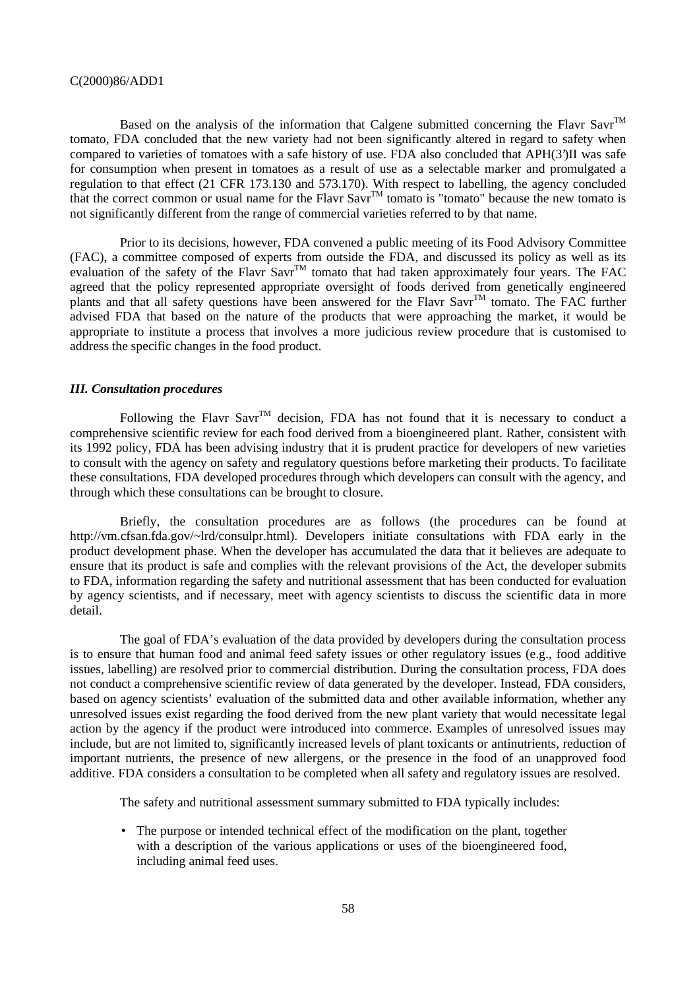Based on the analysis of the information that Calgene submitted concerning the Flavr Savr<sup>TM</sup> tomato, FDA concluded that the new variety had not been significantly altered in regard to safety when compared to varieties of tomatoes with a safe history of use. FDA also concluded that APH(3')II was safe for consumption when present in tomatoes as a result of use as a selectable marker and promulgated a regulation to that effect (21 CFR 173.130 and 573.170). With respect to labelling, the agency concluded that the correct common or usual name for the Flavr Savr<sup>TM</sup> tomato is "tomato" because the new tomato is  $\frac{1}{2}$ not significantly different from the range of commercial varieties referred to by that name.

Prior to its decisions, however, FDA convened a public meeting of its Food Advisory Committee (FAC), a committee composed of experts from outside the FDA, and discussed its policy as well as its evaluation of the safety of the Flavr Savr<sup>TM</sup> tomato that had taken approximately four years. The FAC agreed that the policy represented appropriate oversight of foods derived from genetically engineered plants and that all safety questions have been answered for the Flavr Savr<sup>TM</sup> tomato. The FAC further advised FDA that based on the nature of the products that were approaching the market, it would be appropriate to institute a process that involves a more judicious review procedure that is customised to address the specific changes in the food product.

#### *III. Consultation procedures*

Following the Flavr Savr<sup>TM</sup> decision, FDA has not found that it is necessary to conduct a comprehensive scientific review for each food derived from a bioengineered plant. Rather, consistent with its 1992 policy, FDA has been advising industry that it is prudent practice for developers of new varieties to consult with the agency on safety and regulatory questions before marketing their products. To facilitate these consultations, FDA developed procedures through which developers can consult with the agency, and through which these consultations can be brought to closure.

Briefly, the consultation procedures are as follows (the procedures can be found at http://vm.cfsan.fda.gov/~lrd/consulpr.html). Developers initiate consultations with FDA early in the product development phase. When the developer has accumulated the data that it believes are adequate to ensure that its product is safe and complies with the relevant provisions of the Act, the developer submits to FDA, information regarding the safety and nutritional assessment that has been conducted for evaluation by agency scientists, and if necessary, meet with agency scientists to discuss the scientific data in more detail.

The goal of FDA's evaluation of the data provided by developers during the consultation process is to ensure that human food and animal feed safety issues or other regulatory issues (e.g., food additive issues, labelling) are resolved prior to commercial distribution. During the consultation process, FDA does not conduct a comprehensive scientific review of data generated by the developer. Instead, FDA considers, based on agency scientists' evaluation of the submitted data and other available information, whether any unresolved issues exist regarding the food derived from the new plant variety that would necessitate legal action by the agency if the product were introduced into commerce. Examples of unresolved issues may include, but are not limited to, significantly increased levels of plant toxicants or antinutrients, reduction of important nutrients, the presence of new allergens, or the presence in the food of an unapproved food additive. FDA considers a consultation to be completed when all safety and regulatory issues are resolved.

The safety and nutritional assessment summary submitted to FDA typically includes:

• The purpose or intended technical effect of the modification on the plant, together with a description of the various applications or uses of the bioengineered food, including animal feed uses.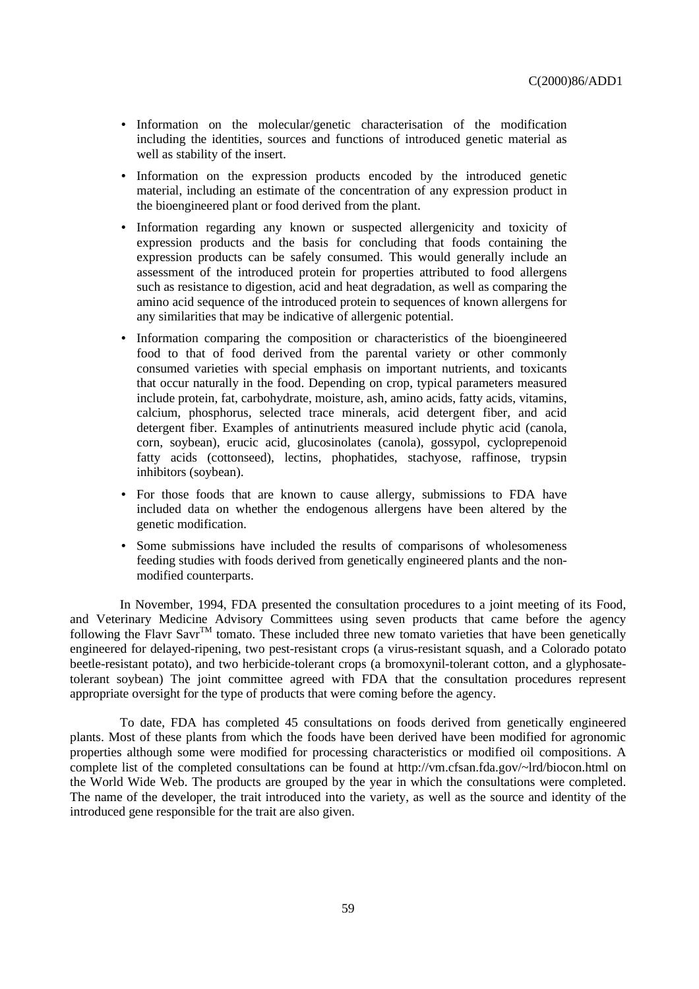- Information on the molecular/genetic characterisation of the modification including the identities, sources and functions of introduced genetic material as well as stability of the insert.
- Information on the expression products encoded by the introduced genetic material, including an estimate of the concentration of any expression product in the bioengineered plant or food derived from the plant.
- Information regarding any known or suspected allergenicity and toxicity of expression products and the basis for concluding that foods containing the expression products can be safely consumed. This would generally include an assessment of the introduced protein for properties attributed to food allergens such as resistance to digestion, acid and heat degradation, as well as comparing the amino acid sequence of the introduced protein to sequences of known allergens for any similarities that may be indicative of allergenic potential.
- Information comparing the composition or characteristics of the bioengineered food to that of food derived from the parental variety or other commonly consumed varieties with special emphasis on important nutrients, and toxicants that occur naturally in the food. Depending on crop, typical parameters measured include protein, fat, carbohydrate, moisture, ash, amino acids, fatty acids, vitamins, calcium, phosphorus, selected trace minerals, acid detergent fiber, and acid detergent fiber. Examples of antinutrients measured include phytic acid (canola, corn, soybean), erucic acid, glucosinolates (canola), gossypol, cycloprepenoid fatty acids (cottonseed), lectins, phophatides, stachyose, raffinose, trypsin inhibitors (soybean).
- For those foods that are known to cause allergy, submissions to FDA have included data on whether the endogenous allergens have been altered by the genetic modification.
- Some submissions have included the results of comparisons of wholesomeness feeding studies with foods derived from genetically engineered plants and the nonmodified counterparts.

In November, 1994, FDA presented the consultation procedures to a joint meeting of its Food, and Veterinary Medicine Advisory Committees using seven products that came before the agency following the Flavr Savr<sup>TM</sup> tomato. These included three new tomato varieties that have been genetically engineered for delayed-ripening, two pest-resistant crops (a virus-resistant squash, and a Colorado potato beetle-resistant potato), and two herbicide-tolerant crops (a bromoxynil-tolerant cotton, and a glyphosatetolerant soybean) The joint committee agreed with FDA that the consultation procedures represent appropriate oversight for the type of products that were coming before the agency.

To date, FDA has completed 45 consultations on foods derived from genetically engineered plants. Most of these plants from which the foods have been derived have been modified for agronomic properties although some were modified for processing characteristics or modified oil compositions. A complete list of the completed consultations can be found at http://vm.cfsan.fda.gov/~lrd/biocon.html on the World Wide Web. The products are grouped by the year in which the consultations were completed. The name of the developer, the trait introduced into the variety, as well as the source and identity of the introduced gene responsible for the trait are also given.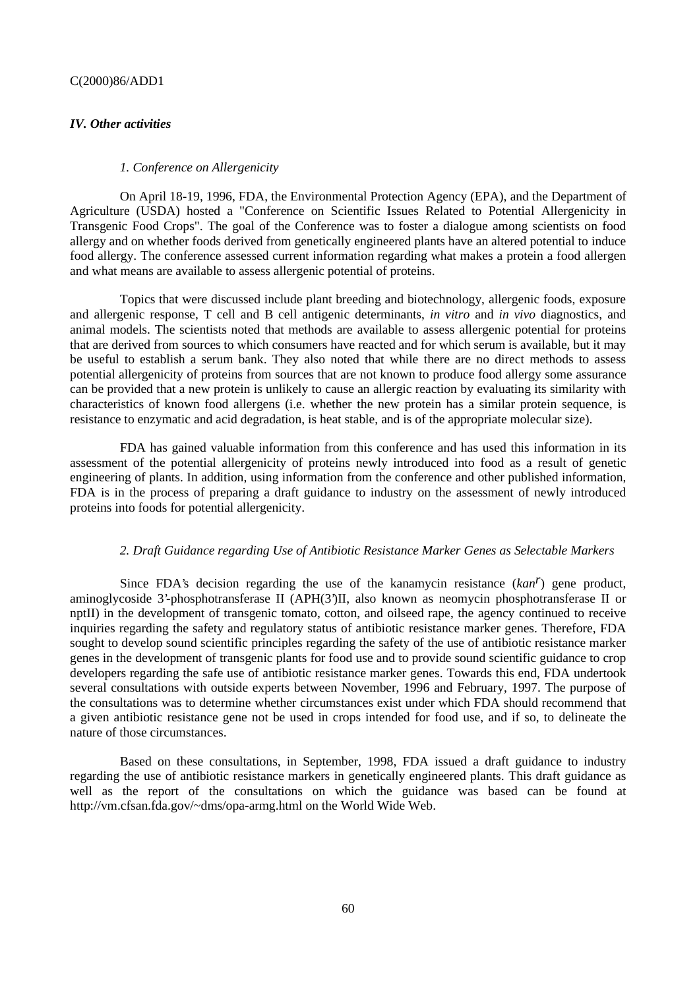### *IV. Other activities*

#### *1. Conference on Allergenicity*

On April 18-19, 1996, FDA, the Environmental Protection Agency (EPA), and the Department of Agriculture (USDA) hosted a "Conference on Scientific Issues Related to Potential Allergenicity in Transgenic Food Crops". The goal of the Conference was to foster a dialogue among scientists on food allergy and on whether foods derived from genetically engineered plants have an altered potential to induce food allergy. The conference assessed current information regarding what makes a protein a food allergen and what means are available to assess allergenic potential of proteins.

Topics that were discussed include plant breeding and biotechnology, allergenic foods, exposure and allergenic response, T cell and B cell antigenic determinants, *in vitro* and *in vivo* diagnostics, and animal models. The scientists noted that methods are available to assess allergenic potential for proteins that are derived from sources to which consumers have reacted and for which serum is available, but it may be useful to establish a serum bank. They also noted that while there are no direct methods to assess potential allergenicity of proteins from sources that are not known to produce food allergy some assurance can be provided that a new protein is unlikely to cause an allergic reaction by evaluating its similarity with characteristics of known food allergens (i.e. whether the new protein has a similar protein sequence, is resistance to enzymatic and acid degradation, is heat stable, and is of the appropriate molecular size).

FDA has gained valuable information from this conference and has used this information in its assessment of the potential allergenicity of proteins newly introduced into food as a result of genetic engineering of plants. In addition, using information from the conference and other published information, FDA is in the process of preparing a draft guidance to industry on the assessment of newly introduced proteins into foods for potential allergenicity.

#### *2. Draft Guidance regarding Use of Antibiotic Resistance Marker Genes as Selectable Markers*

Since FDA's decision regarding the use of the kanamycin resistance (*kanr*) gene product, aminoglycoside 3'-phosphotransferase II (APH(3')II, also known as neomycin phosphotransferase II or nptII) in the development of transgenic tomato, cotton, and oilseed rape, the agency continued to receive inquiries regarding the safety and regulatory status of antibiotic resistance marker genes. Therefore, FDA sought to develop sound scientific principles regarding the safety of the use of antibiotic resistance marker genes in the development of transgenic plants for food use and to provide sound scientific guidance to crop developers regarding the safe use of antibiotic resistance marker genes. Towards this end, FDA undertook several consultations with outside experts between November, 1996 and February, 1997. The purpose of the consultations was to determine whether circumstances exist under which FDA should recommend that a given antibiotic resistance gene not be used in crops intended for food use, and if so, to delineate the nature of those circumstances.

Based on these consultations, in September, 1998, FDA issued a draft guidance to industry regarding the use of antibiotic resistance markers in genetically engineered plants. This draft guidance as well as the report of the consultations on which the guidance was based can be found at http://vm.cfsan.fda.gov/~dms/opa-armg.html on the World Wide Web.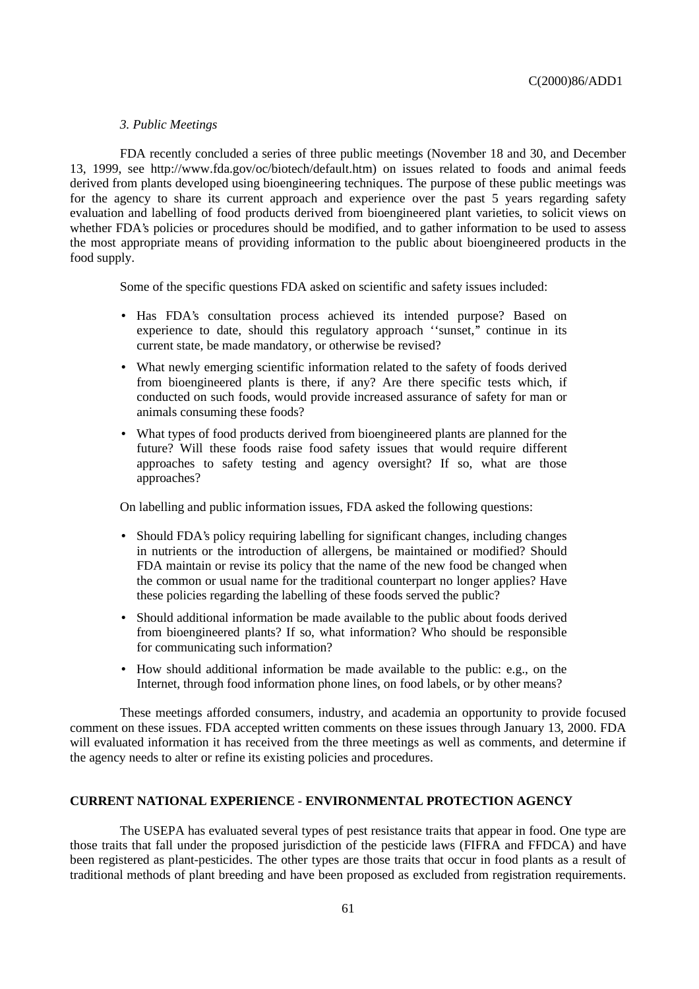### *3. Public Meetings*

FDA recently concluded a series of three public meetings (November 18 and 30, and December 13, 1999, see http://www.fda.gov/oc/biotech/default.htm) on issues related to foods and animal feeds derived from plants developed using bioengineering techniques. The purpose of these public meetings was for the agency to share its current approach and experience over the past 5 years regarding safety evaluation and labelling of food products derived from bioengineered plant varieties, to solicit views on whether FDA's policies or procedures should be modified, and to gather information to be used to assess the most appropriate means of providing information to the public about bioengineered products in the food supply.

Some of the specific questions FDA asked on scientific and safety issues included:

- Has FDA's consultation process achieved its intended purpose? Based on experience to date, should this regulatory approach "sunset," continue in its current state, be made mandatory, or otherwise be revised?
- What newly emerging scientific information related to the safety of foods derived from bioengineered plants is there, if any? Are there specific tests which, if conducted on such foods, would provide increased assurance of safety for man or animals consuming these foods?
- What types of food products derived from bioengineered plants are planned for the future? Will these foods raise food safety issues that would require different approaches to safety testing and agency oversight? If so, what are those approaches?

On labelling and public information issues, FDA asked the following questions:

- Should FDA's policy requiring labelling for significant changes, including changes in nutrients or the introduction of allergens, be maintained or modified? Should FDA maintain or revise its policy that the name of the new food be changed when the common or usual name for the traditional counterpart no longer applies? Have these policies regarding the labelling of these foods served the public?
- Should additional information be made available to the public about foods derived from bioengineered plants? If so, what information? Who should be responsible for communicating such information?
- How should additional information be made available to the public: e.g., on the Internet, through food information phone lines, on food labels, or by other means?

These meetings afforded consumers, industry, and academia an opportunity to provide focused comment on these issues. FDA accepted written comments on these issues through January 13, 2000. FDA will evaluated information it has received from the three meetings as well as comments, and determine if the agency needs to alter or refine its existing policies and procedures.

#### **CURRENT NATIONAL EXPERIENCE - ENVIRONMENTAL PROTECTION AGENCY**

The USEPA has evaluated several types of pest resistance traits that appear in food. One type are those traits that fall under the proposed jurisdiction of the pesticide laws (FIFRA and FFDCA) and have been registered as plant-pesticides. The other types are those traits that occur in food plants as a result of traditional methods of plant breeding and have been proposed as excluded from registration requirements.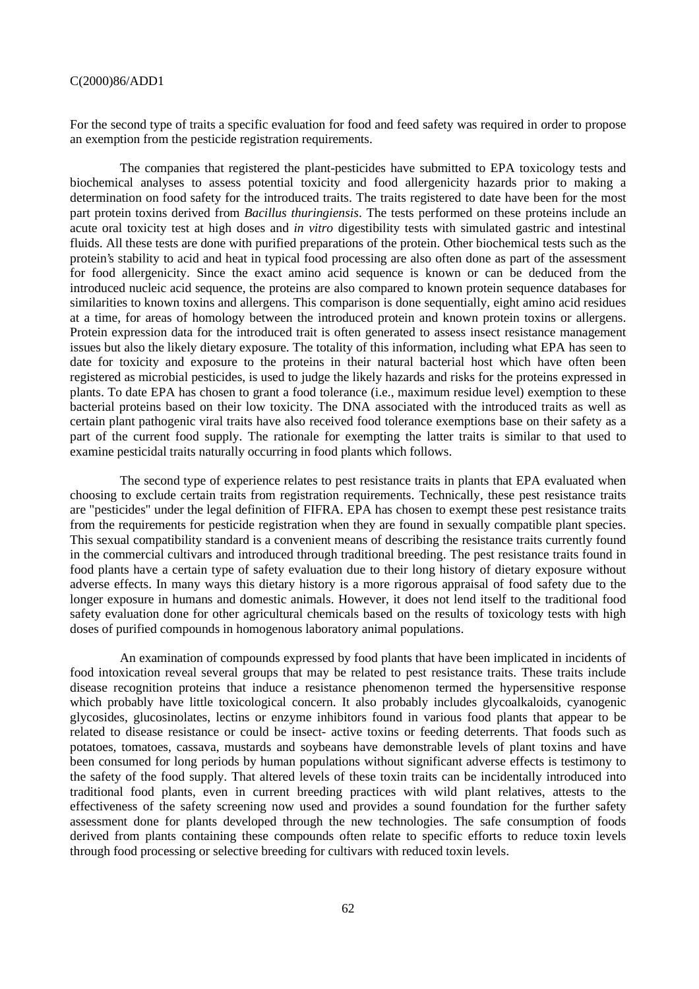For the second type of traits a specific evaluation for food and feed safety was required in order to propose an exemption from the pesticide registration requirements.

The companies that registered the plant-pesticides have submitted to EPA toxicology tests and biochemical analyses to assess potential toxicity and food allergenicity hazards prior to making a determination on food safety for the introduced traits. The traits registered to date have been for the most part protein toxins derived from *Bacillus thuringiensis*. The tests performed on these proteins include an acute oral toxicity test at high doses and *in vitro* digestibility tests with simulated gastric and intestinal fluids. All these tests are done with purified preparations of the protein. Other biochemical tests such as the protein's stability to acid and heat in typical food processing are also often done as part of the assessment for food allergenicity. Since the exact amino acid sequence is known or can be deduced from the introduced nucleic acid sequence, the proteins are also compared to known protein sequence databases for similarities to known toxins and allergens. This comparison is done sequentially, eight amino acid residues at a time, for areas of homology between the introduced protein and known protein toxins or allergens. Protein expression data for the introduced trait is often generated to assess insect resistance management issues but also the likely dietary exposure. The totality of this information, including what EPA has seen to date for toxicity and exposure to the proteins in their natural bacterial host which have often been registered as microbial pesticides, is used to judge the likely hazards and risks for the proteins expressed in plants. To date EPA has chosen to grant a food tolerance (i.e., maximum residue level) exemption to these bacterial proteins based on their low toxicity. The DNA associated with the introduced traits as well as certain plant pathogenic viral traits have also received food tolerance exemptions base on their safety as a part of the current food supply. The rationale for exempting the latter traits is similar to that used to examine pesticidal traits naturally occurring in food plants which follows.

The second type of experience relates to pest resistance traits in plants that EPA evaluated when choosing to exclude certain traits from registration requirements. Technically, these pest resistance traits are "pesticides" under the legal definition of FIFRA. EPA has chosen to exempt these pest resistance traits from the requirements for pesticide registration when they are found in sexually compatible plant species. This sexual compatibility standard is a convenient means of describing the resistance traits currently found in the commercial cultivars and introduced through traditional breeding. The pest resistance traits found in food plants have a certain type of safety evaluation due to their long history of dietary exposure without adverse effects. In many ways this dietary history is a more rigorous appraisal of food safety due to the longer exposure in humans and domestic animals. However, it does not lend itself to the traditional food safety evaluation done for other agricultural chemicals based on the results of toxicology tests with high doses of purified compounds in homogenous laboratory animal populations.

An examination of compounds expressed by food plants that have been implicated in incidents of food intoxication reveal several groups that may be related to pest resistance traits. These traits include disease recognition proteins that induce a resistance phenomenon termed the hypersensitive response which probably have little toxicological concern. It also probably includes glycoalkaloids, cyanogenic glycosides, glucosinolates, lectins or enzyme inhibitors found in various food plants that appear to be related to disease resistance or could be insect- active toxins or feeding deterrents. That foods such as potatoes, tomatoes, cassava, mustards and soybeans have demonstrable levels of plant toxins and have been consumed for long periods by human populations without significant adverse effects is testimony to the safety of the food supply. That altered levels of these toxin traits can be incidentally introduced into traditional food plants, even in current breeding practices with wild plant relatives, attests to the effectiveness of the safety screening now used and provides a sound foundation for the further safety assessment done for plants developed through the new technologies. The safe consumption of foods derived from plants containing these compounds often relate to specific efforts to reduce toxin levels through food processing or selective breeding for cultivars with reduced toxin levels.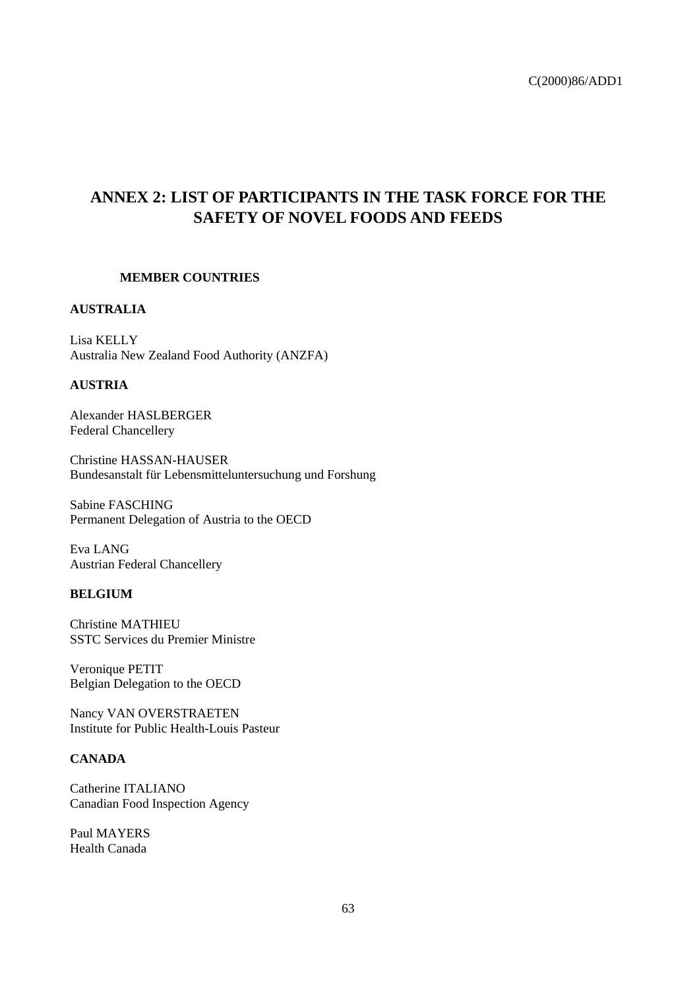# **ANNEX 2: LIST OF PARTICIPANTS IN THE TASK FORCE FOR THE SAFETY OF NOVEL FOODS AND FEEDS**

### **MEMBER COUNTRIES**

# **AUSTRALIA**

Lisa KELLY Australia New Zealand Food Authority (ANZFA)

### **AUSTRIA**

Alexander HASLBERGER Federal Chancellery

Christine HASSAN-HAUSER Bundesanstalt für Lebensmitteluntersuchung und Forshung

Sabine FASCHING Permanent Delegation of Austria to the OECD

Eva LANG Austrian Federal Chancellery

### **BELGIUM**

Christine MATHIEU SSTC Services du Premier Ministre

Veronique PETIT Belgian Delegation to the OECD

Nancy VAN OVERSTRAETEN Institute for Public Health-Louis Pasteur

# **CANADA**

Catherine ITALIANO Canadian Food Inspection Agency

Paul MAYERS Health Canada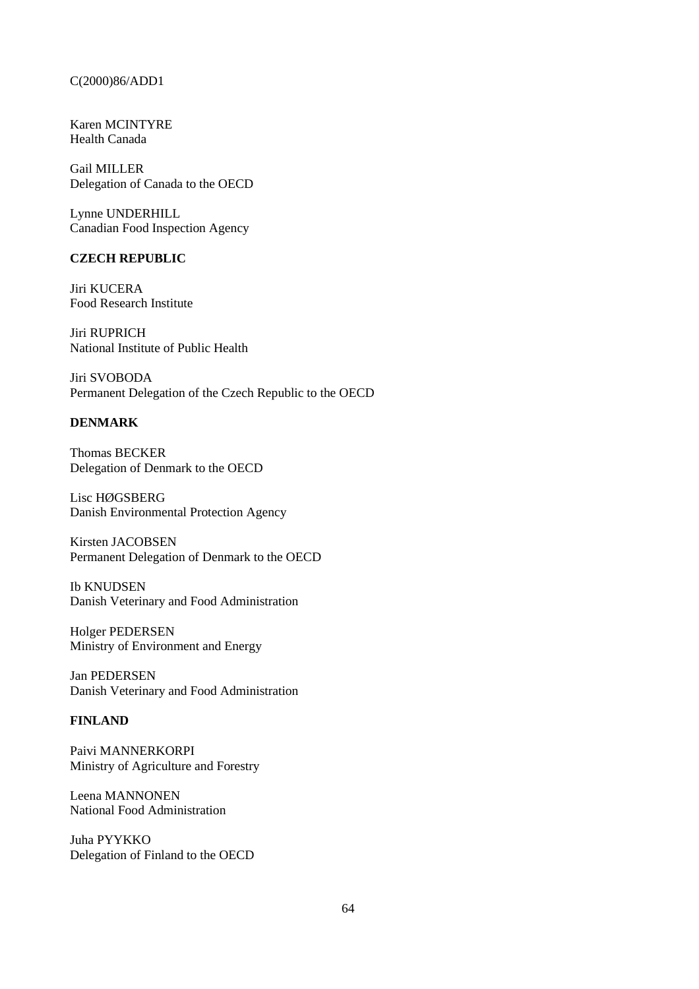Karen MCINTYRE Health Canada

Gail MILLER Delegation of Canada to the OECD

Lynne UNDERHILL Canadian Food Inspection Agency

# **CZECH REPUBLIC**

Jiri KUCERA Food Research Institute

Jiri RUPRICH National Institute of Public Health

Jiri SVOBODA Permanent Delegation of the Czech Republic to the OECD

# **DENMARK**

Thomas BECKER Delegation of Denmark to the OECD

Lisc HØGSBERG Danish Environmental Protection Agency

Kirsten JACOBSEN Permanent Delegation of Denmark to the OECD

Ib KNUDSEN Danish Veterinary and Food Administration

Holger PEDERSEN Ministry of Environment and Energy

Jan PEDERSEN Danish Veterinary and Food Administration

# **FINLAND**

Paivi MANNERKORPI Ministry of Agriculture and Forestry

Leena MANNONEN National Food Administration

Juha PYYKKO Delegation of Finland to the OECD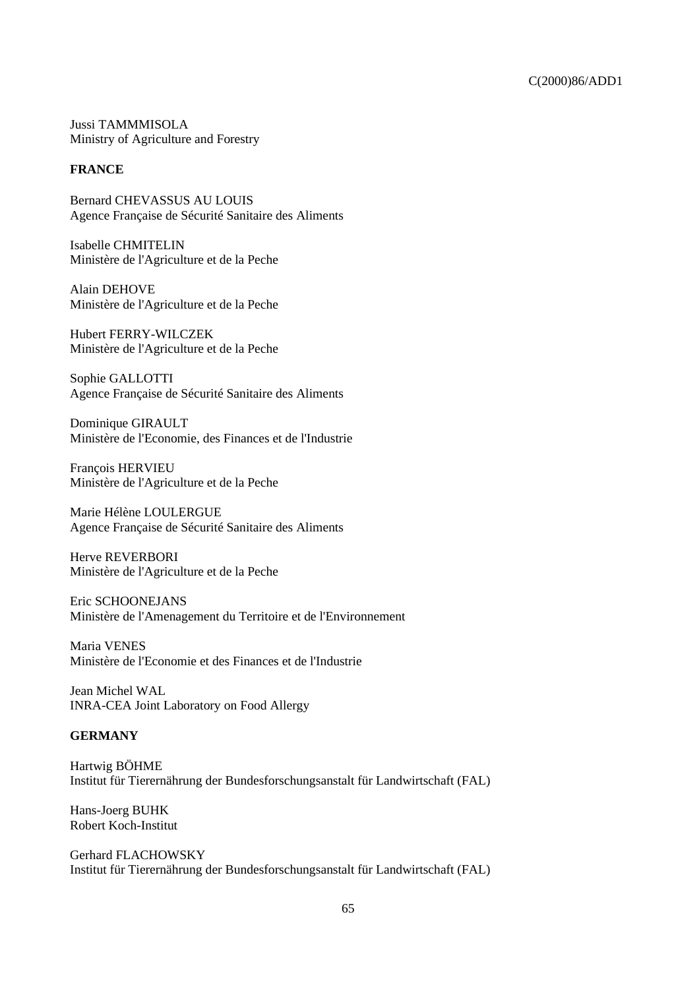Jussi TAMMMISOLA Ministry of Agriculture and Forestry

# **FRANCE**

Bernard CHEVASSUS AU LOUIS Agence Française de Sécurité Sanitaire des Aliments

Isabelle CHMITELIN Ministère de l'Agriculture et de la Peche

Alain DEHOVE Ministère de l'Agriculture et de la Peche

Hubert FERRY-WILCZEK Ministère de l'Agriculture et de la Peche

Sophie GALLOTTI Agence Française de Sécurité Sanitaire des Aliments

Dominique GIRAULT Ministère de l'Economie, des Finances et de l'Industrie

François HERVIEU Ministère de l'Agriculture et de la Peche

Marie Hélène LOULERGUE Agence Française de Sécurité Sanitaire des Aliments

Herve REVERBORI Ministère de l'Agriculture et de la Peche

Eric SCHOONEJANS Ministère de l'Amenagement du Territoire et de l'Environnement

Maria VENES Ministère de l'Economie et des Finances et de l'Industrie

Jean Michel WAL INRA-CEA Joint Laboratory on Food Allergy

# **GERMANY**

Hartwig BÖHME Institut für Tierernährung der Bundesforschungsanstalt für Landwirtschaft (FAL)

Hans-Joerg BUHK Robert Koch-Institut

Gerhard FLACHOWSKY Institut für Tierernährung der Bundesforschungsanstalt für Landwirtschaft (FAL)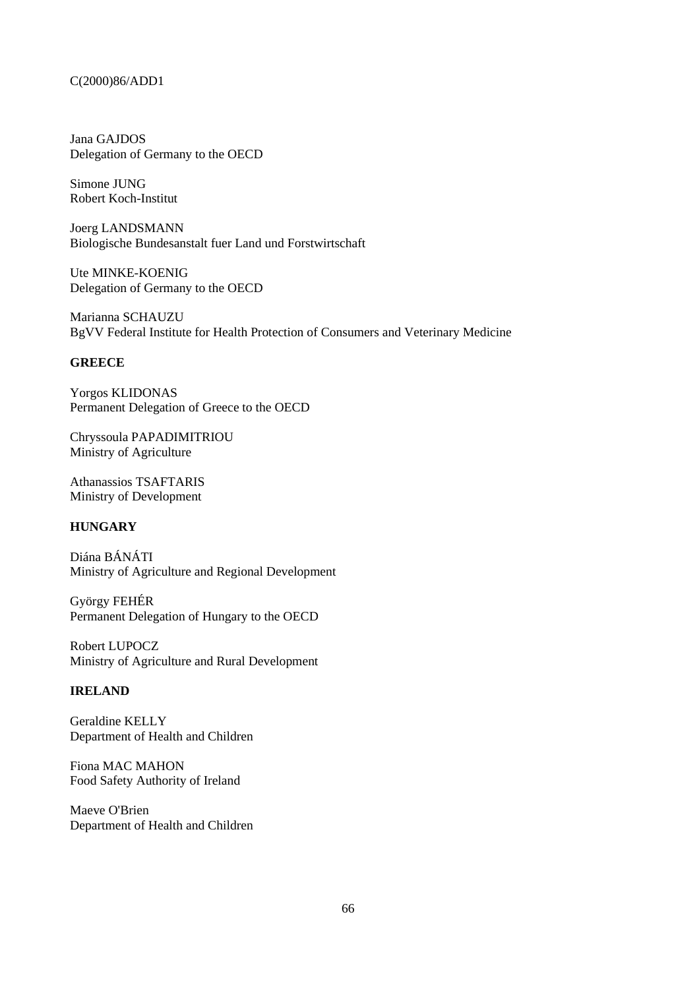Jana GAJDOS Delegation of Germany to the OECD

Simone JUNG Robert Koch-Institut

Joerg LANDSMANN Biologische Bundesanstalt fuer Land und Forstwirtschaft

Ute MINKE-KOENIG Delegation of Germany to the OECD

Marianna SCHAUZU BgVV Federal Institute for Health Protection of Consumers and Veterinary Medicine

### **GREECE**

Yorgos KLIDONAS Permanent Delegation of Greece to the OECD

Chryssoula PAPADIMITRIOU Ministry of Agriculture

Athanassios TSAFTARIS Ministry of Development

# **HUNGARY**

Diána BÁNÁTI Ministry of Agriculture and Regional Development

György FEHÉR Permanent Delegation of Hungary to the OECD

Robert LUPOCZ Ministry of Agriculture and Rural Development

# **IRELAND**

Geraldine KELLY Department of Health and Children

Fiona MAC MAHON Food Safety Authority of Ireland

Maeve O'Brien Department of Health and Children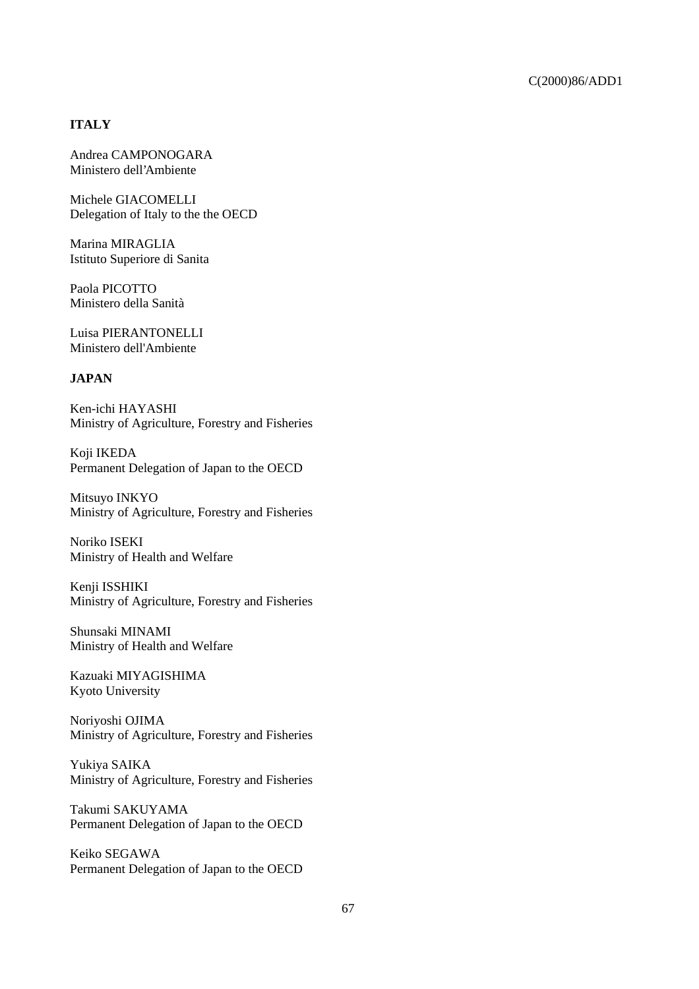# **ITALY**

Andrea CAMPONOGARA Ministero dell'Ambiente

Michele GIACOMELLI Delegation of Italy to the the OECD

Marina MIRAGLIA Istituto Superiore di Sanita

Paola PICOTTO Ministero della Sanità

Luisa PIERANTONELLI Ministero dell'Ambiente

# **JAPAN**

Ken-ichi HAYASHI Ministry of Agriculture, Forestry and Fisheries

Koji IKEDA Permanent Delegation of Japan to the OECD

Mitsuyo INKYO Ministry of Agriculture, Forestry and Fisheries

Noriko ISEKI Ministry of Health and Welfare

Kenji ISSHIKI Ministry of Agriculture, Forestry and Fisheries

Shunsaki MINAMI Ministry of Health and Welfare

Kazuaki MIYAGISHIMA Kyoto University

Noriyoshi OJIMA Ministry of Agriculture, Forestry and Fisheries

Yukiya SAIKA Ministry of Agriculture, Forestry and Fisheries

Takumi SAKUYAMA Permanent Delegation of Japan to the OECD

Keiko SEGAWA Permanent Delegation of Japan to the OECD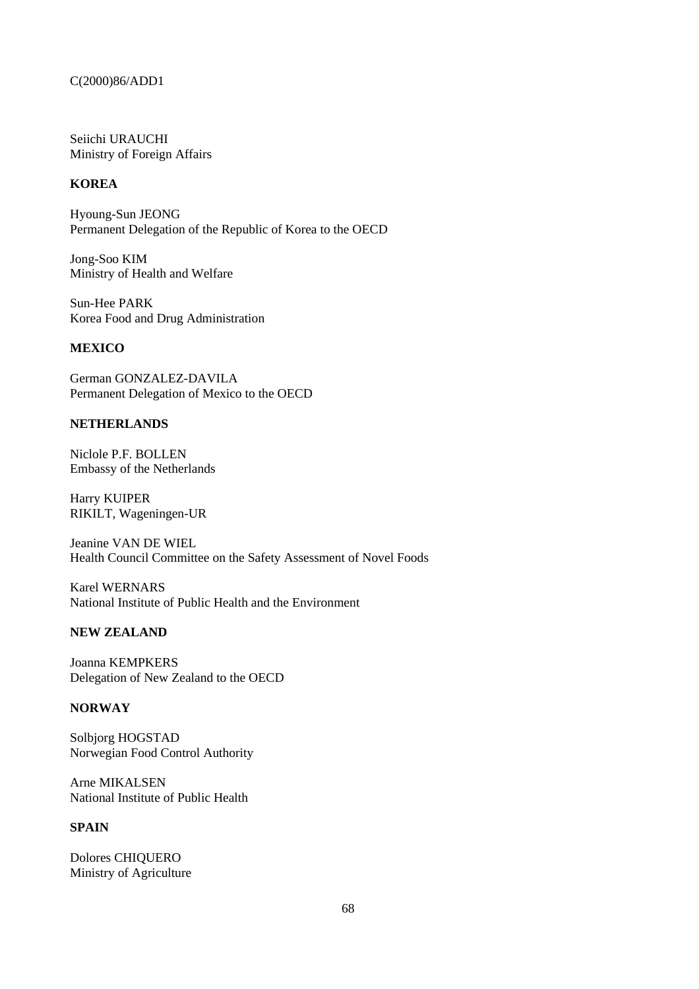Seiichi URAUCHI Ministry of Foreign Affairs

# **KOREA**

Hyoung-Sun JEONG Permanent Delegation of the Republic of Korea to the OECD

Jong-Soo KIM Ministry of Health and Welfare

Sun-Hee PARK Korea Food and Drug Administration

# **MEXICO**

German GONZALEZ-DAVILA Permanent Delegation of Mexico to the OECD

# **NETHERLANDS**

Niclole P.F. BOLLEN Embassy of the Netherlands

Harry KUIPER RIKILT, Wageningen-UR

Jeanine VAN DE WIEL Health Council Committee on the Safety Assessment of Novel Foods

Karel WERNARS National Institute of Public Health and the Environment

### **NEW ZEALAND**

Joanna KEMPKERS Delegation of New Zealand to the OECD

### **NORWAY**

Solbjorg HOGSTAD Norwegian Food Control Authority

Arne MIKALSEN National Institute of Public Health

# **SPAIN**

Dolores CHIQUERO Ministry of Agriculture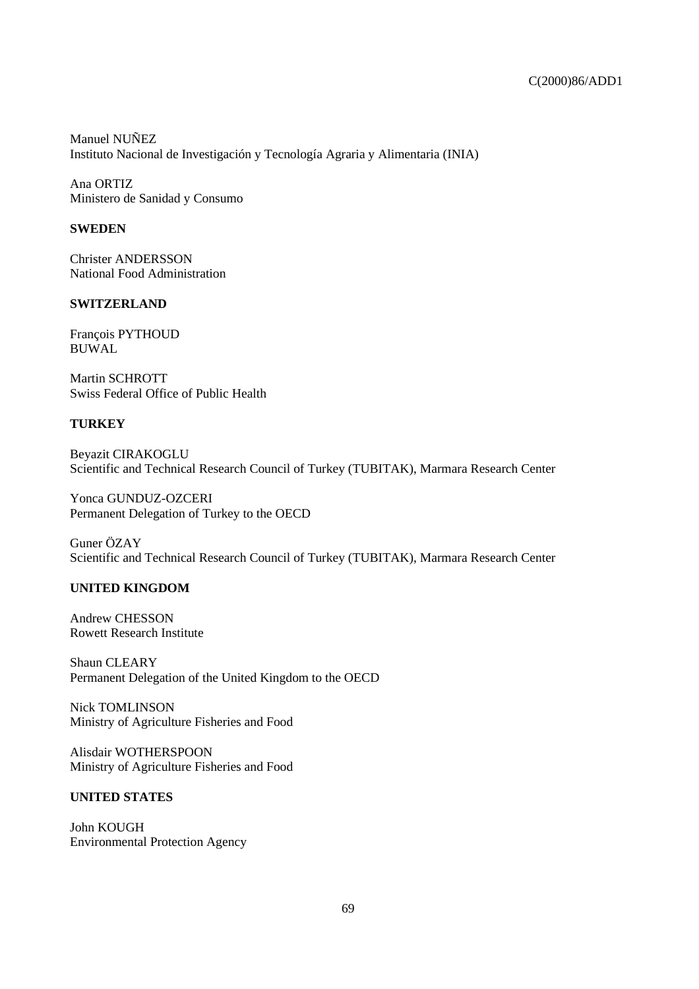Manuel NUÑEZ Instituto Nacional de Investigación y Tecnología Agraria y Alimentaria (INIA)

Ana ORTIZ Ministero de Sanidad y Consumo

# **SWEDEN**

Christer ANDERSSON National Food Administration

# **SWITZERLAND**

François PYTHOUD BUWAL

Martin SCHROTT Swiss Federal Office of Public Health

# **TURKEY**

Beyazit CIRAKOGLU Scientific and Technical Research Council of Turkey (TUBITAK), Marmara Research Center

Yonca GUNDUZ-OZCERI Permanent Delegation of Turkey to the OECD

Guner ÖZAY Scientific and Technical Research Council of Turkey (TUBITAK), Marmara Research Center

# **UNITED KINGDOM**

Andrew CHESSON Rowett Research Institute

Shaun CLEARY Permanent Delegation of the United Kingdom to the OECD

Nick TOMLINSON Ministry of Agriculture Fisheries and Food

Alisdair WOTHERSPOON Ministry of Agriculture Fisheries and Food

# **UNITED STATES**

John KOUGH Environmental Protection Agency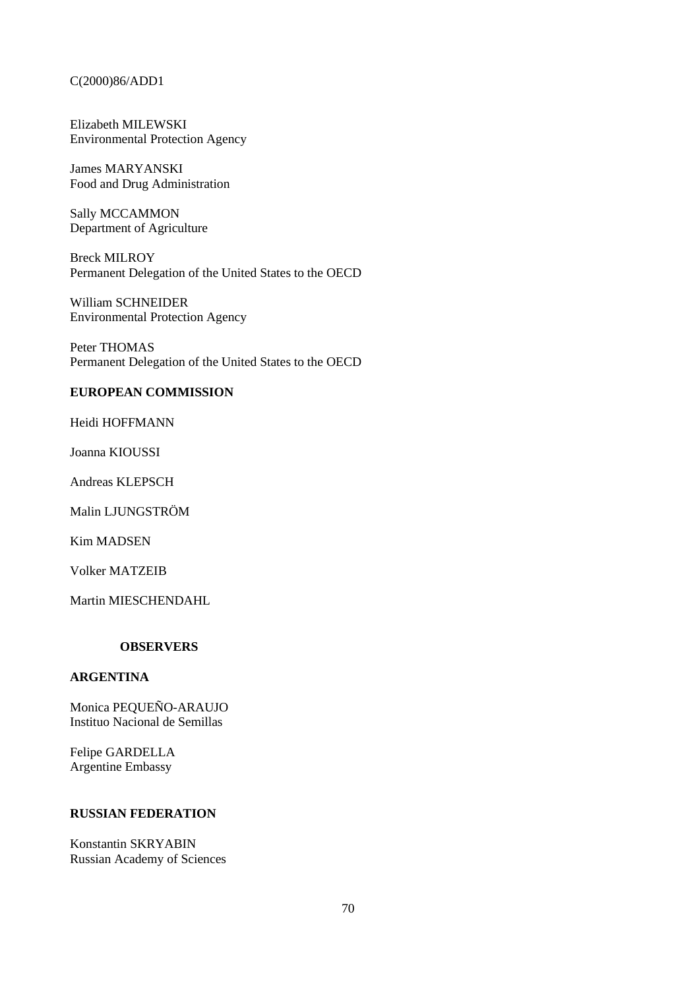Elizabeth MILEWSKI Environmental Protection Agency

James MARYANSKI Food and Drug Administration

Sally MCCAMMON Department of Agriculture

Breck MILROY Permanent Delegation of the United States to the OECD

William SCHNEIDER Environmental Protection Agency

Peter THOMAS Permanent Delegation of the United States to the OECD

# **EUROPEAN COMMISSION**

Heidi HOFFMANN

Joanna KIOUSSI

Andreas KLEPSCH

Malin LJUNGSTRÖM

Kim MADSEN

Volker MATZEIB

Martin MIESCHENDAHL

# **OBSERVERS**

# **ARGENTINA**

Monica PEQUEÑO-ARAUJO Instituo Nacional de Semillas

Felipe GARDELLA Argentine Embassy

### **RUSSIAN FEDERATION**

Konstantin SKRYABIN Russian Academy of Sciences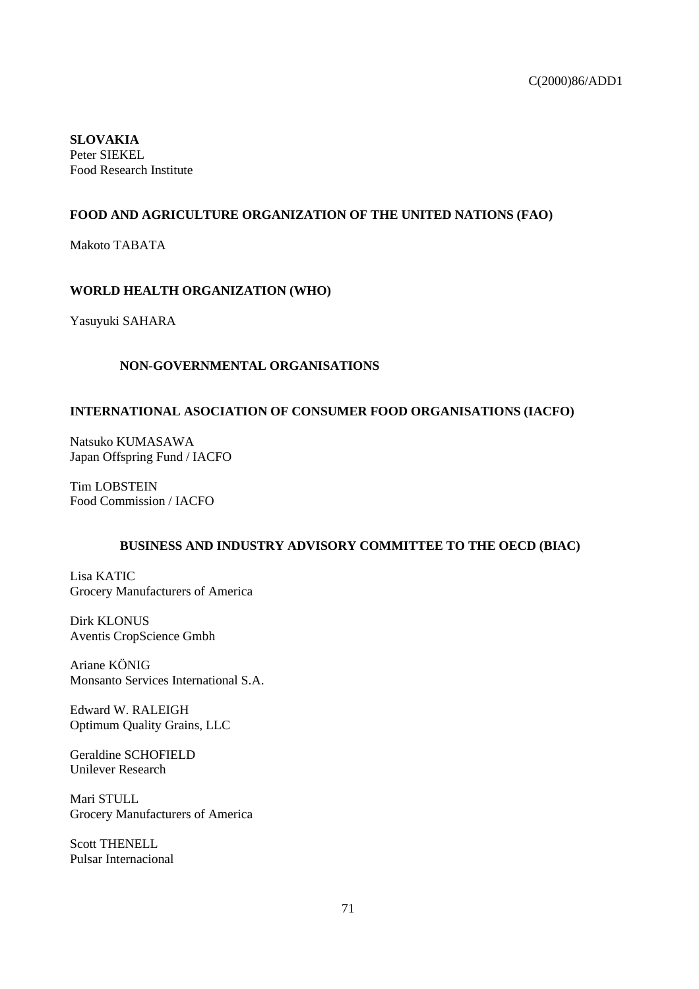**SLOVAKIA** Peter SIEKEL Food Research Institute

# **FOOD AND AGRICULTURE ORGANIZATION OF THE UNITED NATIONS (FAO)**

Makoto TABATA

# **WORLD HEALTH ORGANIZATION (WHO)**

Yasuyuki SAHARA

# **NON-GOVERNMENTAL ORGANISATIONS**

# **INTERNATIONAL ASOCIATION OF CONSUMER FOOD ORGANISATIONS (IACFO)**

Natsuko KUMASAWA Japan Offspring Fund / IACFO

Tim LOBSTEIN Food Commission / IACFO

# **BUSINESS AND INDUSTRY ADVISORY COMMITTEE TO THE OECD (BIAC)**

Lisa KATIC Grocery Manufacturers of America

Dirk KLONUS Aventis CropScience Gmbh

Ariane KÖNIG Monsanto Services International S.A.

Edward W. RALEIGH Optimum Quality Grains, LLC

Geraldine SCHOFIELD Unilever Research

Mari STULL Grocery Manufacturers of America

Scott THENELL Pulsar Internacional